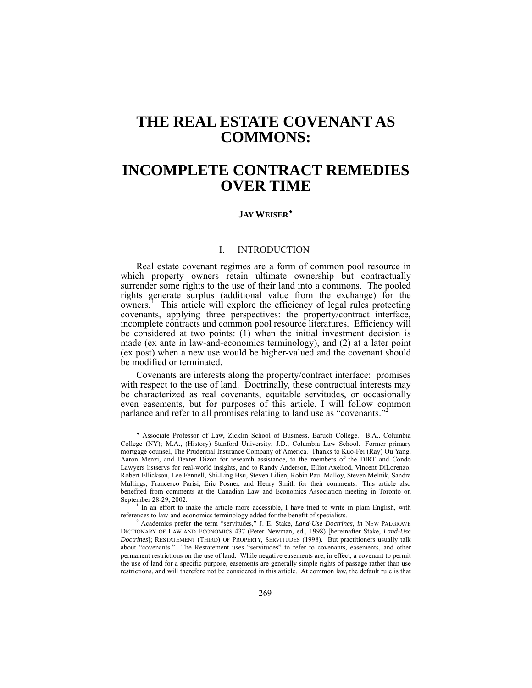# <span id="page-0-2"></span>**THE REAL ESTATE COVENANT AS COMMONS:**

# **INCOMPLETE CONTRACT REMEDIES OVER TIME**

# **JAYWEISER**[♦](#page-0-0)

## I. INTRODUCTION

Real estate covenant regimes are a form of common pool resource in which property owners retain ultimate ownership but contractually surrender some rights to the use of their land into a commons. The pooled rights generate surplus (additional value from the exchange) for the owners.<sup>1</sup>This article will explore the efficiency of legal rules protecting covenants, applying three perspectives: the property/contract interface, incomplete contracts and common pool resource literatures. Efficiency will be considered at two points: (1) when the initial investment decision is made (ex ante in law-and-economics terminology), and (2) at a later point (ex post) when a new use would be higher-valued and the covenant should be modified or terminated.

Covenants are interests along the property/contract interface: promises with respect to the use of land. Doctrinally, these contractual interests may be characterized as real covenants, equitable servitudes, or occasionally even easements, but for purposes of this article, I will follow common neglinear and refer to all promises relating to land use as "covenants"<sup>[2](#page-0-2)2</sup> parlance and refer to all promises relating to land use as "covenants."

l

<span id="page-0-0"></span><sup>♦</sup> Associate Professor of Law, Zicklin School of Business, Baruch College. B.A., Columbia College (NY); M.A., (History) Stanford University; J.D., Columbia Law School. Former primary mortgage counsel, The Prudential Insurance Company of America. Thanks to Kuo-Fei (Ray) Ou Yang, Aaron Menzi, and Dexter Dizon for research assistance, to the members of the DIRT and Condo Lawyers listservs for real-world insights, and to Randy Anderson, Elliot Axelrod, Vincent DiLorenzo, Robert Ellickson, Lee Fennell, Shi-Ling Hsu, Steven Lilien, Robin Paul Malloy, Steven Melnik, Sandra Mullings, Francesco Parisi, Eric Posner, and Henry Smith for their comments. This article also benefited from comments at the Canadian Law and Economics Association meeting in Toronto on September 28-29, 2002.

<span id="page-0-1"></span><sup>&</sup>lt;sup>1</sup> In an effort to make the article more accessible, I have tried to write in plain English, with references to law-and-economics terminology added for the benefit of specialists.

<sup>2</sup> Academics prefer the term "servitudes," J. E. Stake, *Land-Use Doctrines*, *in* NEW PALGRAVE DICTIONARY OF LAW AND ECONOMICS 437 (Peter Newman, ed., 1998) [hereinafter Stake, *Land-Use Doctrines*]; RESTATEMENT (THIRD) OF PROPERTY, SERVITUDES (1998). But practitioners usually talk about "covenants." The Restatement uses "servitudes" to refer to covenants, easements, and other permanent restrictions on the use of land. While negative easements are, in effect, a covenant to permit the use of land for a specific purpose, easements are generally simple rights of passage rather than use restrictions, and will therefore not be considered in this article. At common law, the default rule is that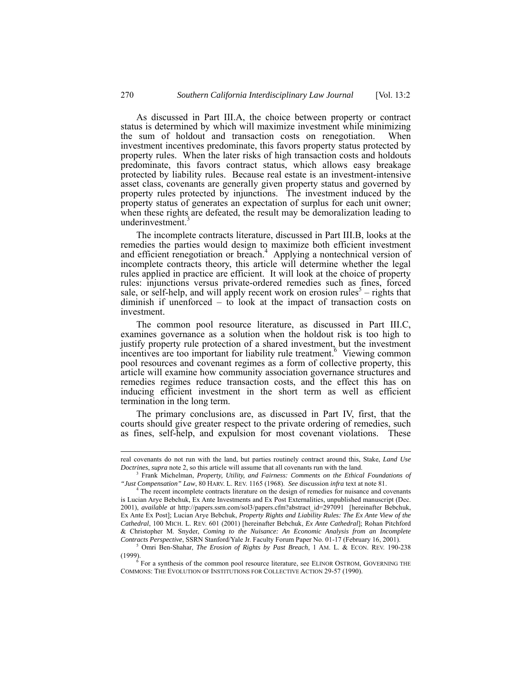As discussed in Part [III.A,](#page-5-0) the choice between property or contract status is determined by which will maximize investment while minimizing the sum of holdout and transaction costs on renegotiation. When investment incentives predominate, this favors property status protected by property rules. When the later risks of high transaction costs and holdouts predominate, this favors contract status, which allows easy breakage protected by liability rules. Because real estate is an investment-intensive asset class, covenants are generally given property status and governed by property rules protected by injunctions. The investment induced by the property status of generates an expectation of surplus for each unit owner; when these rights are defeated, the result may be demoralization leading to underinvestment.<sup>[3](#page-1-0)</sup>

The incomplete contracts literature, discussed in Part [III.B,](#page-11-0) looks at the remedies the parties would design to maximize both efficient investment andefficient renegotiation or breach.<sup>4</sup> Applying a nontechnical version of incomplete contracts theory, this article will determine whether the legal rules applied in practice are efficient. It will look at the choice of property rules: injunctions versus private-ordered remedies such as fines, forced sale, or self-help, and will apply recent work on erosion rules<sup>5</sup> – rights that diminish if unenforced – to look at the impact of transaction costs on investment.

The common pool resource literature, as discussed in Part [III.C,](#page-15-0) examines governance as a solution when the holdout risk is too high to justify property rule protection of a shared investment, but the investment incentives are too important for liability rule treatment.<sup>[6](#page-1-3)</sup> Viewing common pool resources and covenant regimes as a form of collective property, this article will examine how community association governance structures and remedies regimes reduce transaction costs, and the effect this has on inducing efficient investment in the short term as well as efficient termination in the long term.

The primary conclusions are, as discussed in Part [IV,](#page-18-0) first, that the courts should give greater respect to the private ordering of remedies, such as fines, self-help, and expulsion for most covenant violations. These

real covenants do not run with the land, but parties routinely contract around this, Stake, *Land Use Doctrines*, *supra* note 2, so this article will assume that all covenants run with the land. 3

<span id="page-1-0"></span>Frank Michelman, *Property, Utility, and Fairness: Comments on the Ethical Foundations of "Just Compensation" Law*, 80 HARV. L. REV. 1165 (1968). *See* discussion *infra* text at note 81.

<span id="page-1-1"></span>The recent incomplete contracts literature on the design of remedies for nuisance and covenants is Lucian Arye Bebchuk, Ex Ante Investments and Ex Post Externalities, unpublished manuscript (Dec. 2001), *available at* http://papers.ssrn.com/sol3/papers.cfm?abstract\_id=297091 [hereinafter Bebchuk, Ex Ante Ex Post]; Lucian Arye Bebchuk, *Property Rights and Liability Rules: The Ex Ante View of the Cathedral*, 100 MICH. L. REV. 601 (2001) [hereinafter Bebchuk, *Ex Ante Cathedral*]; Rohan Pitchford & Christopher M. Snyder, *Coming to the Nuisance: An Economic Analysis from an Incomplete Contracts Perspective*, SSRN Stanford/Yale Jr. Faculty Forum Paper No. 01-17 (February 16, 2001).

<span id="page-1-2"></span><sup>5</sup> Omri Ben-Shahar, *The Erosion of Rights by Past Breach*, 1 AM. L. & ECON. REV. 190-238 (1999).

<span id="page-1-3"></span> $6$  For a synthesis of the common pool resource literature, see ELINOR OSTROM, GOVERNING THE COMMONS: THE EVOLUTION OF INSTITUTIONS FOR COLLECTIVE ACTION 29-57 (1990).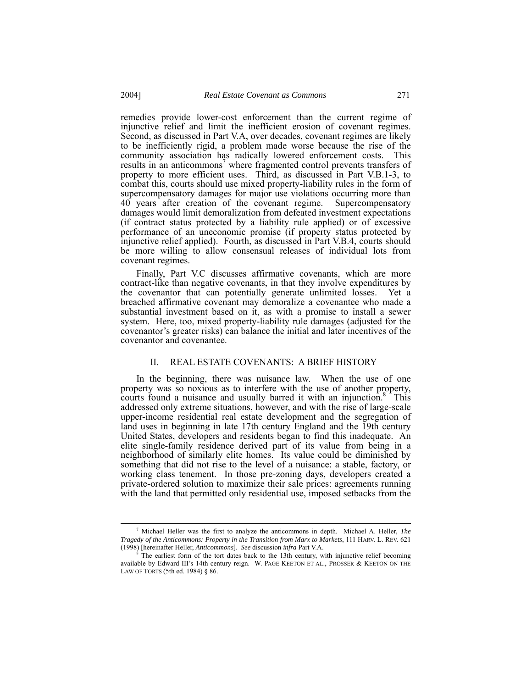remedies provide lower-cost enforcement than the current regime of injunctive relief and limit the inefficient erosion of covenant regimes. Second, as discussed in Part [V.A,](#page-37-0) over decades, covenant regimes are likely to be inefficiently rigid, a problem made worse because the rise of the community association has radically lowered enforcement costs. This resultsin an anticommons<sup>7</sup> where fragmented control prevents transfers of property to more efficient uses. Third, as discussed in Part [V.B.1-](#page-45-0)[3,](#page-56-0) to combat this, courts should use mixed property-liability rules in the form of supercompensatory damages for major use violations occurring more than 40 years after creation of the covenant regime. Supercompensatory damages would limit demoralization from defeated investment expectations (if contract status protected by a liability rule applied) or of excessive performance of an uneconomic promise (if property status protected by injunctive relief applied). Fourth, as discussed in Part [V.B.4,](#page-57-0) courts should be more willing to allow consensual releases of individual lots from covenant regimes.

Finally, Part [V.C](#page-57-1) discusses affirmative covenants, which are more contract-like than negative covenants, in that they involve expenditures by the covenantor that can potentially generate unlimited losses. Yet a breached affirmative covenant may demoralize a covenantee who made a substantial investment based on it, as with a promise to install a sewer system. Here, too, mixed property-liability rule damages (adjusted for the covenantor's greater risks) can balance the initial and later incentives of the covenantor and covenantee.

## II. REAL ESTATE COVENANTS: A BRIEF HISTORY

In the beginning, there was nuisance law. When the use of one property was so noxious as to interfere with the use of another property, courts found a nuisance and usually barred it with an injunction.<sup>[8](#page-2-1)</sup> This addressed only extreme situations, however, and with the rise of large-scale upper-income residential real estate development and the segregation of land uses in beginning in late 17th century England and the 19th century United States, developers and residents began to find this inadequate. An elite single-family residence derived part of its value from being in a neighborhood of similarly elite homes. Its value could be diminished by something that did not rise to the level of a nuisance: a stable, factory, or working class tenement. In those pre-zoning days, developers created a private-ordered solution to maximize their sale prices: agreements running with the land that permitted only residential use, imposed setbacks from the

<span id="page-2-0"></span> <sup>7</sup> Michael Heller was the first to analyze the anticommons in depth. Michael A. Heller, *The Tragedy of the Anticommons: Property in the Transition from Marx to Markets*, 111 HARV. L. REV. 621 (1998) [hereinafter Heller, *Anticommons*]. *See* discussion *infra* Part V.A. 8 The earliest form of the tort dates back to the 13th century, with injunctive relief becoming

<span id="page-2-1"></span>available by Edward III's 14th century reign. W. PAGE KEETON ET AL., PROSSER & KEETON ON THE LAW OF TORTS (5th ed. 1984) § 86.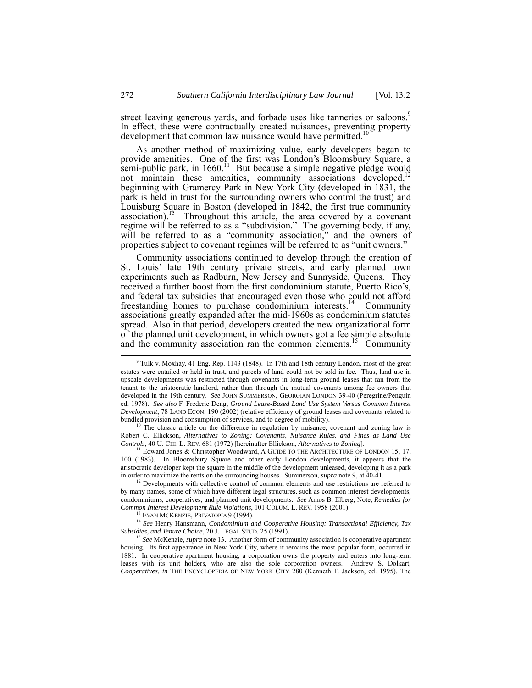street leaving generous yards, and forbade uses like tanneries or saloons.<sup>9</sup> In effect, these were contractually created nuisances, preventing property development that common law nuisance would have permitted.<sup>[10](#page-3-1)</sup>

As another method of maximizing value, early developers began to provide amenities. One of the first was London's Bloomsbury Square, a semi-public park, in  $1660$ .<sup>11</sup> But because a simple negative pledge would not maintain these amenities, community associations developed,<sup>12</sup> beginning with Gramercy Park in New York City (developed in 1831, the park is held in trust for the surrounding owners who control the trust) and Louisburg Square in Boston (developed in 1842, the first true community association).<sup>[13](#page-3-4)</sup> Throughout this article, the area covered by a covenant regime will be referred to as a "subdivision." The governing body, if any, will be referred to as a "community association," and the owners of properties subject to covenant regimes will be referred to as "unit owners."

Community associations continued to develop through the creation of St. Louis' late 19th century private streets, and early planned town experiments such as Radburn, New Jersey and Sunnyside, Queens. They received a further boost from the first condominium statute, Puerto Rico's, and federal tax subsidies that encouraged even those who could not afford freestanding homes to purchase condominium interests.<sup>14</sup> Community associations greatly expanded after the mid-1960s as condominium statutes spread. Also in that period, developers created the new organizational form of the planned unit development, in which owners got a fee simple absolute and the community association ran the common elements.<sup>15</sup> Community

<span id="page-3-1"></span>The classic article on the difference in regulation by nuisance, covenant and zoning law is Robert C. Ellickson, *Alternatives to Zoning: Covenants, Nuisance Rules, and Fines as Land Use* 

<span id="page-3-2"></span><sup>11</sup> Edward Jones & Christopher Woodward, A GUIDE TO THE ARCHITECTURE OF LONDON 15, 17, 100 (1983). In Bloomsbury Square and other early London developments, it appears that the aristocratic developer kept the square in the middle of the development unleased, developing it as a park in order to maximize the rents on the surrounding houses. Summerson, *supra* note 9, at 40-41.

<span id="page-3-3"></span><sup>12</sup> Developments with collective control of common elements and use restrictions are referred to by many names, some of which have different legal structures, such as common interest developments, condominiums, cooperatives, and planned unit developments. *See* Amos B. Elberg, Note, *Remedies for Common Interest Development Rule Violations*, 101 COLUM. L. REV. 1958 (2001).

<span id="page-3-5"></span><span id="page-3-4"></span>13 EVAN MCKENZIE, PRIVATOPIA 9 (1994).

<sup>14</sup> *See* Henry Hansmann, *Condominium and Cooperative Housing: Transactional Efficiency, Tax Subsidies, and Tenure Choice*, 20 J. LEGAL STUD. 25 (1991).

<sup>15</sup> *See* McKenzie, *supra* note 13. Another form of community association is cooperative apartment housing. Its first appearance in New York City, where it remains the most popular form, occurred in 1881. In cooperative apartment housing, a corporation owns the property and enters into long-term leases with its unit holders, who are also the sole corporation owners. Andrew S. Dolkart, *Cooperatives, in* THE ENCYCLOPEDIA OF NEW YORK CITY 280 (Kenneth T. Jackson, ed. 1995). The

<span id="page-3-6"></span>

<span id="page-3-0"></span><sup>&</sup>lt;sup>9</sup> Tulk v. Moxhay, 41 Eng. Rep. 1143 (1848). In 17th and 18th century London, most of the great estates were entailed or held in trust, and parcels of land could not be sold in fee. Thus, land use in upscale developments was restricted through covenants in long-term ground leases that ran from the tenant to the aristocratic landlord, rather than through the mutual covenants among fee owners that developed in the 19th century. *See* JOHN SUMMERSON, GEORGIAN LONDON 39-40 (Peregrine/Penguin ed. 1978). *See also* F. Frederic Deng, *Ground Lease-Based Land Use System Versus Common Interest Development*, 78 LAND ECON. 190 (2002) (relative efficiency of ground leases and covenants related to bundled provision and consumption of services, and to degree of mobility).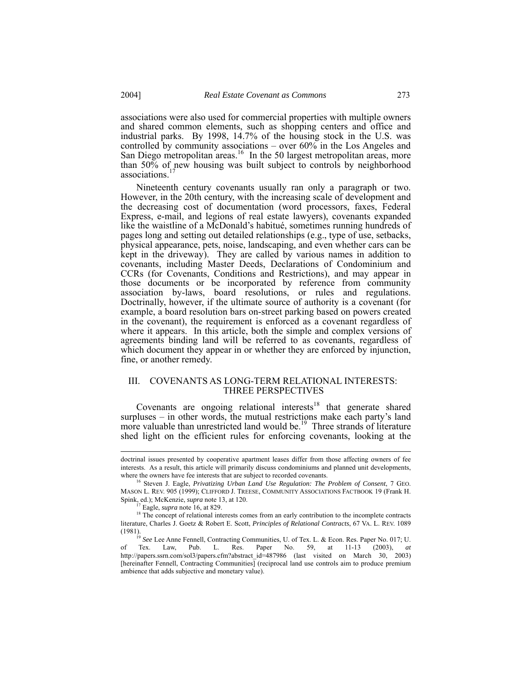associations were also used for commercial properties with multiple owners and shared common elements, such as shopping centers and office and industrial parks. By 1998, 14.7% of the housing stock in the U.S. was controlled by community associations – over 60% in the Los Angeles and San Diego metropolitan areas.<sup>16</sup> In the 50 largest metropolitan areas, more than 50% of new housing was built subject to controls by neighborhood associations.<sup>[17](#page-4-1)</sup>

Nineteenth century covenants usually ran only a paragraph or two. However, in the 20th century, with the increasing scale of development and the decreasing cost of documentation (word processors, faxes, Federal Express, e-mail, and legions of real estate lawyers), covenants expanded like the waistline of a McDonald's habitué, sometimes running hundreds of pages long and setting out detailed relationships (e.g., type of use, setbacks, physical appearance, pets, noise, landscaping, and even whether cars can be kept in the driveway). They are called by various names in addition to covenants, including Master Deeds, Declarations of Condominium and CCRs (for Covenants, Conditions and Restrictions), and may appear in those documents or be incorporated by reference from community association by-laws, board resolutions, or rules and regulations. Doctrinally, however, if the ultimate source of authority is a covenant (for example, a board resolution bars on-street parking based on powers created in the covenant), the requirement is enforced as a covenant regardless of where it appears. In this article, both the simple and complex versions of agreements binding land will be referred to as covenants, regardless of which document they appear in or whether they are enforced by injunction, fine, or another remedy.

# III. COVENANTS AS LONG-TERM RELATIONAL INTERESTS: THREE PERSPECTIVES

Covenants are ongoing relational interests<sup>18</sup> that generate shared surpluses – in other words, the mutual restrictions make each party's land more valuable than unrestricted land would be.<sup>19</sup> Three strands of literature shed light on the efficient rules for enforcing covenants, looking at the

doctrinal issues presented by cooperative apartment leases differ from those affecting owners of fee interests. As a result, this article will primarily discuss condominiums and planned unit developments,

<span id="page-4-0"></span><sup>&</sup>lt;sup>16</sup> Steven J. Eagle, *Privatizing Urban Land Use Regulation: The Problem of Consent*, 7 GEO. MASON L. REV. 905 (1999); CLIFFORD J. TREESE, COMMUNITY ASSOCIATIONS FACTBOOK 19 (Frank H. Spink, ed.); McKenzie, *supra* note 13, at 120.

<span id="page-4-2"></span><span id="page-4-1"></span><sup>17</sup> Eagle, *supra* note 16, at 829.

<sup>&</sup>lt;sup>18</sup> The concept of relational interests comes from an early contribution to the incomplete contracts literature, Charles J. Goetz & Robert E. Scott, *Principles of Relational Contracts*, 67 VA. L. REV. 1089 (1981).

<span id="page-4-3"></span><sup>&</sup>lt;sup>19</sup> See Lee Anne Fennell, Contracting Communities, U. of Tex. L. & Econ. Res. Paper No. 017; U. of Tex. Law, Pub. L. Res. Paper No. 59, at 11-13 (2003), *at* http://papers.ssrn.com/sol3/papers.cfm?abstract\_id=487986 (last visited on March 30, 2003) [hereinafter Fennell, Contracting Communities] (reciprocal land use controls aim to produce premium ambience that adds subjective and monetary value).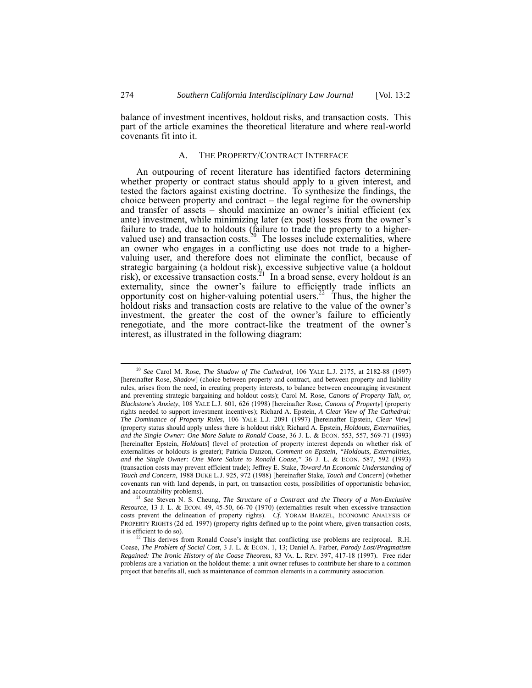balance of investment incentives, holdout risks, and transaction costs. This part of the article examines the theoretical literature and where real-world covenants fit into it.

## <span id="page-5-0"></span>A. THE PROPERTY/CONTRACT INTERFACE

An outpouring of recent literature has identified factors determining whether property or contract status should apply to a given interest, and tested the factors against existing doctrine. To synthesize the findings, the choice between property and contract – the legal regime for the ownership and transfer of assets – should maximize an owner's initial efficient (ex ante) investment, while minimizing later (ex post) losses from the owner's failure to trade, due to holdouts (failure to trade the property to a higher-valued use) and transaction costs.<sup>20</sup> The losses include externalities, where an owner who engages in a conflicting use does not trade to a hig valuing user, and therefore does not eliminate the conflict, because of strategic bargaining (a holdout risk), excessive subjective value (a holdout risk), or excessive transaction costs.<sup>21</sup> In a broad sense, every holdout *is* an externality, since the owner's failure to efficiently trade inflicts an opportunity cost on higher-valuing potential users.<sup>22</sup> Thus, the higher the holdout risks and transaction costs are relative to the value of the owner's investment, the greater the cost of the owner's failure to efficiently renegotiate, and the more contract-like the treatment of the owner's interest, as illustrated in the following diagram:

<span id="page-5-1"></span> <sup>20</sup> *See* Carol M. Rose, *The Shadow of The Cathedral,* 106 YALE L.J. 2175, at 2182-88 (1997) [hereinafter Rose, *Shadow*] (choice between property and contract, and between property and liability rules, arises from the need, in creating property interests, to balance between encouraging investment and preventing strategic bargaining and holdout costs); Carol M. Rose, *Canons of Property Talk, or, Blackstone's Anxiety*, 108 YALE L.J. 601, 626 (1998) [hereinafter Rose, *Canons of Property*] (property rights needed to support investment incentives); Richard A. Epstein, *A Clear View of The Cathedral: The Dominance of Property Rules*, 106 YALE L.J. 2091 (1997) [hereinafter Epstein, *Clear View*] (property status should apply unless there is holdout risk); Richard A. Epstein, *Holdouts, Externalities, and the Single Owner: One More Salute to Ronald Coase*, 36 J. L. & ECON. 553, 557, 569-71 (1993) [hereinafter Epstein, *Holdouts*] (level of protection of property interest depends on whether risk of externalities or holdouts is greater); Patricia Danzon, *Comment on Epstein, "Holdouts, Externalities, and the Single Owner: One More Salute to Ronald Coase*,*"* 36 J. L. & ECON. 587, 592 (1993) (transaction costs may prevent efficient trade); Jeffrey E. Stake, *Toward An Economic Understanding of Touch and Concern*, 1988 DUKE L.J. 925, 972 (1988) [hereinafter Stake, *Touch and Concern*] (whether covenants run with land depends, in part, on transaction costs, possibilities of opportunistic behavior,

<span id="page-5-2"></span><sup>&</sup>lt;sup>21</sup> See Steven N. S. Cheung, *The Structure of a Contract and the Theory of a Non-Exclusive Resource*, 13 J. L. & ECON. 49, 45-50, 66-70 (1970) (externalities result when excessive transaction costs prevent the delineation of property rights). *Cf.* YORAM BARZEL, ECONOMIC ANALYSIS OF PROPERTY RIGHTS (2d ed. 1997) (property rights defined up to the point where, given transaction costs,

<span id="page-5-3"></span>it is efficient to do so). <sup>22</sup> This derives from Ronald Coase's insight that conflicting use problems are reciprocal. R.H. Coase, *The Problem of Social Cost*, 3 J. L. & ECON. 1, 13; Daniel A. Farber, *Parody Lost/Pragmatism Regained: The Ironic History of the Coase Theorem*, 83 VA. L. REV. 397, 417-18 (1997). Free rider problems are a variation on the holdout theme: a unit owner refuses to contribute her share to a common project that benefits all, such as maintenance of common elements in a community association.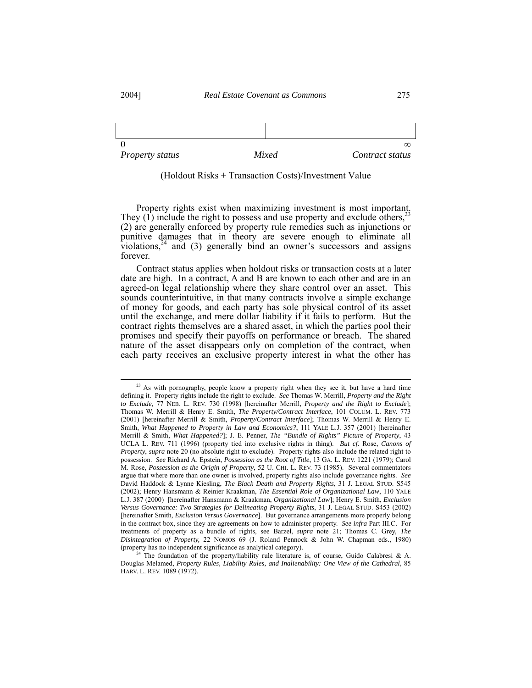

(Holdout Risks + Transaction Costs)/Investment Value

Property rights exist when maximizing investment is most important. They (1) include the right to possess and use property and exclude others,  $2\frac{3}{2}$ (2) are generally enforced by property rule remedies such as injunctions or punitive damages that in theory are severe enough to eliminate all violations,  $24$  and (3) generally bind an owner's successors and assigns forever.

Contract status applies when holdout risks or transaction costs at a later date are high. In a contract, A and B are known to each other and are in an agreed-on legal relationship where they share control over an asset. This sounds counterintuitive, in that many contracts involve a simple exchange of money for goods, and each party has sole physical control of its asset until the exchange, and mere dollar liability if it fails to perform. But the contract rights themselves are a shared asset, in which the parties pool their promises and specify their payoffs on performance or breach. The shared nature of the asset disappears only on completion of the contract, when each party receives an exclusive property interest in what the other has

<span id="page-6-0"></span><sup>&</sup>lt;sup>23</sup> As with pornography, people know a property right when they see it, but have a hard time defining it. Property rights include the right to exclude. *See* Thomas W. Merrill, *Property and the Right to Exclude*, 77 NEB. L. REV. 730 (1998) [hereinafter Merrill, *Property and the Right to Exclude*]; Thomas W. Merrill & Henry E. Smith, *The Property/Contract Interface*, 101 COLUM. L. REV. 773 (2001) [hereinafter Merrill & Smith, *Property/Contract Interface*]; Thomas W. Merrill & Henry E. Smith, *What Happened to Property in Law and Economics?*, 111 YALE L.J. 357 (2001) [hereinafter Merrill & Smith, *What Happened?*]; J. E. Penner, *The "Bundle of Rights" Picture of Property*, 43 UCLA L. REV. 711 (1996) (property tied into exclusive rights in thing). *But cf.* Rose, *Canons of Property*, *supra* note 20 (no absolute right to exclude). Property rights also include the related right to possession. *See* Richard A. Epstein, *Possession as the Root of Title*, 13 GA. L. REV. 1221 (1979); Carol M. Rose, *Possession as the Origin of Property*, 52 U. CHI. L. REV. 73 (1985). Several commentators argue that where more than one owner is involved, property rights also include governance rights. *See* David Haddock & Lynne Kiesling, *The Black Death and Property Rights*, 31 J. LEGAL STUD. S545 (2002); Henry Hansmann & Reinier Kraakman, *The Essential Role of Organizational Law*, 110 YALE L.J. 387 (2000) [hereinafter Hansmann & Kraakman, *Organizational Law*]; Henry E. Smith, *Exclusion Versus Governance: Two Strategies for Delineating Property Rights*, 31 J. LEGAL STUD. S453 (2002) [hereinafter Smith, *Exclusion Versus Governance*]. But governance arrangements more properly belong in the contract box, since they are agreements on how to administer property. *See infra* Part III.C. For treatments of property as a bundle of rights, see Barzel, *supra* note 21; Thomas C. Grey, *The Disintegration of Property,* 22 NOMOS 69 (J. Roland Pennock & John W. Chapman eds., 1980) (property has no independent significance as analytical category).

<span id="page-6-1"></span>The foundation of the property/liability rule literature is, of course, Guido Calabresi & A. Douglas Melamed, *Property Rules, Liability Rules, and Inalienability: One View of the Cathedral*, 85 HARV. L. REV. 1089 (1972).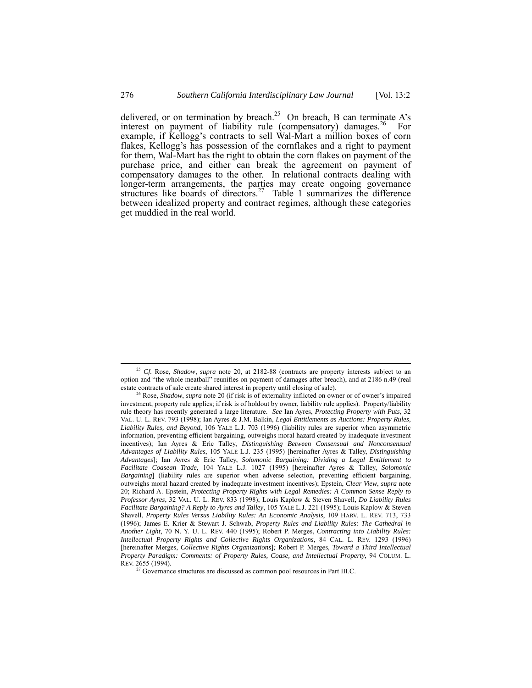delivered, or on termination by breach.<sup>[25](#page-7-0)</sup> On breach, B can terminate A's interest on payment of liability rule (compensatory) damages.<sup>26</sup> For example, if Kellogg's contracts to sell Wal-Mart a million boxes of corn flakes, Kellogg's has possession of the cornflakes and a right to payment for them, Wal-Mart has the right to obtain the corn flakes on payment of the purchase price, and either can break the agreement on payment of compensatory damages to the other. In relational contracts dealing with longer-term arrangements, the parties may create ongoing governance structures like boards of directors.<sup>27</sup> Table 1 summarizes the difference between idealized property and contract regimes, although these categories get muddied in the real world.

<span id="page-7-0"></span> <sup>25</sup> *Cf.* Rose, *Shadow*, *supra* note 20, at 2182-88 (contracts are property interests subject to an option and "the whole meatball" reunifies on payment of damages after breach), and at 2186 n.49 (real estate contracts of sale create shared interest in property until closing of sale).

<span id="page-7-1"></span>Rose, *Shadow*, *supra* note 20 (if risk is of externality inflicted on owner or of owner's impaired investment, property rule applies; if risk is of holdout by owner, liability rule applies). Property/liability rule theory has recently generated a large literature. *See* Ian Ayres, *Protecting Property with Puts*, 32 VAL. U. L. REV. 793 (1998); Ian Ayres & J.M. Balkin, *Legal Entitlements as Auctions: Property Rules, Liability Rules, and Beyond*, 106 YALE L.J. 703 (1996) (liability rules are superior when asymmetric information, preventing efficient bargaining, outweighs moral hazard created by inadequate investment incentives); Ian Ayres & Eric Talley, *Distinguishing Between Consensual and Nonconsensual Advantages of Liability Rules*, 105 YALE L.J. 235 (1995) [hereinafter Ayres & Talley, *Distinguishing Advantages*]; Ian Ayres & Eric Talley, *Solomonic Bargaining: Dividing a Legal Entitlement to Facilitate Coasean Trade*, 104 YALE L.J. 1027 (1995) [hereinafter Ayres & Talley, *Solomonic Bargaining*] (liability rules are superior when adverse selection, preventing efficient bargaining, outweighs moral hazard created by inadequate investment incentives); Epstein, *Clear View*, *supra* note 20; Richard A. Epstein, *Protecting Property Rights with Legal Remedies: A Common Sense Reply to Professor Ayres*, 32 VAL. U. L. REV. 833 (1998); Louis Kaplow & Steven Shavell, *Do Liability Rules Facilitate Bargaining? A Reply to Ayres and Talley*, 105 YALE L.J. 221 (1995); Louis Kaplow & Steven Shavell, *Property Rules Versus Liability Rules: An Economic Analysis*, 109 HARV. L. REV. 713, 733 (1996); James E. Krier & Stewart J. Schwab, *Property Rules and Liability Rules: The Cathedral in Another Light*, 70 N. Y. U. L. REV. 440 (1995); Robert P. Merges, *Contracting into Liability Rules: Intellectual Property Rights and Collective Rights Organizations*, 84 CAL. L. REV. 1293 (1996) [hereinafter Merges, *Collective Rights Organizations*]*;* Robert P. Merges, *Toward a Third Intellectual Property Paradigm: Comments: of Property Rules, Coase, and Intellectual Property*, 94 COLUM. L. REV. 2655 (1994).

<span id="page-7-2"></span> $27$  Governance structures are discussed as common pool resources in Part III.C.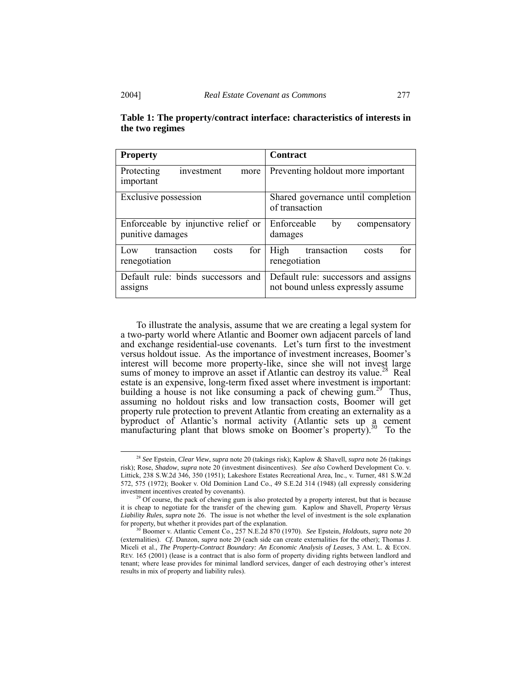| <b>Property</b>                                         | <b>Contract</b>                                                           |
|---------------------------------------------------------|---------------------------------------------------------------------------|
| Protecting<br>investment<br>more<br>important           | Preventing holdout more important                                         |
| Exclusive possession                                    | Shared governance until completion<br>of transaction                      |
| Enforceable by injunctive relief or<br>punitive damages | Enforceable<br>by<br>compensatory<br>damages                              |
| transaction<br>for<br>Low<br>costs<br>renegotiation     | for<br>transaction<br>High<br>costs<br>renegotiation                      |
| Default rule: binds successors and<br>assigns           | Default rule: successors and assigns<br>not bound unless expressly assume |

# **Table 1: The property/contract interface: characteristics of interests in the two regimes**

To illustrate the analysis, assume that we are creating a legal system for a two-party world where Atlantic and Boomer own adjacent parcels of land and exchange residential-use covenants. Let's turn first to the investment versus holdout issue. As the importance of investment increases, Boomer's interest will become more property-like, since she will not invest large sums of money to improve an asset if Atlantic can destroy its value.<sup>28</sup> Real estate is an expensive, long-term fixed asset where investment is important: building a house is not like consuming a pack of chewing gum.<sup>25</sup> Thus, assuming no holdout risks and low transaction costs, Boomer will get property rule protection to prevent Atlantic from creating an externality as a byproduct of Atlantic's normal activity (Atlantic sets up a cement manufacturing plant that blows smoke on Boomer's property).<sup>30</sup> To the

<span id="page-8-0"></span> <sup>28</sup> *See* Epstein, *Clear View*, *supra* note 20 (takings risk); Kaplow & Shavell, *supra* note 26 (takings risk); Rose, *Shadow*, *supra* note 20 (investment disincentives). *See also* Cowherd Development Co. v. Littick, 238 S.W.2d 346, 350 (1951); Lakeshore Estates Recreational Area, Inc., v. Turner, 481 S.W.2d 572, 575 (1972); Booker v. Old Dominion Land Co., 49 S.E.2d 314 (1948) (all expressly considering investment incentives created by covenants).

<span id="page-8-1"></span><sup>&</sup>lt;sup>29</sup> Of course, the pack of chewing gum is also protected by a property interest, but that is because it is cheap to negotiate for the transfer of the chewing gum. Kaplow and Shavell, *Property Versus Liability Rules*, *supra* note 26. The issue is not whether the level of investment is the sole explanation for property, but whether it provides part of the explanation.

<span id="page-8-2"></span><sup>30</sup> Boomer v. Atlantic Cement Co., 257 N.E.2d 870 (1970). *See* Epstein, *Holdouts*, *supra* note 20 (externalities). *Cf.* Danzon, *supra* note 20 (each side can create externalities for the other); Thomas J. Miceli et al., *The Property-Contract Boundary: An Economic Analysis of Leases*, 3 AM. L. & ECON. REV. 165 (2001) (lease is a contract that is also form of property dividing rights between landlord and tenant; where lease provides for minimal landlord services, danger of each destroying other's interest results in mix of property and liability rules).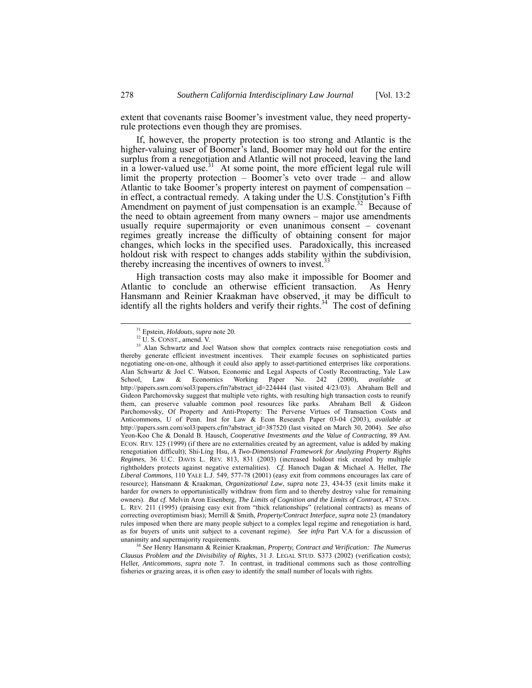extent that covenants raise Boomer's investment value, they need propertyrule protections even though they are promises.

If, however, the property protection is too strong and Atlantic is the higher-valuing user of Boomer's land, Boomer may hold out for the entire surplus from a renegotiation and Atlantic will not proceed, leaving the land in a lower-valued use.<sup>31</sup> At some point, the more efficient legal rule will limit the property protection – Boomer's veto over trade – and allow Atlantic to take Boomer's property interest on payment of compensation – in effect, a contractual remedy. A taking under the U.S. Constitution's Fifth Amendment on payment of just compensation is an example.<sup>32</sup> Because of the need to obtain agreement from many owners – major use amendments usually require supermajority or even unanimous consent – covenant regimes greatly increase the difficulty of obtaining consent for major changes, which locks in the specified uses. Paradoxically, this increased holdout risk with respect to changes adds stability within the subdivision, thereby increasing the incentives of owners to invest.<sup>[33](#page-9-2)</sup>

High transaction costs may also make it impossible for Boomer and Atlantic to conclude an otherwise efficient transaction. As Henry Hansmann and Reinier Kraakman have observed, it may be difficult to identify all the rights holders and verify their rights.<sup>34</sup> The cost of defining

<span id="page-9-3"></span><sup>34</sup> *See* Henry Hansmann & Reinier Kraakman, *Property, Contract and Verification: The Numerus Clausus Problem and the Divisibility of Rights*, 31 J. LEGAL STUD. S373 (2002) (verification costs); Heller, *Anticommons*, *supra* note 7. In contrast, in traditional commons such as those controlling fisheries or grazing areas, it is often easy to identify the small number of locals with rights.

<span id="page-9-0"></span> <sup>31</sup> Epstein, *Holdouts*, *supra* note 20.

<span id="page-9-2"></span><span id="page-9-1"></span><sup>32</sup> U. S. CONST., amend. V.

<sup>&</sup>lt;sup>33</sup> Alan Schwartz and Joel Watson show that complex contracts raise renegotiation costs and thereby generate efficient investment incentives. Their example focuses on sophisticated parties negotiating one-on-one, although it could also apply to asset-partitioned enterprises like corporations. Alan Schwartz & Joel C. Watson, Economic and Legal Aspects of Costly Recontracting, Yale Law<br>School. Law & Economics Working Paper No. 242 (2000). *available at* Working Paper No. 242 (2000), *available at* http://papers.ssrn.com/sol3/papers.cfm?abstract\_id=224444 (last visited 4/23/03). Abraham Bell and Gideon Parchomovsky suggest that multiple veto rights, with resulting high transaction costs to reunify them, can preserve valuable common pool resources like parks. Abraham Bell & Gideon Parchomovsky, Of Property and Anti-Property: The Perverse Virtues of Transaction Costs and Anticommons, U of Penn. Inst for Law & Econ Research Paper 03-04 (2003), *available at* http://papers.ssrn.com/sol3/papers.cfm?abstract\_id=387520 (last visited on March 30, 2004). *See also* Yeon-Koo Che & Donald B. Hausch, *Cooperative Investments and the Value of Contracting,* 89 AM. ECON. REV. 125 (1999) (if there are no externalities created by an agreement, value is added by making renegotiation difficult); Shi-Ling Hsu, *A Two-Dimensional Framework for Analyzing Property Rights Regimes*, 36 U.C. DAVIS L. REV. 813, 831 (2003) (increased holdout risk created by multiple rightholders protects against negative externalities). *Cf.* Hanoch Dagan & Michael A. Heller, *The Liberal Commons*, 110 YALE L.J. 549, 577-78 (2001) (easy exit from commons encourages lax care of resource); Hansmann & Kraakman, *Organizational Law*, *supra* note 23, 434-35 (exit limits make it harder for owners to opportunistically withdraw from firm and to thereby destroy value for remaining owners). *But cf.* Melvin Aron Eisenberg, *The Limits of Cognition and the Limits of Contract*, 47 STAN. L. REV. 211 (1995) (praising easy exit from "thick relationships" (relational contracts) as means of correcting overoptimism bias); Merrill & Smith, *Property/Contract Interface*, *supra* note 23 (mandatory rules imposed when there are many people subject to a complex legal regime and renegotiation is hard, as for buyers of units unit subject to a covenant regime). *See infra* Part V.A for a discussion of unanimity and supermajority requirements.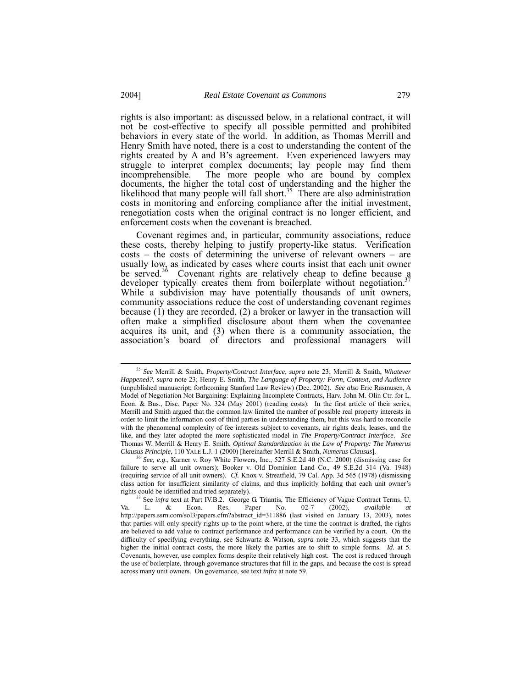rights is also important: as discussed below, in a relational contract, it will not be cost-effective to specify all possible permitted and prohibited behaviors in every state of the world. In addition, as Thomas Merrill and Henry Smith have noted, there is a cost to understanding the content of the rights created by A and B's agreement. Even experienced lawyers may struggle to interpret complex documents; lay people may find them incomprehensible. The more people who are bound by complex documents, the higher the total cost of understanding and the higher the likelihood that many people will fall short.<sup>35</sup> There are also administration costs in monitoring and enforcing compliance after the initial investment, renegotiation costs when the original contract is no longer efficient, and enforcement costs when the covenant is breached.

Covenant regimes and, in particular, community associations, reduce these costs, thereby helping to justify property-like status. Verification costs – the costs of determining the universe of relevant owners – are usually low, as indicated by cases where courts insist that each unit owner be served.<sup>36</sup> Covenant rights are relatively cheap to define because a developer typically creates them from boilerplate without negotiation.<sup>37</sup> While a subdivision may have potentially thousands of unit owners, community associations reduce the cost of understanding covenant regimes because (1) they are recorded, (2) a broker or lawyer in the transaction will often make a simplified disclosure about them when the covenantee acquires its unit, and (3) when there is a community association, the association's board of directors and professional managers will

<span id="page-10-0"></span> <sup>35</sup> *See* Merrill & Smith, *Property/Contract Interface*, *supra* note 23; Merrill & Smith, *Whatever Happened?*, *supra* note 23; Henry E. Smith, *The Language of Property: Form, Context, and Audience*  (unpublished manuscript; forthcoming Stanford Law Review) (Dec. 2002). *See also* Eric Rasmusen, A Model of Negotiation Not Bargaining: Explaining Incomplete Contracts, Harv. John M. Olin Ctr. for L. Econ. & Bus., Disc. Paper No. 324 (May 2001) (reading costs). In the first article of their series, Merrill and Smith argued that the common law limited the number of possible real property interests in order to limit the information cost of third parties in understanding them, but this was hard to reconcile with the phenomenal complexity of fee interests subject to covenants, air rights deals, leases, and the like, and they later adopted the more sophisticated model in *The Property/Contract Interface*. *See* Thomas W. Merrill & Henry E. Smith, *Optimal Standardization in the Law of Property: The Numerus*

<span id="page-10-1"></span>*Clausus Principle*, 110 YALE L.J. 1 (2000) [hereinafter Merrill & Smith, *Numerus Clausus*]. 36 *See, e.g*., Karner v. Roy White Flowers, Inc., 527 S.E.2d 40 (N.C. 2000) (dismissing case for failure to serve all unit owners); Booker v. Old Dominion Land Co., 49 S.E.2d 314 (Va. 1948) (requiring service of all unit owners). *Cf.* Knox v. Streatfield, 79 Cal. App. 3d 565 (1978) (dismissing class action for insufficient similarity of claims, and thus implicitly holding that each unit owner's rights could be identified and tried separately).

<span id="page-10-2"></span><sup>&</sup>lt;sup>37</sup> See *infra* text at Part IV.B.2. George G. Triantis, The Efficiency of Vague Contract Terms, U.<br>
L. & Econ. Res. Paper No. 02-7 (2002), *available at* Va. L. & Econ. Res. Paper No. 02-7 (2002), *available at* http://papers.ssrn.com/sol3/papers.cfm?abstract\_id=311886 (last visited on January 13, 2003), notes that parties will only specify rights up to the point where, at the time the contract is drafted, the rights are believed to add value to contract performance and performance can be verified by a court. On the difficulty of specifying everything, see Schwartz & Watson*, supra* note 33, which suggests that the higher the initial contract costs, the more likely the parties are to shift to simple forms. *Id.* at 5. Covenants, however, use complex forms despite their relatively high cost. The cost is reduced through the use of boilerplate, through governance structures that fill in the gaps, and because the cost is spread across many unit owners. On governance, see text *infra* at note 59.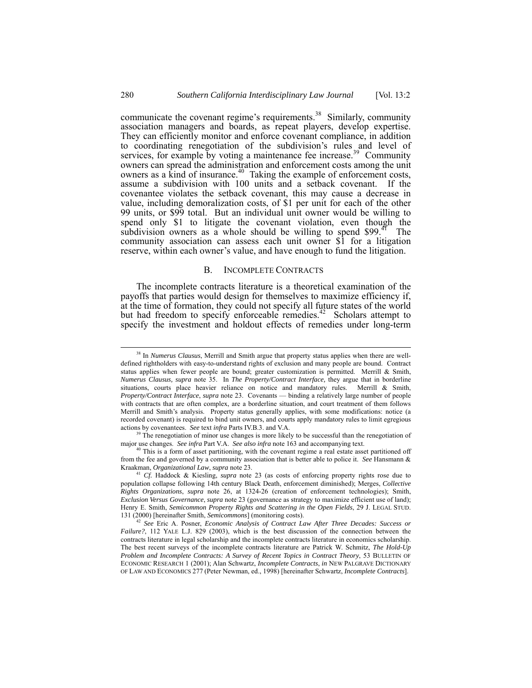communicate the covenant regime's requirements.<sup>38</sup> Similarly, community association managers and boards, as repeat players, develop expertise. They can efficiently monitor and enforce covenant compliance, in addition to coordinating renegotiation of the subdivision's rules and level of services, for example by voting a maintenance fee increase.<sup>39</sup> Community owners can spread the administration and enforcement costs among the unit owners can spread the dammissimum and emorement costs among the dimensioners as a kind of insurance.<sup>40</sup> Taking the example of enforcement costs, assume a subdivision with 100 units and a setback covenant. If the covenantee violates the setback covenant, this may cause a decrease in value, including demoralization costs, of \$1 per unit for each of the other 99 units, or \$99 total. But an individual unit owner would be willing to spend only \$1 to litigate the covenant violation, even though the subdivision owners as a whole should be willing to spend \$99. $1$ <sup>41</sup> The community association can assess each unit owner \$1 for a litigation reserve, within each owner's value, and have enough to fund the litigation.

#### <span id="page-11-0"></span>B. INCOMPLETE CONTRACTS

The incomplete contracts literature is a theoretical examination of the payoffs that parties would design for themselves to maximize efficiency if, at the time of formation, they could not specify all future states of the world but had freedom to specify enforceable remedies.<sup>[42](#page-11-5)</sup> Scholars attempt to specify the investment and holdout effects of remedies under long-term

<span id="page-11-1"></span> <sup>38</sup> In *Numerus Clausus*, Merrill and Smith argue that property status applies when there are welldefined rightholders with easy-to-understand rights of exclusion and many people are bound. Contract status applies when fewer people are bound; greater customization is permitted. Merrill & Smith, *Numerus Clausus, supra* note 35. In *The Property/Contract Interface,* they argue that in borderline situations, courts place heavier reliance on notice and mandatory rules. Merrill & Smith, *Property/Contract Interface*, *supra* note 23. Covenants — binding a relatively large number of people with contracts that are often complex, are a borderline situation, and court treatment of them follows Merrill and Smith's analysis. Property status generally applies, with some modifications: notice (a recorded covenant) is required to bind unit owners, and courts apply mandatory rules to limit egregious actions by covenantees. See text infra Parts IV.B.3. and V.A.

<span id="page-11-2"></span><sup>&</sup>lt;sup>39</sup> The renegotiation of minor use changes is more likely to be successful than the renegotiation of major use changes. *See infra* Part V.A. *See also infra* note 163 and accompanying text.

<span id="page-11-3"></span><sup>&</sup>lt;sup>40</sup> This is a form of asset partitioning, with the covenant regime a real estate asset partitioned off from the fee and governed by a community association that is better able to police it. *See* Hansmann & Kraakman, *Organizational Law*, *supra* note 23.

<span id="page-11-4"></span><sup>41</sup> *Cf.* Haddock & Kiesling, *supra* note 23 (as costs of enforcing property rights rose due to population collapse following 14th century Black Death, enforcement diminished); Merges, *Collective Rights Organizations*, *supra* note 26, at 1324-26 (creation of enforcement technologies); Smith, *Exclusion Versus Governance*, *supra* note 23 (governance as strategy to maximize efficient use of land); Henry E. Smith, *Semicommon Property Rights and Scattering in the Open Fields*, 29 J. LEGAL STUD. 131 (2000) [hereinafter Smith, *Semicommons*] (monitoring costs).

<span id="page-11-5"></span><sup>42</sup> *See* Eric A. Posner, *Economic Analysis of Contract Law After Three Decades: Success or Failure?*, 112 YALE L.J. 829 (2003), which is the best discussion of the connection between the contracts literature in legal scholarship and the incomplete contracts literature in economics scholarship. The best recent surveys of the incomplete contracts literature are Patrick W. Schmitz, *The Hold-Up Problem and Incomplete Contracts: A Survey of Recent Topics in Contract Theory*, 53 BULLETIN OF ECONOMIC RESEARCH 1 (2001); Alan Schwartz, *Incomplete Contracts*, *in* NEW PALGRAVE DICTIONARY OF LAW AND ECONOMICS 277 (Peter Newman, ed., 1998) [hereinafter Schwartz, *Incomplete Contracts*].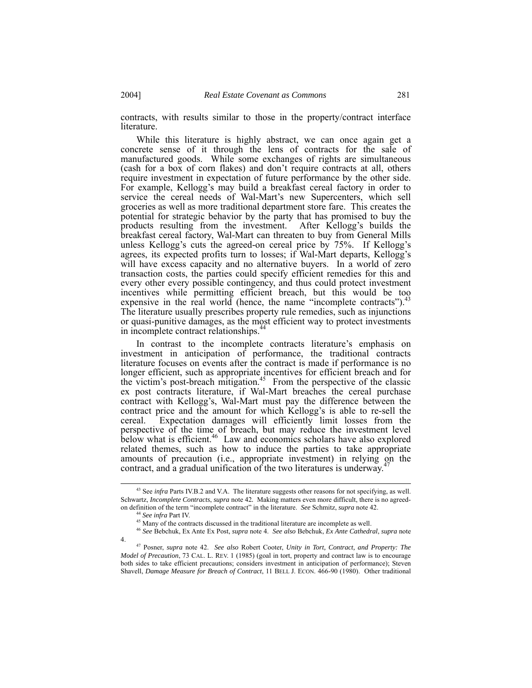contracts, with results similar to those in the property/contract interface literature.

While this literature is highly abstract, we can once again get a concrete sense of it through the lens of contracts for the sale of manufactured goods. While some exchanges of rights are simultaneous (cash for a box of corn flakes) and don't require contracts at all, others require investment in expectation of future performance by the other side. For example, Kellogg's may build a breakfast cereal factory in order to service the cereal needs of Wal-Mart's new Supercenters, which sell groceries as well as more traditional department store fare. This creates the potential for strategic behavior by the party that has promised to buy the products resulting from the investment. After Kellogg's builds the breakfast cereal factory, Wal-Mart can threaten to buy from General Mills unless Kellogg's cuts the agreed-on cereal price by 75%. If Kellogg's agrees, its expected profits turn to losses; if Wal-Mart departs, Kellogg's will have excess capacity and no alternative buyers. In a world of zero transaction costs, the parties could specify efficient remedies for this and every other every possible contingency, and thus could protect investment incentives while permitting efficient breach, but this would be too expensive in the real world (hence, the name "incomplete contracts"). $43$ The literature usually prescribes property rule remedies, such as injunctions or quasi-punitive damages, as the most efficient way to protect investments in incomplete contract relationships.<sup>4</sup>

In contrast to the incomplete contracts literature's emphasis on investment in anticipation of performance, the traditional contracts literature focuses on events after the contract is made if performance is no longer efficient, such as appropriate incentives for efficient breach and for the victim's post-breach mitigation.<sup>45</sup> From the perspective of the classic ex post contracts literature, if Wal-Mart breaches the cereal purchase contract with Kellogg's, Wal-Mart must pay the difference between the contract price and the amount for which Kellogg's is able to re-sell the cereal. Expectation damages will efficiently limit losses from the perspective of the time of breach, but may reduce the investment level below what is efficient.<sup>46</sup> Law and economics scholars have also explored related themes, such as how to induce the parties to take appropriate amounts of precaution (i.e., appropriate investment) in relying on the contract and a credual unification of the two literatures is underway.<sup>[47](#page-12-4)</sup> contract, and a gradual unification of the two literatures is underway.

4.

<span id="page-12-4"></span>

<span id="page-12-0"></span> <sup>43</sup> See *infra* Parts IV.B.2 and V.A. The literature suggests other reasons for not specifying, as well. Schwartz, *Incomplete Contracts*, *supra* note 42*.* Making matters even more difficult, there is no agreedon definition of the term "incomplete contract" in the literature. *See* Schmitz, *supra* note 42.

<span id="page-12-3"></span><span id="page-12-2"></span><span id="page-12-1"></span>

<sup>&</sup>lt;sup>44</sup> See infra Part IV.<br><sup>45</sup> Many of the contracts discussed in the traditional literature are incomplete as well.<br><sup>46</sup> See Bebchuk, Ex Ante Ex Post, *supra* note 4. *See also* Bebchuk, *Ex Ante Cathedral*, *supra* note

<sup>47</sup> Posner, *supra* note 42. *See also* Robert Cooter, *Unity in Tort, Contract, and Property: The Model of Precaution*, 73 CAL. L. REV. 1 (1985) (goal in tort, property and contract law is to encourage both sides to take efficient precautions; considers investment in anticipation of performance); Steven Shavell, *Damage Measure for Breach of Contract*, 11 BELL J. ECON. 466-90 (1980). Other traditional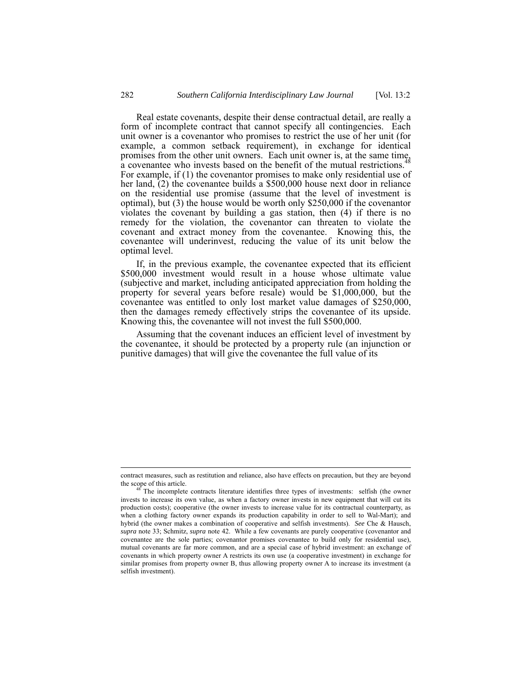Real estate covenants, despite their dense contractual detail, are really a form of incomplete contract that cannot specify all contingencies. Each unit owner is a covenantor who promises to restrict the use of her unit (for example, a common setback requirement), in exchange for identical promises from the other unit owners. Each unit owner is, at the same time,  $\frac{1}{48}$ a covenantee who invests based on the benefit [of](#page-13-0) the mutual restrictions.<sup>48</sup> For example, if (1) the covenantor promises to make only residential use of her land,  $(2)$  the covenantee builds a \$500,000 house next door in reliance on the residential use promise (assume that the level of investment is optimal), but (3) the house would be worth only \$250,000 if the covenantor violates the covenant by building a gas station, then (4) if there is no remedy for the violation, the covenantor can threaten to violate the covenant and extract money from the covenantee. Knowing this, the covenantee will underinvest, reducing the value of its unit below the optimal level.

If, in the previous example, the covenantee expected that its efficient \$500,000 investment would result in a house whose ultimate value (subjective and market, including anticipated appreciation from holding the property for several years before resale) would be \$1,000,000, but the covenantee was entitled to only lost market value damages of \$250,000, then the damages remedy effectively strips the covenantee of its upside. Knowing this, the covenantee will not invest the full \$500,000.

Assuming that the covenant induces an efficient level of investment by the covenantee, it should be protected by a property rule (an injunction or punitive damages) that will give the covenantee the full value of its

contract measures, such as restitution and reliance, also have effects on precaution, but they are beyond

<span id="page-13-0"></span>The incomplete contracts literature identifies three types of investments: selfish (the owner invests to increase its own value, as when a factory owner invests in new equipment that will cut its production costs); cooperative (the owner invests to increase value for its contractual counterparty, as when a clothing factory owner expands its production capability in order to sell to Wal-Mart); and hybrid (the owner makes a combination of cooperative and selfish investments). *See* Che & Hausch, *supra* note 33; Schmitz, *supra* note 42. While a few covenants are purely cooperative (covenantor and covenantee are the sole parties; covenantor promises covenantee to build only for residential use), mutual covenants are far more common, and are a special case of hybrid investment: an exchange of covenants in which property owner A restricts its own use (a cooperative investment) in exchange for similar promises from property owner B, thus allowing property owner A to increase its investment (a selfish investment).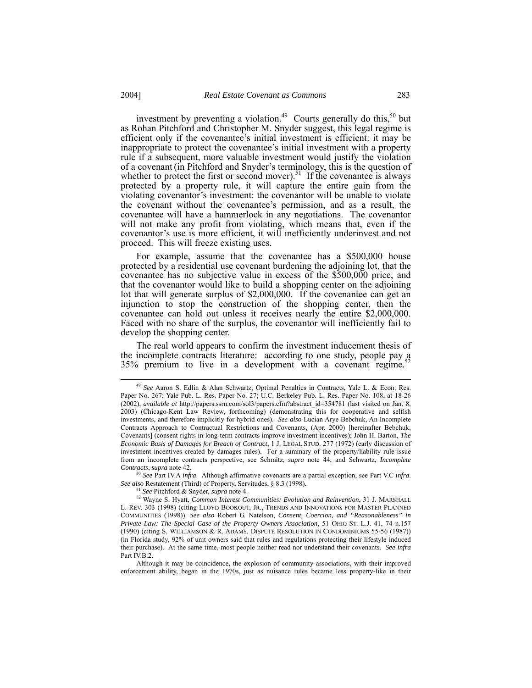<span id="page-14-3"></span>investment by preventing a violation.<sup>49</sup> Courts generally do this,<sup>50</sup> but as Rohan Pitchford and Christopher M. Snyder suggest, this legal regime is efficient only if the covenantee's initial investment is efficient: it may be inappropriate to protect the covenantee's initial investment with a property rule if a subsequent, more valuable investment would justify the violation of a covenant (in Pitchford and Snyder's terminology, this is the question of whether to protect the first or second mover).<sup>51</sup> If the covenantee is always protected by a property rule, it will capture the entire gain from the violating covenantor's investment: the covenantor will be unable to violate the covenant without the covenantee's permission, and as a result, the covenantee will have a hammerlock in any negotiations. The covenantor will not make any profit from violating, which means that, even if the covenantor's use is more efficient, it will inefficiently underinvest and not proceed. This will freeze existing uses.

For example, assume that the covenantee has a \$500,000 house protected by a residential use covenant burdening the adjoining lot, that the covenantee has no subjective value in excess of the \$500,000 price, and that the covenantor would like to build a shopping center on the adjoining lot that will generate surplus of \$2,000,000. If the covenantee can get an injunction to stop the construction of the shopping center, then the covenantee can hold out unless it receives nearly the entire \$2,000,000. Faced with no share of the surplus, the covenantor will inefficiently fail to develop the shopping center.

The real world appears to confirm the investment inducement thesis of the incomplete contracts literature: according to one study, people pay a  $35\%$  premium to live in a development with a covenant regime.<sup>52</sup>

<sup>50</sup> *See* Part IV.A *infra*. Although affirmative covenants are a partial exception, see Part V.C *infra*. *See also* Restatement (Third) of Property, Servitudes, § 8.3 (1998).

Although it may be coincidence, the explosion of community associations, with their improved enforcement ability, began in the 1970s, just as nuisance rules became less property-like in their

<span id="page-14-0"></span> <sup>49</sup> *See* Aaron S. Edlin & Alan Schwartz, Optimal Penalties in Contracts, Yale L. & Econ. Res. Paper No. 267; Yale Pub. L. Res. Paper No. 27; U.C. Berkeley Pub. L. Res. Paper No. 108, at 18-26 (2002), *available at* http://papers.ssrn.com/sol3/papers.cfm?abstract\_id=354781 (last visited on Jan. 8, 2003) (Chicago-Kent Law Review, forthcoming) (demonstrating this for cooperative and selfish investments, and therefore implicitly for hybrid ones). *See also* Lucian Arye Bebchuk, An Incomplete Contracts Approach to Contractual Restrictions and Covenants, (Apr. 2000) [hereinafter Bebchuk, Covenants] (consent rights in long-term contracts improve investment incentives); John H. Barton, *The Economic Basis of Damages for Breach of Contract*, 1 J. LEGAL STUD. 277 (1972) (early discussion of investment incentives created by damages rules). For a summary of the property/liability rule issue from an incomplete contracts perspective, see Schmitz, *supra* note 44, and Schwartz, *Incomplete Contracts*, *supra* note 42.

<span id="page-14-2"></span><span id="page-14-1"></span><sup>51</sup> *See* Pitchford & Snyder, *supra* note 4.

<sup>52</sup> Wayne S. Hyatt, *Common Interest Communities: Evolution and Reinvention*, 31 J. MARSHALL L. REV. 303 (1998) (citing LLOYD BOOKOUT, JR., TRENDS AND INNOVATIONS FOR MASTER PLANNED COMMUNITIES (1998)). *See also* Robert G. Natelson, *Consent, Coercion, and "Reasonableness" in Private Law: The Special Case of the Property Owners Association*, 51 OHIO ST. L.J. 41, 74 n.157 (1990) (citing S. WILLIAMSON & R. ADAMS, DISPUTE RESOLUTION IN CONDOMINIUMS 55-56 (1987)) (in Florida study, 92% of unit owners said that rules and regulations protecting their lifestyle induced their purchase). At the same time, most people neither read nor understand their covenants. *See infra* Part IV.B.2.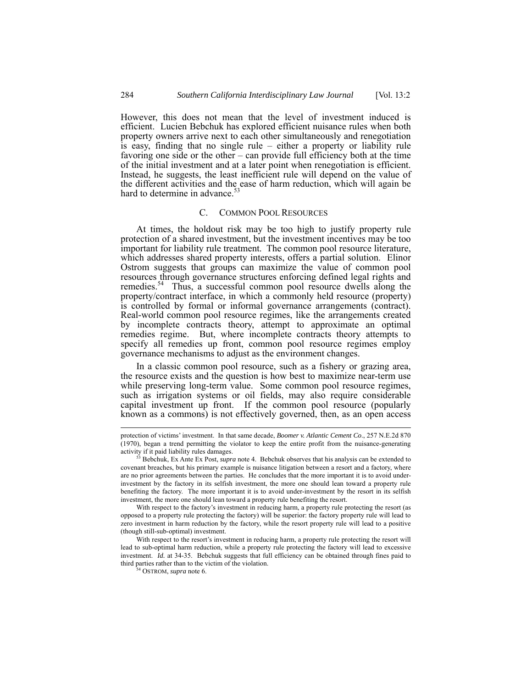However, this does not mean that the level of investment induced is efficient. Lucien Bebchuk has explored efficient nuisance rules when both property owners arrive next to each other simultaneously and renegotiation is easy, finding that no single rule – either a property or liability rule favoring one side or the other – can provide full efficiency both at the time of the initial investment and at a later point when renegotiation is efficient. Instead, he suggests, the least inefficient rule will depend on the value of the different activities and the ease of harm reduction, which will again be hard to determine in advance.<sup>5</sup>

#### <span id="page-15-0"></span>C. COMMON POOL RESOURCES

At times, the holdout risk may be too high to justify property rule protection of a shared investment, but the investment incentives may be too important for liability rule treatment. The common pool resource literature, which addresses shared property interests, offers a partial solution. Elinor Ostrom suggests that groups can maximize the value of common pool resources through governance structures enforcing defined legal rights and remedies.<sup>54</sup> Thus, a successful common pool resource dwells along the property/contract interface, in which a commonly held resource (property) is controlled by formal or informal governance arrangements (contract). Real-world common pool resource regimes, like the arrangements created by incomplete contracts theory, attempt to approximate an optimal remedies regime. But, where incomplete contracts theory attempts to specify all remedies up front, common pool resource regimes employ governance mechanisms to adjust as the environment changes.

In a classic common pool resource, such as a fishery or grazing area, the resource exists and the question is how best to maximize near-term use while preserving long-term value. Some common pool resource regimes, such as irrigation systems or oil fields, may also require considerable capital investment up front. If the common pool resource (popularly known as a commons) is not effectively governed, then, as an open access

protection of victims' investment. In that same decade, *Boomer v. Atlantic Cement Co*., 257 N.E.2d 870 (1970), began a trend permitting the violator to keep the entire profit from the nuisance-generating activity if it paid liability rules damages. 53 Bebchuk, Ex Ante Ex Post, *supra* note 4. Bebchuk observes that his analysis can be extended to

<span id="page-15-1"></span>covenant breaches, but his primary example is nuisance litigation between a resort and a factory, where are no prior agreements between the parties. He concludes that the more important it is to avoid underinvestment by the factory in its selfish investment, the more one should lean toward a property rule benefiting the factory. The more important it is to avoid under-investment by the resort in its selfish investment, the more one should lean toward a property rule benefiting the resort.

With respect to the factory's investment in reducing harm, a property rule protecting the resort (as opposed to a property rule protecting the factory) will be superior: the factory property rule will lead to zero investment in harm reduction by the factory, while the resort property rule will lead to a positive (though still-sub-optimal) investment.

With respect to the resort's investment in reducing harm, a property rule protecting the resort will lead to sub-optimal harm reduction, while a property rule protecting the factory will lead to excessive investment. *Id.* at 34-35. Bebchuk suggests that full efficiency can be obtained through fines paid to third parties rather than to the victim of the violation.

<span id="page-15-2"></span><sup>54</sup> OSTROM, *supra* note 6.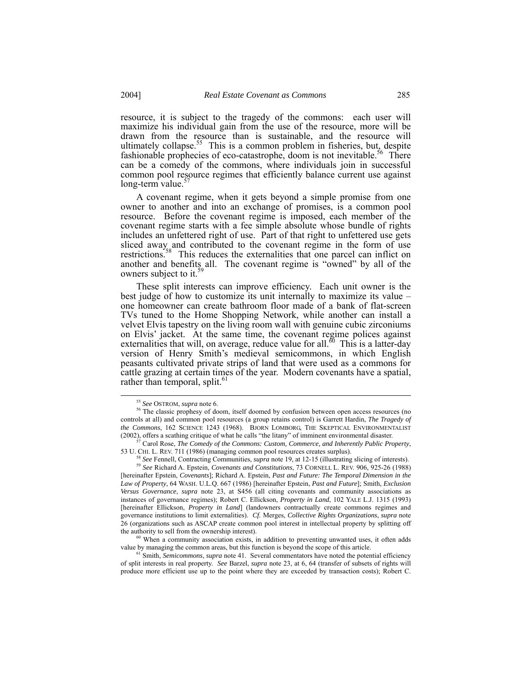<span id="page-16-6"></span>resource, it is subject to the tragedy of the commons: each user will maximize his individual gain from the use of the resource, more will be drawn from the resource than is sustainable, and the resource will ultimately collapse.<sup>55</sup> This is a common problem in fisheries, but, despite fashionable prophecies of eco-catastrophe, doom is not inevitable.<sup>56</sup> There can be a comedy of the commons, where individuals join in successful common pool resource regimes that efficiently balance current use against  $long-term value.$ 

A covenant regime, when it gets beyond a simple promise from one owner to another and into an exchange of promises, is a common pool resource. Before the covenant regime is imposed, each member of the covenant regime starts with a fee simple absolute whose bundle of rights includes an unfettered right of use. Part of that right to unfettered use gets sliced away and contributed to the covenant regime in the form of use restrictions.<sup>58</sup> This reduces the externalities that one parcel can inflict on another and benefits all. The covenant regime is "owned" by all of the owners subject to it.<sup>5</sup>

These split interests can improve efficiency. Each unit owner is the best judge of how to customize its unit internally to maximize its value – one homeowner can create bathroom floor made of a bank of flat-screen TVs tuned to the Home Shopping Network, while another can install a velvet Elvis tapestry on the living room wall with genuine cubic zirconiums on Elvis' jacket. At the same time, the covenant regime polices against externalities that will, on average, reduce value for all.<sup>60</sup> This is a latter-day version of Henry Smith's medieval semicommons, in which English peasants cultivated private strips of land that were used as a commons for cattle grazing at certain times of the year. Modern covenants have a spatial, rather than temporal, split. $\degree$ 

61 Smith, *Semicommons*, *supra* note 41. Several commentators have noted the potential efficiency of split interests in real property. *See* Barzel, *supra* note 23, at 6, 64 (transfer of subsets of rights will produce more efficient use up to the point where they are exceeded by transaction costs); Robert C.

<span id="page-16-1"></span><span id="page-16-0"></span> <sup>55</sup> *See* OSTROM, *supra* note 6.

<sup>&</sup>lt;sup>56</sup> The classic prophesy of doom, itself doomed by confusion between open access resources (no controls at all) and common pool resources (a group retains control) is Garrett Hardin, *The Tragedy of the Commons*, 162 SCIENCE 1243 (1968). BJORN LOMBORG, THE SKEPTICAL ENVIRONMENTALIST (2002), offers a scathing critique of what he calls "the litany" of imminent environmental disaster. 57 Carol Rose, *The Comedy of the Commons: Custom, Commerce, and Inherently Public Property*,

<sup>53</sup> U. CHI. L. REV. 711 (1986) (managing common pool resources creates surplus).<br><sup>58</sup> See Fennell, Contracting Communities, *supra* note 19, at 12-15 (illustrating slicing of interests).

<span id="page-16-4"></span><span id="page-16-3"></span><span id="page-16-2"></span>

<sup>58</sup> *See* Fennell, Contracting Communities, *supra* note 19, at 12-15 (illustrating slicing of interests). 59 *See* Richard A. Epstein, *Covenants and Constitutions*, 73 CORNELL L. REV. 906, 925-26 (1988) [hereinafter Epstein, *Covenants*]; Richard A. Epstein, *Past and Future: The Temporal Dimension in the Law of Property*, 64 WASH. U.L.Q. 667 (1986) [hereinafter Epstein, *Past and Future*]; Smith, *Exclusion Versus Governance*, *supra* note 23, at S456 (all citing covenants and community associations as instances of governance regimes); Robert C. Ellickson, *Property in Land*, 102 YALE L.J. 1315 (1993) [hereinafter Ellickson, *Property in Land*] (landowners contractually create commons regimes and governance institutions to limit externalities). *Cf.* Merges, *Collective Rights Organizations*, *supra* note 26 (organizations such as ASCAP create common pool interest in intellectual property by splitting off the authority to sell from the ownership interest).<br><sup>60</sup> When a community association exists, in addition to preventing unwanted uses, it often adds

<span id="page-16-5"></span>value by managing the common areas, but this function is beyond the scope of this article.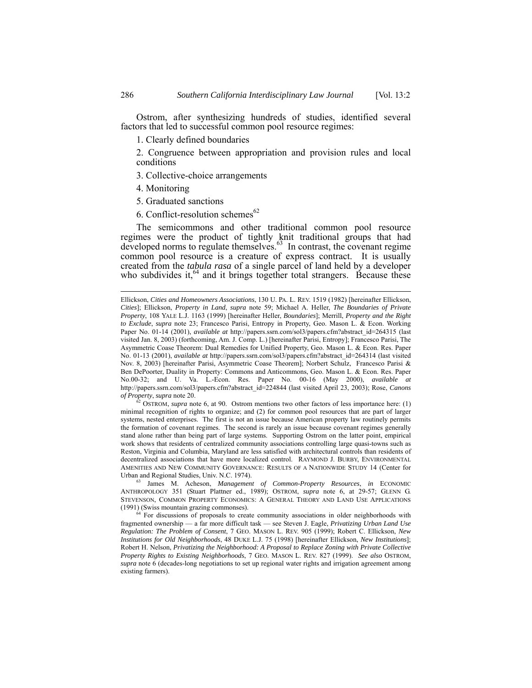Ostrom, after synthesizing hundreds of studies, identified several factors that led to successful common pool resource regimes:

1. Clearly defined boundaries

2. Congruence between appropriation and provision rules and local conditions

3. Collective-choice arrangements

- 4. Monitoring
- 5. Graduated sanctions
- 6. Conflict-resolution schemes $62$

The semicommons and other traditional common pool resource regimes were the product of tightly knit traditional groups that had developed norms to regulate themselves.<sup>63</sup> In contrast, the covenant regime common pool resource is a creature of express contract. It is usually created from the *tabula rasa* of a single parcel of land held by a developer who subdivides it, $64$  and it brings together total strangers. Because these

<span id="page-17-0"></span>62 OSTROM, *supra* note 6, at 90. Ostrom mentions two other factors of less importance here: (1) minimal recognition of rights to organize; and (2) for common pool resources that are part of larger systems, nested enterprises. The first is not an issue because American property law routinely permits the formation of covenant regimes. The second is rarely an issue because covenant regimes generally stand alone rather than being part of large systems. Supporting Ostrom on the latter point, empirical work shows that residents of centralized community associations controlling large quasi-towns such as Reston, Virginia and Columbia, Maryland are less satisfied with architectural controls than residents of decentralized associations that have more localized control. RAYMOND J. BURBY, ENVIRONMENTAL AMENITIES AND NEW COMMUNITY GOVERNANCE: RESULTS OF A NATIONWIDE STUDY 14 (Center for Urban and Regional Studies, Univ. N.C. 1974).

<span id="page-17-1"></span>63 James M. Acheson, *Management of Common-Property Resources*, *in* ECONOMIC ANTHROPOLOGY 351 (Stuart Plattner ed., 1989); OSTROM, *supra* note 6, at 29-57; GLENN G. STEVENSON, COMMON PROPERTY ECONOMICS: A GENERAL THEORY AND LAND USE APPLICATIONS (1991) (Swiss mountain grazing commonses).

<span id="page-17-2"></span><sup>64</sup> For discussions of proposals to create community associations in older neighborhoods with fragmented ownership — a far more difficult task — see Steven J. Eagle, *Privatizing Urban Land Use Regulation: The Problem of Consent*, 7 GEO. MASON L. REV. 905 (1999); Robert C. Ellickson, *New Institutions for Old Neighborhoods*, 48 DUKE L.J. 75 (1998) [hereinafter Ellickson, *New Institutions*]; Robert H. Nelson, *Privatizing the Neighborhood: A Proposal to Replace Zoning with Private Collective Property Rights to Existing Neighborhoods*, 7 GEO. MASON L. REV. 827 (1999). *See also* OSTROM, *supra* note 6 (decades-long negotiations to set up regional water rights and irrigation agreement among existing farmers).

Ellickson, *Cities and Homeowners Associations*, 130 U. PA. L. REV. 1519 (1982) [hereinafter Ellickson, *Cities*]; Ellickson, *Property in Land*, *supra* note 59; Michael A. Heller, *The Boundaries of Private Property*, 108 YALE L.J. 1163 (1999) [hereinafter Heller, *Boundaries*]; Merrill, *Property and the Right to Exclude*, *supra* note 23; Francesco Parisi, Entropy in Property, Geo. Mason L. & Econ. Working Paper No. 01-14 (2001), *available at* http://papers.ssrn.com/sol3/papers.cfm?abstract\_id=264315 (last visited Jan. 8, 2003) (forthcoming, Am. J. Comp. L.) [hereinafter Parisi, Entropy]; Francesco Parisi, The Asymmetric Coase Theorem: Dual Remedies for Unified Property, Geo. Mason L. & Econ. Res. Paper No. 01-13 (2001), *available at* http://papers.ssrn.com/sol3/papers.cfm?abstract\_id=264314 (last visited Nov. 8, 2003) [hereinafter Parisi, Asymmetric Coase Theorem]; Norbert Schulz, Francesco Parisi & Ben DePoorter, Duality in Property: Commons and Anticommons, Geo. Mason L. & Econ. Res. Paper No.00-32; and U. Va. L.-Econ. Res. Paper No. 00-16 (May 2000), *available at* http://papers.ssrn.com/sol3/papers.cfm?abstract\_id=224844 (last visited April 23, 2003); Rose, *Canons of Property*, *supra* note 20.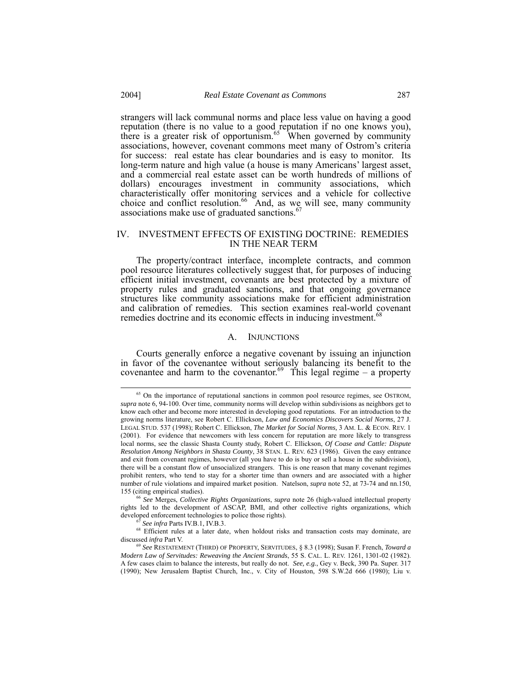strangers will lack communal norms and place less value on having a good reputation (there is no value to a good reputation if no one knows you), there is a greater risk of opportunism.<sup>65</sup> When governed by community associations, however, covenant commons meet many of Ostrom's criteria for success: real estate has clear boundaries and is easy to monitor. Its long-term nature and high value (a house is many Americans' largest asset, and a commercial real estate asset can be worth hundreds of millions of dollars) encourages investment in community associations, which characteristically offer monitoring services and a vehicle for collective choice and conflict resolution. $66$  And, as we will see, many community associations make use of graduated sanctions.<sup>6</sup>

## <span id="page-18-0"></span>IV. INVESTMENT EFFECTS OF EXISTING DOCTRINE: REMEDIES IN THE NEAR TERM

The property/contract interface, incomplete contracts, and common pool resource literatures collectively suggest that, for purposes of inducing efficient initial investment, covenants are best protected by a mixture of property rules and graduated sanctions, and that ongoing governance structures like community associations make for efficient administration and calibration of remedies. This section examines real-world covenant remedies doctrine and its economic effects in inducing investment.<sup>6</sup>

## A. INJUNCTIONS

Courts generally enforce a negative covenant by issuing an injunction in favor of the covenantee without seriously balancing its benefit to the covenantee and harm to the covenantor.<sup> $69$ </sup> This legal regime – a property

<span id="page-18-5"></span>

<span id="page-18-1"></span><sup>&</sup>lt;sup>65</sup> On the importance of reputational sanctions in common pool resource regimes, see OSTROM, *supra* note 6, 94-100. Over time, community norms will develop within subdivisions as neighbors get to know each other and become more interested in developing good reputations. For an introduction to the growing norms literature, see Robert C. Ellickson, *Law and Economics Discovers Social Norms*, 27 J. LEGAL STUD. 537 (1998); Robert C. Ellickson, *The Market for Social Norms,* 3 AM. L. & ECON. REV. 1 (2001). For evidence that newcomers with less concern for reputation are more likely to transgress local norms, see the classic Shasta County study, Robert C. Ellickson, *Of Coase and Cattle: Dispute Resolution Among Neighbors in Shasta County*, 38 STAN. L. REV. 623 (1986). Given the easy entrance and exit from covenant regimes, however (all you have to do is buy or sell a house in the subdivision), there will be a constant flow of unsocialized strangers. This is one reason that many covenant regimes prohibit renters, who tend to stay for a shorter time than owners and are associated with a higher number of rule violations and impaired market position. Natelson, *supra* note 52, at 73-74 and nn.150, 155 (citing empirical studies). 66 *See* Merges, *Collective Rights Organizations*, *supra* note 26 (high-valued intellectual property

<span id="page-18-2"></span>rights led to the development of ASCAP, BMI, and other collective rights organizations, which developed enforcement technologies to police those rights).<br>
<sup>67</sup> See infra Parts IV.B.1, IV.B.3.

<span id="page-18-4"></span><span id="page-18-3"></span>

<sup>&</sup>lt;sup>68</sup> Efficient rules at a later date, when holdout risks and transaction costs may dominate, are discussed *infra* Part V.

<sup>69</sup> *See* RESTATEMENT (THIRD) OF PROPERTY, SERVITUDES, § 8.3 (1998); Susan F. French, *Toward a Modern Law of Servitudes: Reweaving the Ancient Strands*, 55 S. CAL. L. REV. 1261, 1301-02 (1982). A few cases claim to balance the interests, but really do not. *See, e.g.*, Gey v. Beck, 390 Pa. Super. 317 (1990); New Jerusalem Baptist Church, Inc., v. City of Houston, 598 S.W.2d 666 (1980); Liu v.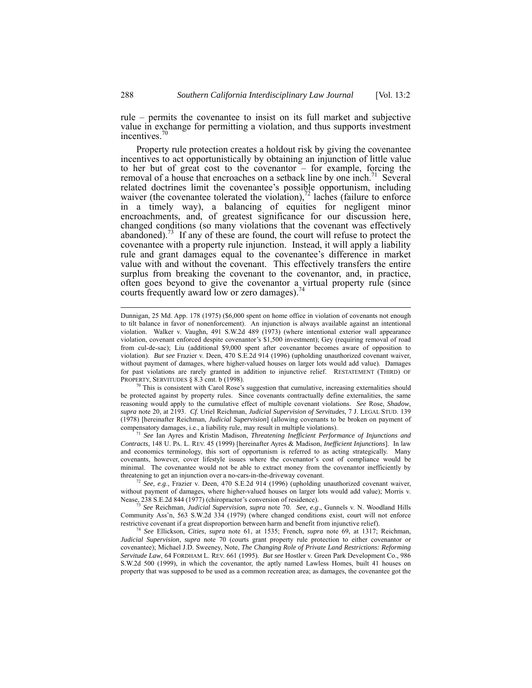<span id="page-19-4"></span>rule – permits the covenantee to insist on its full market and subjective value in exchange for permitting a violation, and thus supports investment incentives.<sup>7</sup>

Property rule protection creates a holdout risk by giving the covenantee incentives to act opportunistically by obtaining an injunction of little value to her but of great cost to the covenantor – for example, forcing the removal of a house that encroaches on a setback line by one inch.<sup>71</sup> Several related doctrines limit the covenantee's possible opportunism, including waiver (the covenantee tolerated the violation), $\frac{72}{2}$  laches (failure to enforce in a timely way), a balancing of equities for negligent minor encroachments, and, of greatest significance for our discussion here, changed conditions (so many violations that the covenant was effectively abandoned).<sup>73</sup> If any of these are found, the court will refuse to protect the covenantee with a property rule injunction. Instead, it will apply a liability rule and grant damages equal to the covenantee's difference in market value with and without the covenant. This effectively transfers the entire surplus from breaking the covenant to the covenantor, and, in practice, often goes beyond to give the covenantor a virtual property rule (since courts frequently award low or zero damages).<sup>[74](#page-19-4)</sup>

<span id="page-19-0"></span> $70$  This is consistent with Carol Rose's suggestion that cumulative, increasing externalities should be protected against by property rules. Since covenants contractually define externalities, the same reasoning would apply to the cumulative effect of multiple covenant violations. *See* Rose, *Shadow*, *supra* note 20, at 2193. *Cf.* Uriel Reichman, *Judicial Supervision of Servitudes*, 7 J. LEGAL STUD. 139 (1978) [hereinafter Reichman, *Judicial Supervision*] (allowing covenants to be broken on payment of

<span id="page-19-1"></span>compensatory damages, i.e., a liability rule, may result in multiple violations). 71 *See* Ian Ayres and Kristin Madison, *Threatening Inefficient Performance of Injunctions and Contracts*, 148 U. PA. L. REV. 45 (1999) [hereinafter Ayres & Madison, *Inefficient Injunctions*]. In law and economics terminology, this sort of opportunism is referred to as acting strategically. Many covenants, however, cover lifestyle issues where the covenantor's cost of compliance would be minimal. The covenantee would not be able to extract money from the covenantor inefficiently by threatening to get an injunction over a no-cars-in-the-driveway covenant.

<span id="page-19-2"></span><sup>72</sup> *See, e.g*., Frazier v. Deen, 470 S.E.2d 914 (1996) (upholding unauthorized covenant waiver, without payment of damages, where higher-valued houses on larger lots would add value); Morris v. Nease, 238 S.E.2d 844 (1977) (chiropractor's conversion of residence).

<span id="page-19-3"></span><sup>73</sup> *See* Reichman, *Judicial Supervision*, *supra* note 70. *See, e.g*., Gunnels v. N. Woodland Hills Community Ass'n, 563 S.W.2d 334 (1979) (where changed conditions exist, court will not enforce restrictive covenant if a great disproportion between harm and benefit from injunctive relief).

<sup>74</sup> *See* Ellickson, *Cities*, *supra* note 61, at 1535; French, *supra* note 69, at 1317; Reichman, *Judicial Supervision*, *supra* note 70 (courts grant property rule protection to either covenantor or covenantee); Michael J.D. Sweeney, Note, *The Changing Role of Private Land Restrictions: Reforming Servitude Law*, 64 FORDHAM L. REV. 661 (1995). *But see* Hostler v. Green Park Development Co., 986 S.W.2d 500 (1999), in which the covenantor, the aptly named Lawless Homes, built 41 houses on property that was supposed to be used as a common recreation area; as damages, the covenantee got the

Dunnigan, 25 Md. App. 178 (1975) (\$6,000 spent on home office in violation of covenants not enough to tilt balance in favor of nonenforcement). An injunction is always available against an intentional violation. Walker v. Vaughn, 491 S.W.2d 489 (1973) (where intentional exterior wall appearance violation, covenant enforced despite covenantor's \$1,500 investment); Gey (requiring removal of road from cul-de-sac); Liu (additional \$9,000 spent after covenantor becomes aware of opposition to violation). *But see* Frazier v. Deen, 470 S.E.2d 914 (1996) (upholding unauthorized covenant waiver, without payment of damages, where higher-valued houses on larger lots would add value). Damages for past violations are rarely granted in addition to injunctive relief. RESTATEMENT (THIRD) OF PROPERTY, SERVITUDES § 8.3 cmt. b (1998).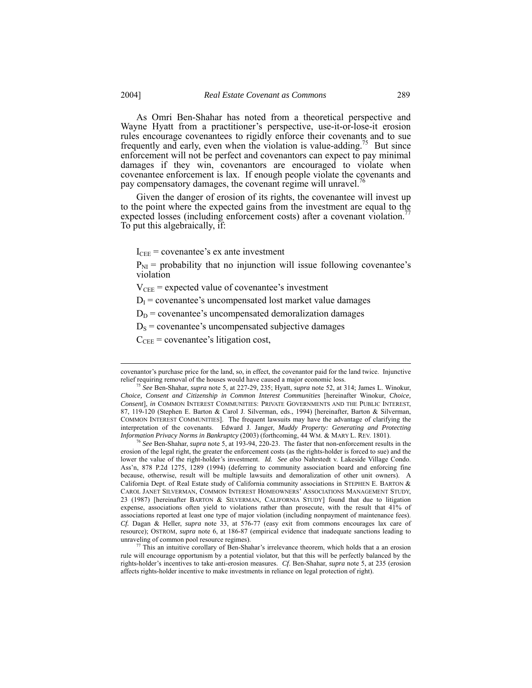As Omri Ben-Shahar has noted from a theoretical perspective and Wayne Hyatt from a practitioner's perspective, use-it-or-lose-it erosion rules encourage covenantees to rigidly enforce their covenants and to sue frequently and early, even when the violation is value-adding.<sup> $\beta$ </sup> But since enforcement will not be perfect and covenantors can expect to pay minimal damages if they win, covenantors are encouraged to violate when covenantee enforcement is lax. If enough people violate the covenants and pay compensatory damages, the covenant regime will unravel.<sup>7</sup>

Given the danger of erosion of its rights, the covenantee will invest up to the point where the expected gains from the investment are equal to the expected losses (including enforcement costs) after a covenant violation. To put this algebraically, if:

 $I_{\text{CEE}}$  = covenantee's ex ante investment

 $P_{NI}$  = probability that no injunction will issue following covenantee's violation

 $V_{\text{CEE}}$  = expected value of covenantee's investment

 $D_I$  = covenantee's uncompensated lost market value damages

 $D<sub>D</sub>$  = covenantee's uncompensated demoralization damages

 $D<sub>S</sub>$  = covenantee's uncompensated subjective damages

 $C_{\text{CEE}}$  = covenantee's litigation cost,

covenantor's purchase price for the land, so, in effect, the covenantor paid for the land twice. Injunctive relief requiring removal of the houses would have caused a major economic loss.

<span id="page-20-0"></span><sup>75</sup> *See* Ben-Shahar, *supra* note 5, at 227-29, 235; Hyatt, *supra* note 52, at 314; James L. Winokur, *Choice, Consent and Citizenship in Common Interest Communities* [hereinafter Winokur, *Choice, Consent*], *in* COMMON INTEREST COMMUNITIES: PRIVATE GOVERNMENTS AND THE PUBLIC INTEREST, 87, 119-120 (Stephen E. Barton & Carol J. Silverman, eds., 1994) [hereinafter, Barton & Silverman, COMMON INTEREST COMMUNITIES]. The frequent lawsuits may have the advantage of clarifying the interpretation of the covenants. Edward J. Janger, *Muddy Property: Generating and Protecting Information Privacy Norms in Bankruptcy* (2003) (forthcoming, 44 WM. & MARY L. REV. 1801).

<span id="page-20-1"></span><sup>76</sup> *See* Ben-Shahar, *supra* note 5, at 193-94, 220-23. The faster that non-enforcement results in the erosion of the legal right, the greater the enforcement costs (as the rights-holder is forced to sue) and the lower the value of the right-holder's investment. *Id. See also* Nahrstedt v. Lakeside Village Condo. Ass'n, 878 P.2d 1275, 1289 (1994) (deferring to community association board and enforcing fine because, otherwise, result will be multiple lawsuits and demoralization of other unit owners). A California Dept. of Real Estate study of California community associations in STEPHEN E. BARTON & CAROL JANET SILVERMAN, COMMON INTEREST HOMEOWNERS' ASSOCIATIONS MANAGEMENT STUDY, 23 (1987) [hereinafter BARTON & SILVERMAN, CALIFORNIA STUDY] found that due to litigation expense, associations often yield to violations rather than prosecute, with the result that 41% of associations reported at least one type of major violation (including nonpayment of maintenance fees). *Cf.* Dagan & Heller, *supra* note 33, at 576-77 (easy exit from commons encourages lax care of resource); OSTROM, *supra* note 6, at 186-87 (empirical evidence that inadequate sanctions leading to unraveling of common pool resource regimes).

<span id="page-20-2"></span><sup>77</sup> This an intuitive corollary of Ben-Shahar's irrelevance theorem, which holds that a an erosion rule will encourage opportunism by a potential violator, but that this will be perfectly balanced by the rights-holder's incentives to take anti-erosion measures. *Cf*. Ben-Shahar, *supra* note 5, at 235 (erosion affects rights-holder incentive to make investments in reliance on legal protection of right).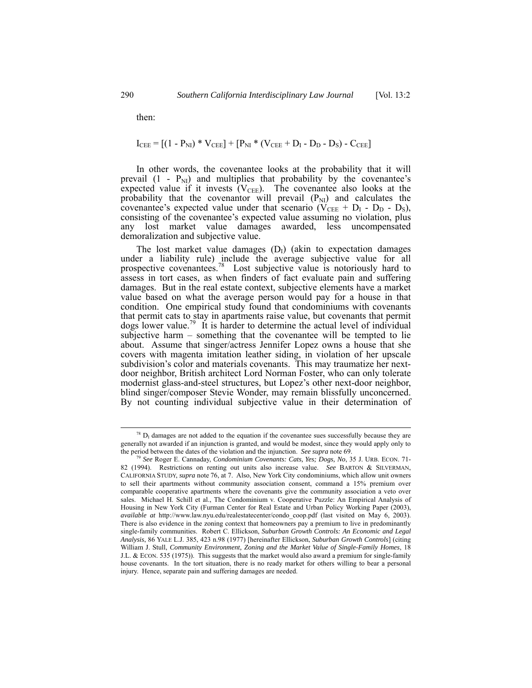then:

$$
I_{\text{CEE}} = [(1 - P_{\text{NI}}) * V_{\text{CEE}}] + [P_{\text{NI}} * (V_{\text{CEE}} + D_{\text{I}} - D_{\text{D}} - D_{\text{S}}) - C_{\text{CEE}}]
$$

In other words, the covenantee looks at the probability that it will prevail  $(1 - P_{NI})$  and multiplies that probability by the covenantee's expected value if it invests  $(V_{\text{CEE}})$ . The covenantee also looks at the probability that the covenantor will prevail  $(P_{\text{NI}})$  and calculates the covenantee's expected value under that scenario ( $\dot{V}_{\text{CEE}} + D_I - D_D - D_S$ ), consisting of the covenantee's expected value assuming no violation, plus any lost market value damages awarded, less uncompensated demoralization and subjective value.

The lost market value damages  $(D<sub>I</sub>)$  (akin to expectation damages under a liability rule) include the average subjective value for all prospective covenantees.<sup>78</sup> Lost subjective value is notoriously hard to assess in tort cases, as when finders of fact evaluate pain and suffering damages. But in the real estate context, subjective elements have a market value based on what the average person would pay for a house in that condition. One empirical study found that condominiums with covenants that permit cats to stay in apartments raise value, but covenants that permit dogs lower value.<sup>79</sup> It is harder to determine the actual level of individual subjective harm – something that the covenantee will be tempted to lie about. Assume that singer/actress Jennifer Lopez owns a house that she covers with magenta imitation leather siding, in violation of her upscale subdivision's color and materials covenants. This may traumatize her nextdoor neighbor, British architect Lord Norman Foster, who can only tolerate modernist glass-and-steel structures, but Lopez's other next-door neighbor, blind singer/composer Stevie Wonder, may remain blissfully unconcerned. By not counting individual subjective value in their determination of

<span id="page-21-0"></span> $78$  D<sub>I</sub> damages are not added to the equation if the covenantee sues successfully because they are generally not awarded if an injunction is granted, and would be modest, since they would apply only to the period between the dates of the violation and the injunction. *See supra* note 69.

<span id="page-21-1"></span><sup>79</sup> *See* Roger E. Cannaday, *Condominium Covenants: Cats, Yes; Dogs, No*, 35 J. URB. ECON. 71- 82 (1994). Restrictions on renting out units also increase value. *See* BARTON & SILVERMAN, CALIFORNIA STUDY, *supra* note 76, at 7. Also, New York City condominiums, which allow unit owners to sell their apartments without community association consent, command a 15% premium over comparable cooperative apartments where the covenants give the community association a veto over sales. Michael H. Schill et al., The Condominium v. Cooperative Puzzle: An Empirical Analysis of Housing in New York City (Furman Center for Real Estate and Urban Policy Working Paper (2003), *available at* http://www.law.nyu.edu/realestatecenter/condo\_coop.pdf (last visited on May 6, 2003). There is also evidence in the zoning context that homeowners pay a premium to live in predominantly single-family communities. Robert C. Ellickson, *Suburban Growth Controls: An Economic and Legal Analysis*, 86 YALE L.J. 385, 423 n.98 (1977) [hereinafter Ellickson, *Suburban Growth Controls*] (citing William J. Stull, *Community Environment, Zoning and the Market Value of Single-Family Homes*, 18 J.L.  $& ECON. 535 (1975))$ . This suggests that the market would also award a premium for single-family house covenants. In the tort situation, there is no ready market for others willing to bear a personal injury. Hence, separate pain and suffering damages are needed.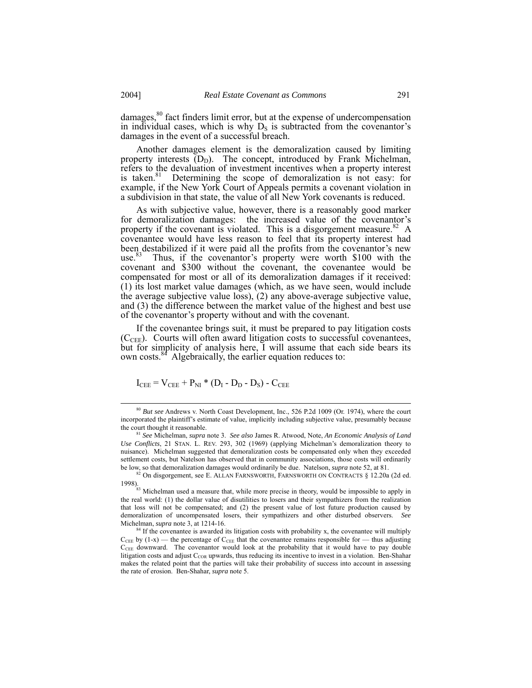damages, $80$  fact finders limit error, but at the expense of undercompensation in individual cases, which is why  $D<sub>S</sub>$  is subtracted from the covenantor's damages in the event of a successful breach.

Another damages element is the demoralization caused by limiting property interests  $(D_D)$ . The concept, introduced by Frank Michelman, refers to the devaluation of investment incentives when a property interest is taken. $81$  Determining the scope of demoralization is not easy: for example, if the New York Court of Appeals permits a covenant violation in a subdivision in that state, the value of all New York covenants is reduced.

As with subjective value, however, there is a reasonably good marker for demoralization damages: the increased value of the covenantor's property if the covenant is violated. This is a disgorgement measure.<sup>82</sup> A covenantee would have less reason to feel that its property interest had been destabilized if it were paid all the profits from the covenantor's new use.<sup>83</sup> Thus, if the covenantor's property were worth \$100 with the covenant and \$300 without the covenant, the covenantee would be compensated for most or all of its demoralization damages if it received: (1) its lost market value damages (which, as we have seen, would include the average subjective value loss), (2) any above-average subjective value, and (3) the difference between the market value of the highest and best use of the covenantor's property without and with the covenant.

If the covenantee brings suit, it must be prepared to pay litigation costs  $(C_{CEE})$ . Courts will often award litigation costs to successful covenantees, but for simplicity of analysis here, I will assume that each side bears its own costs.<sup>84</sup> Algebraically, the earlier equation reduces to:

$$
I_{\text{CEE}} = V_{\text{CEE}} + P_{\text{NI}} * (D_{\text{I}} - D_{\text{D}} - D_{\text{S}}) - C_{\text{CEE}}
$$

<span id="page-22-0"></span> <sup>80</sup> *But see* Andrews v. North Coast Development, Inc., 526 P.2d 1009 (Or. 1974), where the court incorporated the plaintiff's estimate of value, implicitly including subjective value, presumably because the court thought it reasonable.

<span id="page-22-1"></span><sup>81</sup> *See* Michelman, *supra* note 3. *See also* James R. Atwood, Note, *An Economic Analysis of Land Use Conflicts*, 21 STAN. L. REV. 293, 302 (1969) (applying Michelman's demoralization theory to nuisance). Michelman suggested that demoralization costs be compensated only when they exceeded settlement costs, but Natelson has observed that in community associations, those costs will ordinarily be low, so that demoralization damages would ordinarily be due. Natelson, *supra* note 52, at 81.

<span id="page-22-2"></span><sup>82</sup> On disgorgement, see E. ALLAN FARNSWORTH, FARNSWORTH ON CONTRACTS § 12.20a (2d ed. 1998).

<span id="page-22-3"></span><sup>&</sup>lt;sup>83</sup> Michelman used a measure that, while more precise in theory, would be impossible to apply in the real world: (1) the dollar value of disutilities to losers and their sympathizers from the realization that loss will not be compensated; and (2) the present value of lost future production caused by demoralization of uncompensated losers, their sympathizers and other disturbed observers. *See* Michelman, *supra* note 3, at 1214-16.

<span id="page-22-4"></span><sup>&</sup>lt;sup>84</sup> If the covenantee is awarded its litigation costs with probability x, the covenantee will multiply  $C_{\text{CEE}}$  by (1-x) — the percentage of  $C_{\text{CEE}}$  that the covenantee remains responsible for — thus adjusting  $C_{\text{CEE}}$  downward. The covenantor would look at the probability that it would have to pay double litigation costs and adjust  $C_{COR}$  upwards, thus reducing its incentive to invest in a violation. Ben-Shahar makes the related point that the parties will take their probability of success into account in assessing the rate of erosion. Ben-Shahar, *supra* note 5.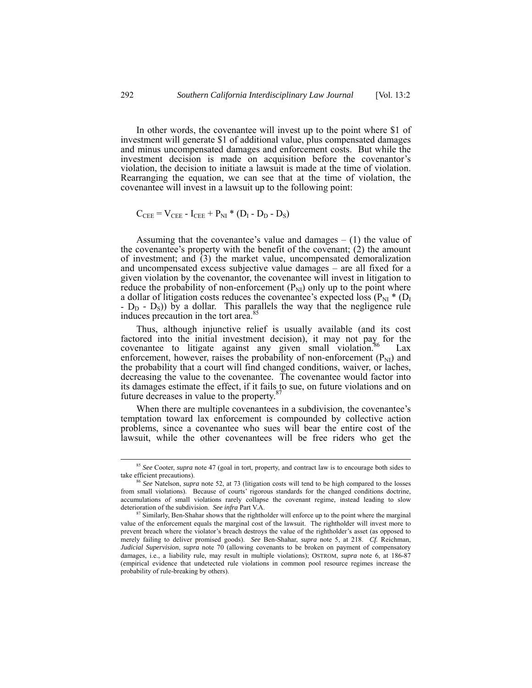In other words, the covenantee will invest up to the point where \$1 of investment will generate \$1 of additional value, plus compensated damages and minus uncompensated damages and enforcement costs. But while the investment decision is made on acquisition before the covenantor's violation, the decision to initiate a lawsuit is made at the time of violation. Rearranging the equation, we can see that at the time of violation, the covenantee will invest in a lawsuit up to the following point:

$$
C_{\text{CEE}} = V_{\text{CEE}} - I_{\text{CEE}} + P_{\text{NI}} * (D_{\text{I}} - D_{\text{D}} - D_{\text{S}})
$$

Assuming that the covenantee's value and damages  $- (1)$  the value of the covenantee's property with the benefit of the covenant; (2) the amount of investment; and (3) the market value, uncompensated demoralization and uncompensated excess subjective value damages – are all fixed for a given violation by the covenantor, the covenantee will invest in litigation to reduce the probability of non-enforcement  $(P_{NI})$  only up to the point where a dollar of litigation costs reduces the covenantee's expected loss ( $P_{NI}$  \* ( $D_{I}$  $-D_D - D_S$ ) by a dollar. This parallels the way that the negligence rule induces precaution in the tort area.<sup>85</sup>

Thus, although injunctive relief is usually available (and its cost factored into the initial investment decision), it may not pay for the covenantee to litigate against any given small violation.<sup>86</sup> Lax enforcement, however, raises the probability of non-enforcement  $(P_{NI})$  and the probability that a court will find changed conditions, waiver, or laches, decreasing the value to the covenantee. The covenantee would factor into its damages estimate the effect, if it fails to sue, on future violations and on<br>future degreeses in value to the property  $\frac{87}{2}$  $\frac{87}{2}$  $\frac{87}{2}$ future decreases in value to the property.

When there are multiple covenantees in a subdivision, the covenantee's temptation toward lax enforcement is compounded by collective action problems, since a covenantee who sues will bear the entire cost of the lawsuit, while the other covenantees will be free riders who get the

<span id="page-23-0"></span><sup>&</sup>lt;sup>85</sup> *See* Cooter, *supra* note 47 (goal in tort, property, and contract law is to encourage both sides to take efficient precautions).

<span id="page-23-1"></span><sup>&</sup>lt;sup>86</sup> See Natelson, *supra* note 52, at 73 (litigation costs will tend to be high compared to the losses from small violations). Because of courts' rigorous standards for the changed conditions doctrine, accumulations of small violations rarely collapse the covenant regime, instead leading to slow deterioration of the subdivision. See infra Part V.A.

<span id="page-23-2"></span><sup>&</sup>lt;sup>87</sup> Similarly, Ben-Shahar shows that the rightholder will enforce up to the point where the marginal value of the enforcement equals the marginal cost of the lawsuit. The rightholder will invest more to prevent breach where the violator's breach destroys the value of the rightholder's asset (as opposed to merely failing to deliver promised goods). *See* Ben-Shahar, *supra* note 5, at 218. *Cf.* Reichman, *Judicial Supervision*, *supra* note 70 (allowing covenants to be broken on payment of compensatory damages, i.e., a liability rule, may result in multiple violations); OSTROM, *supra* note 6, at 186-87 (empirical evidence that undetected rule violations in common pool resource regimes increase the probability of rule-breaking by others).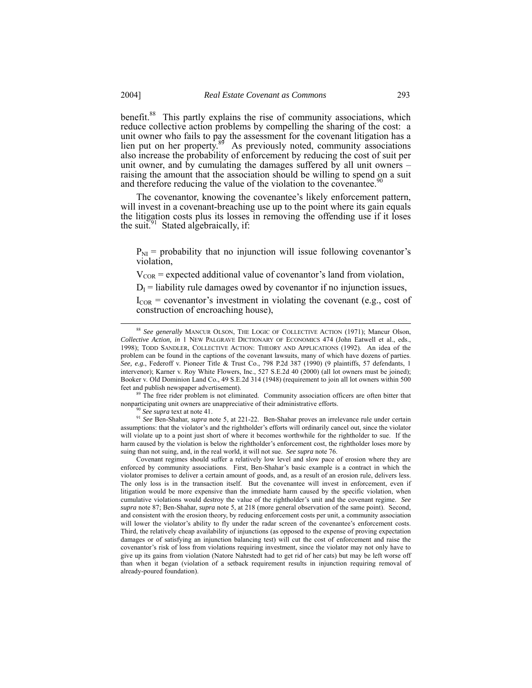benefit.<sup>88</sup> This partly explains the rise of community associations, which reduce collective action problems by compelling the sharing of the cost: a unit owner who fails to pay the assessment for the covenant litigation has a lien put on her property.<sup>89</sup> As previously noted, community associations also increase the probability of enforcement by reducing the cost of suit per unit owner, and by cumulating the damages suffered by all unit owners – raising the amount that the association should be willing to spend on a suit and therefore reducing the value of the violation to the covenantee.<sup>9</sup>

The covenantor, knowing the covenantee's likely enforcement pattern, will invest in a covenant-breaching use up to the point where its gain equals the litigation costs plus its losses in removing the offending use if it loses the suit.<sup>91</sup> Stated algebraically, if:

 $P_{\text{NI}}$  = probability that no injunction will issue following covenantor's violation,

 $V_{COR}$  = expected additional value of covenantor's land from violation,

 $D_I$  = liability rule damages owed by covenantor if no injunction issues,

 $I_{COR}$  = covenantor's investment in violating the covenant (e.g., cost of construction of encroaching house),

<sup>89</sup> The free rider problem is not eliminated. Community association officers are often bitter that nonparticipating unit owners are unappreciative of their administrative efforts.

<span id="page-24-3"></span><span id="page-24-2"></span><span id="page-24-1"></span><sup>90</sup> *See supra* text at note 41.

<sup>91</sup> *See* Ben-Shahar, *supra* note 5, at 221-22. Ben-Shahar proves an irrelevance rule under certain assumptions: that the violator's and the rightholder's efforts will ordinarily cancel out, since the violator will violate up to a point just short of where it becomes worthwhile for the rightholder to sue. If the harm caused by the violation is below the rightholder's enforcement cost, the rightholder loses more by suing than not suing, and, in the real world, it will not sue. *See supra* note 76.

Covenant regimes should suffer a relatively low level and slow pace of erosion where they are enforced by community associations. First, Ben-Shahar's basic example is a contract in which the violator promises to deliver a certain amount of goods, and, as a result of an erosion rule, delivers less. The only loss is in the transaction itself. But the covenantee will invest in enforcement, even if litigation would be more expensive than the immediate harm caused by the specific violation, when cumulative violations would destroy the value of the rightholder's unit and the covenant regime. *See supra* note 87; Ben-Shahar, *supra* note 5, at 218 (more general observation of the same point). Second, and consistent with the erosion theory, by reducing enforcement costs per unit, a community association will lower the violator's ability to fly under the radar screen of the covenantee's enforcement costs. Third, the relatively cheap availability of injunctions (as opposed to the expense of proving expectation damages or of satisfying an injunction balancing test) will cut the cost of enforcement and raise the covenantor's risk of loss from violations requiring investment, since the violator may not only have to give up its gains from violation (Natore Nahrstedt had to get rid of her cats) but may be left worse off than when it began (violation of a setback requirement results in injunction requiring removal of already-poured foundation).

<span id="page-24-0"></span> <sup>88</sup> *See generally* MANCUR OLSON, THE LOGIC OF COLLECTIVE ACTION (1971); Mancur Olson, *Collective Action, in* 1 NEW PALGRAVE DICTIONARY OF ECONOMICS 474 (John Eatwell et al., eds., 1998); TODD SANDLER, COLLECTIVE ACTION: THEORY AND APPLICATIONS (1992). An idea of the problem can be found in the captions of the covenant lawsuits, many of which have dozens of parties. *See, e.g.*, Federoff v. Pioneer Title & Trust Co., 798 P.2d 387 (1990) (9 plaintiffs, 57 defendants, 1 intervenor); Karner v. Roy White Flowers, Inc., 527 S.E.2d 40 (2000) (all lot owners must be joined); Booker v. Old Dominion Land Co., 49 S.E.2d 314 (1948) (requirement to join all lot owners within 500 feet and publish newspaper advertisement).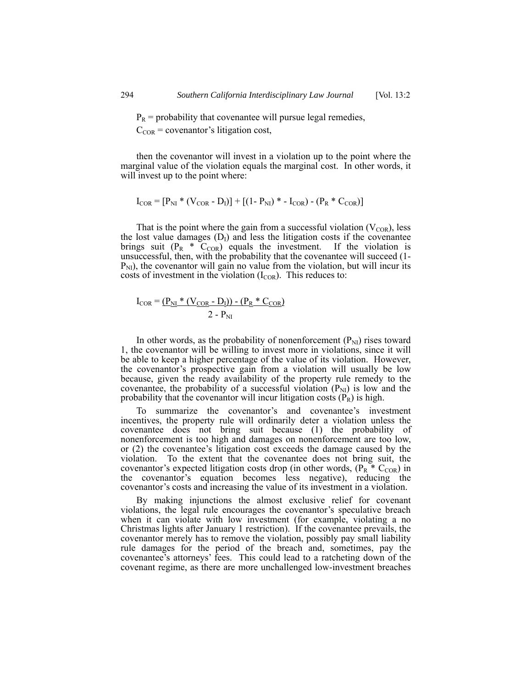$P_R$  = probability that covenantee will pursue legal remedies,

 $C_{COR}$  = covenantor's litigation cost,

then the covenantor will invest in a violation up to the point where the marginal value of the violation equals the marginal cost. In other words, it will invest up to the point where:

$$
I_{COR} = [P_{NI} * (V_{COR} - D_I)] + [(1 - P_{NI}) * - I_{COR}) - (P_R * C_{COR})]
$$

That is the point where the gain from a successful violation  $(V_{COR})$ , less the lost value damages  $(D<sub>I</sub>)$  and less the litigation costs if the covenantee brings suit  $(P_R \cdot \tilde{C}_{COR})$  equals the investment. If the violation is unsuccessful, then, with the probability that the covenantee will succeed (1-  $P_{\text{NI}}$ , the covenantor will gain no value from the violation, but will incur its costs of investment in the violation  $(I_{COR})$ . This reduces to:

$$
I_{COR} = \frac{(P_{NI} * (V_{COR} - D_I)) - (P_R * C_{COR})}{2 - P_{NI}}
$$

In other words, as the probability of nonenforcement  $(P_{NI})$  rises toward 1, the covenantor will be willing to invest more in violations, since it will be able to keep a higher percentage of the value of its violation. However, the covenantor's prospective gain from a violation will usually be low because, given the ready availability of the property rule remedy to the covenantee, the probability of a successful violation  $(P_{NI})$  is low and the probability that the covenantor will incur litigation costs  $(P_R)$  is high.

To summarize the covenantor's and covenantee's investment incentives, the property rule will ordinarily deter a violation unless the covenantee does not bring suit because (1) the probability of nonenforcement is too high and damages on nonenforcement are too low, or (2) the covenantee's litigation cost exceeds the damage caused by the violation. To the extent that the covenantee does not bring suit, the covenantor's expected litigation costs drop (in other words,  $(P_R \times C_{COR})$  in the covenantor's equation becomes less negative), reducing the covenantor's costs and increasing the value of its investment in a violation.

By making injunctions the almost exclusive relief for covenant violations, the legal rule encourages the covenantor's speculative breach when it can violate with low investment (for example, violating a no Christmas lights after January 1 restriction). If the covenantee prevails, the covenantor merely has to remove the violation, possibly pay small liability rule damages for the period of the breach and, sometimes, pay the covenantee's attorneys' fees. This could lead to a ratcheting down of the covenant regime, as there are more unchallenged low-investment breaches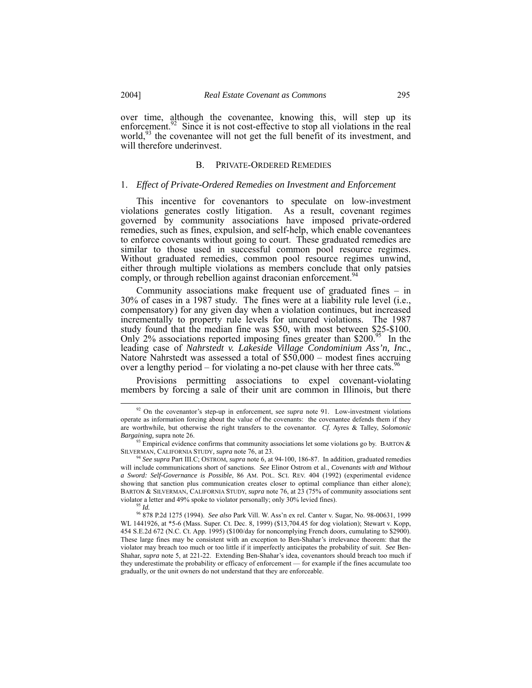over time, although the covenantee, knowing this, will step up its enforcement.<sup>92</sup> Since it is not cost-effective to stop all violations in the real world,<sup>93</sup> the covenantee will not get the full benefit of its investment, and will therefore underinvest.

#### B. PRIVATE-ORDERED REMEDIES

#### 1. *Effect of Private-Ordered Remedies on Investment and Enforcement*

This incentive for covenantors to speculate on low-investment violations generates costly litigation. As a result, covenant regimes governed by community associations have imposed private-ordered remedies, such as fines, expulsion, and self-help, which enable covenantees to enforce covenants without going to court. These graduated remedies are similar to those used in successful common pool resource regimes. Without graduated remedies, common pool resource regimes unwind, either through multiple violations as members conclude that only patsies comply, or through rebellion against draconian enforcement.<sup>94</sup>

Community associations make frequent use of graduated fines – in 30% of cases in a 1987 study. The fines were at a liability rule level (i.e., compensatory) for any given day when a violation continues, but increased incrementally to property rule levels for uncured violations. The 1987 study found that the median fine was \$50, with most between \$25-\$100. Only 2% associations reported imposing fines greater than \$200.<sup>95</sup> In the leading case of *Nahrstedt v. Lakeside Village Condominium Ass'n, Inc*., Natore Nahrstedt was assessed a total of \$50,000 – modest fines accruing over a lengthy period – for violating a no-pet clause with her three cats.  $96$ 

Provisions permitting associations to expel covenant-violating members by forcing a sale of their unit are common in Illinois, but there

<span id="page-26-0"></span><sup>&</sup>lt;sup>92</sup> On the covenantor's step-up in enforcement, see *supra* note 91. Low-investment violations operate as information forcing about the value of the covenants: the covenantee defends them if they are worthwhile, but otherwise the right transfers to the covenantor. *Cf.* Ayres & Talley, *Solomonic Bargaining,* supra note 26.

<span id="page-26-1"></span> $93$  Empirical evidence confirms that community associations let some violations go by. BARTON  $\&$ SILVERMAN, CALIFORNIA STUDY*, supra* note 76, at 23.

<span id="page-26-2"></span><sup>94</sup> *See supra* Part III.C; OSTROM, *supra* note 6, at 94-100, 186-87. In addition, graduated remedies will include communications short of sanctions. *See* Elinor Ostrom et al., *Covenants with and Without a Sword: Self-Governance is Possible*, 86 AM. POL. SCI. REV. 404 (1992) (experimental evidence showing that sanction plus communication creates closer to optimal compliance than either alone); BARTON & SILVERMAN, CALIFORNIA STUDY, *supra* note 76, at 23 (75% of community associations sent violator a letter and 49% spoke to violator personally; only 30% levied fines).

<span id="page-26-4"></span><span id="page-26-3"></span><sup>95</sup> *Id.*

<sup>96 878</sup> P.2d 1275 (1994). *See also* Park Vill. W. Ass'n ex rel. Canter v. Sugar, No. 98-00631, 1999 WL 1441926, at \*5-6 (Mass. Super. Ct. Dec. 8, 1999) (\$13,704.45 for dog violation); Stewart v. Kopp, 454 S.E.2d 672 (N.C. Ct. App. 1995) (\$100/day for noncomplying French doors, cumulating to \$2900). These large fines may be consistent with an exception to Ben-Shahar's irrelevance theorem: that the violator may breach too much or too little if it imperfectly anticipates the probability of suit. *See* Ben-Shahar, *supra* note 5, at 221-22. Extending Ben-Shahar's idea, covenantors should breach too much if they underestimate the probability or efficacy of enforcement — for example if the fines accumulate too gradually, or the unit owners do not understand that they are enforceable.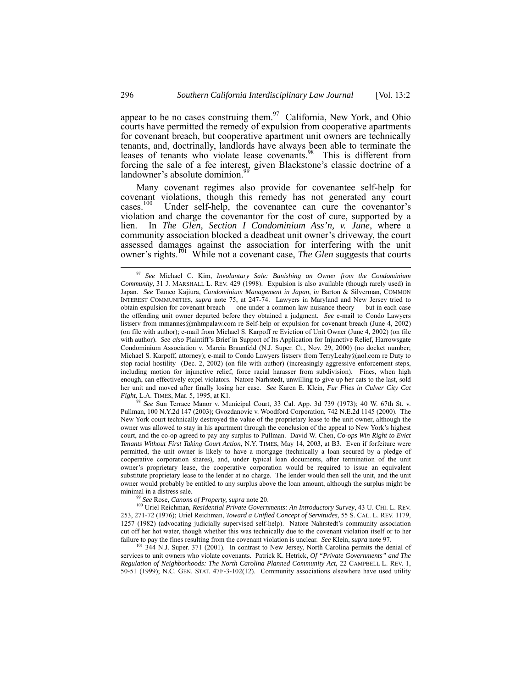<span id="page-27-4"></span>appear to be no cases construing them.<sup>97</sup> California, New York, and Ohio courts have permitted the remedy of expulsion from cooperative apartments for covenant breach, but cooperative apartment unit owners are technically tenants, and, doctrinally, landlords have always been able to terminate the leases of tenants who violate lease covenants.<sup>98</sup> This is different from forcing the sale of a fee interest, given Blackstone's classic doctrine of a landowner's absolute dominion.

Many covenant regimes also provide for covenantee self-help for covenant violations, though this remedy has not generated any court cases.<sup>100</sup> Under self-help, the covenantee can cure the covenantor's Under self-help, the covenantee can cure the covenantor's violation and charge the covenantor for the cost of cure, supported by a lien. In *The Glen, Section I Condominium Ass'n, v. June*, where a community association blocked a deadbeat unit owner's driveway, the court assessed damages against the association for interfering with the unit owner's rights.[101](#page-27-4) While not a covenant case, *The Glen* suggests that courts

<span id="page-27-1"></span><sup>98</sup> *See* Sun Terrace Manor v. Municipal Court, 33 Cal. App. 3d 739 (1973); 40 W. 67th St. v. Pullman, 100 N.Y.2d 147 (2003); Gvozdanovic v. Woodford Corporation, 742 N.E.2d 1145 (2000). The New York court technically destroyed the value of the proprietary lease to the unit owner, although the owner was allowed to stay in his apartment through the conclusion of the appeal to New York's highest court, and the co-op agreed to pay any surplus to Pullman. David W. Chen, *Co-ops Win Right to Evict Tenants Without First Taking Court Action*, N.Y. TIMES, May 14, 2003, at B3. Even if forfeiture were permitted, the unit owner is likely to have a mortgage (technically a loan secured by a pledge of cooperative corporation shares), and, under typical loan documents, after termination of the unit owner's proprietary lease, the cooperative corporation would be required to issue an equivalent substitute proprietary lease to the lender at no charge. The lender would then sell the unit, and the unit owner would probably be entitled to any surplus above the loan amount, although the surplus might be minimal in a distress sale. 99 *See* Rose, *Canons of Property, supra* note 20.

<span id="page-27-3"></span><span id="page-27-2"></span>

100 Uriel Reichman, *Residential Private Governments: An Introductory Survey*, 43 U. CHI. L. REV. 253, 271-72 (1976); Uriel Reichman, *Toward a Unified Concept of Servitudes*, 55 S. CAL. L. REV. 1179, 1257 (1982) (advocating judicially supervised self-help). Natore Nahrstedt's community association cut off her hot water, though whether this was technically due to the covenant violation itself or to her failure to pay the fines resulting from the covenant violation is unclear. *See* Klein, *supra* note 97.

101 344 N.J. Super. 371 (2001). In contrast to New Jersey, North Carolina permits the denial of services to unit owners who violate covenants. Patrick K. Hetrick, *Of "Private Governments" and The Regulation of Neighborhoods: The North Carolina Planned Community Act*, 22 CAMPBELL L. REV. 1, 50-51 (1999); N.C. GEN. STAT. 47F-3-102(12). Community associations elsewhere have used utility

<span id="page-27-0"></span> <sup>97</sup> *See* Michael C. Kim, *Involuntary Sale: Banishing an Owner from the Condominium Community*, 31 J. MARSHALL L. REV. 429 (1998). Expulsion is also available (though rarely used) in Japan. *See* Tsuneo Kajiura, *Condominium Management in Japan*, *in* Barton & Silverman, COMMON INTEREST COMMUNITIES, *supra* note 75, at 247-74. Lawyers in Maryland and New Jersey tried to obtain expulsion for covenant breach — one under a common law nuisance theory — but in each case the offending unit owner departed before they obtained a judgment. *See* e-mail to Condo Lawyers listserv from mmannes@mhmpalaw.com re Self-help or expulsion for covenant breach (June 4, 2002) (on file with author); e-mail from Michael S. Karpoff re Eviction of Unit Owner (June 4, 2002) (on file with author). *See also* Plaintiff's Brief in Support of Its Application for Injunctive Relief, Harrowsgate Condominium Association v. Marcia Braunfeld (N.J. Super. Ct., Nov. 29, 2000) (no docket number; Michael S. Karpoff, attorney); e-mail to Condo Lawyers listserv from TerryLeahy@aol.com re Duty to stop racial hostility (Dec. 2, 2002) (on file with author) (increasingly aggressive enforcement steps, including motion for injunctive relief, force racial harasser from subdivision). Fines, when high enough, can effectively expel violators. Natore Narhstedt, unwilling to give up her cats to the last, sold her unit and moved after finally losing her case. *See* Karen E. Klein, *Fur Flies in Culver City Cat Fight*, L.A. TIMES, Mar. 5, 1995, at K1.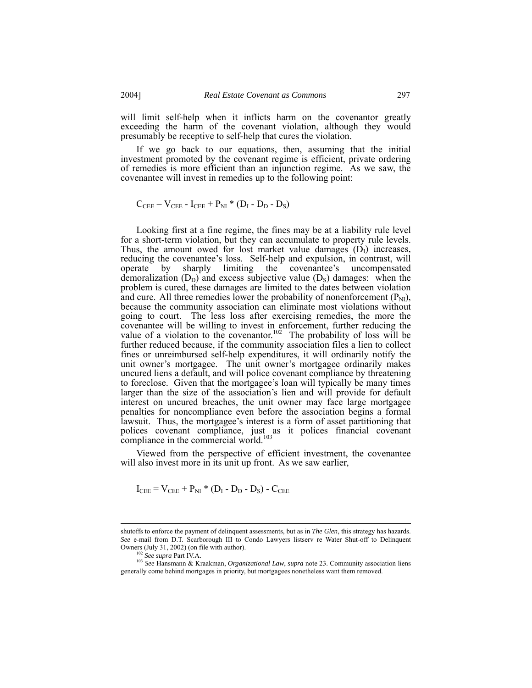will limit self-help when it inflicts harm on the covenantor greatly exceeding the harm of the covenant violation, although they would presumably be receptive to self-help that cures the violation.

If we go back to our equations, then, assuming that the initial investment promoted by the covenant regime is efficient, private ordering of remedies is more efficient than an injunction regime. As we saw, the covenantee will invest in remedies up to the following point:

$$
C_{\text{CEE}} = V_{\text{CEE}} - I_{\text{CEE}} + P_{\text{NI}} * (D_{\text{I}} - D_{\text{D}} - D_{\text{S}})
$$

Looking first at a fine regime, the fines may be at a liability rule level for a short-term violation, but they can accumulate to property rule levels. Thus, the amount owed for lost market value damages  $(D_1)$  increases, reducing the covenantee's loss. Self-help and expulsion, in contrast, will operate by sharply limiting the covenantee's uncompensated demoralization  $(D_D)$  and excess subjective value  $(D_S)$  damages: when the problem is cured, these damages are limited to the dates between violation and cure. All three remedies lower the probability of nonenforcement  $(P_{NI})$ , because the community association can eliminate most violations without going to court. The less loss after exercising remedies, the more the covenantee will be willing to invest in enforcement, further reducing the value of a violation to the covenantor.<sup>102</sup> The probability of loss will be further reduced because, if the community association files a lien to collect fines or unreimbursed self-help expenditures, it will ordinarily notify the unit owner's mortgagee. The unit owner's mortgagee ordinarily makes uncured liens a default, and will police covenant compliance by threatening to foreclose. Given that the mortgagee's loan will typically be many times larger than the size of the association's lien and will provide for default interest on uncured breaches, the unit owner may face large mortgagee penalties for noncompliance even before the association begins a formal lawsuit. Thus, the mortgagee's interest is a form of asset partitioning that polices covenant compliance, just as it polices financial covenant compliance in the commercial world.<sup>103</sup>

Viewed from the perspective of efficient investment, the covenantee will also invest more in its unit up front. As we saw earlier,

$$
I_{\text{CEE}} = V_{\text{CEE}} + P_{\text{NI}} \cdot (D_{\text{I}} - D_{\text{D}} - D_{\text{S}}) - C_{\text{CEE}}
$$

shutoffs to enforce the payment of delinquent assessments, but as in *The Glen*, this strategy has hazards. *See* e-mail from D.T. Scarborough III to Condo Lawyers listserv re Water Shut-off to Delinquent Owners (July 31, 2002) (on file with author).<br><sup>102</sup> See supra Part IV.A.

<span id="page-28-1"></span><span id="page-28-0"></span>

<sup>&</sup>lt;sup>103</sup> See Hansmann & Kraakman, *Organizational Law*, *supra* note 23. Community association liens generally come behind mortgages in priority, but mortgagees nonetheless want them removed.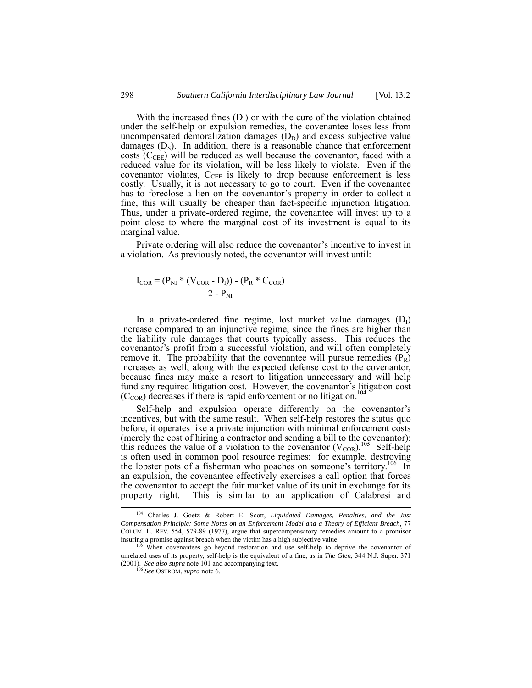With the increased fines  $(D<sub>I</sub>)$  or with the cure of the violation obtained under the self-help or expulsion remedies, the covenantee loses less from uncompensated demoralization damages  $(D<sub>D</sub>)$  and excess subjective value damages  $(D<sub>S</sub>)$ . In addition, there is a reasonable chance that enforcement costs ( $C_{\text{CEE}}$ ) will be reduced as well because the covenantor, faced with a reduced value for its violation, will be less likely to violate. Even if the covenantor violates,  $C_{\text{CEE}}$  is likely to drop because enforcement is less costly. Usually, it is not necessary to go to court. Even if the covenantee has to foreclose a lien on the covenantor's property in order to collect a fine, this will usually be cheaper than fact-specific injunction litigation. Thus, under a private-ordered regime, the covenantee will invest up to a point close to where the marginal cost of its investment is equal to its marginal value.

Private ordering will also reduce the covenantor's incentive to invest in a violation. As previously noted, the covenantor will invest until:

$$
I_{COR} = \frac{(P_{NI} * (V_{COR} - D_I)) - (P_R * C_{COR})}{2 - P_{NI}}
$$

In a private-ordered fine regime, lost market value damages  $(D<sub>1</sub>)$ increase compared to an injunctive regime, since the fines are higher than the liability rule damages that courts typically assess. This reduces the covenantor's profit from a successful violation, and will often completely remove it. The probability that the covenantee will pursue remedies  $(P_R)$  increases as well, along with the expected defense cost to the covenantor, because fines may make a resort to litigation unnecessary and will help fund any required litigation cost. However, the covenantor's litigation cost  $(C<sub>COR</sub>)$  decreases if there is rapid enforcement or no litigation.<sup>1</sup>

Self-help and expulsion operate differently on the covenantor's incentives, but with the same result. When self-help restores the status quo before, it operates like a private injunction with minimal enforcement costs (merely the cost of hiring a contractor and sending a bill to the covenantor): this reduces the value of a violation to the covenantor  $(V_{COR})$ .<sup>105</sup> Self-help is often used in common pool resource regimes: for example, destroying the lobster pots of a fisherman who poaches on someone's territory.<sup>106</sup> In an expulsion, the covenantee effectively exercises a call option that forces the covenantor to accept the fair market value of its unit in exchange for its property right. This is similar to an application of Calabresi and

<span id="page-29-0"></span> <sup>104</sup> Charles J. Goetz & Robert E. Scott, *Liquidated Damages, Penalties, and the Just Compensation Principle: Some Notes on an Enforcement Model and a Theory of Efficient Breach,* 77 COLUM. L. REV. 554, 579-89 (1977), argue that supercompensatory remedies amount to a promisor

<span id="page-29-1"></span>When covenantees go beyond restoration and use self-help to deprive the covenantor of unrelated uses of its property, self-help is the equivalent of a fine, as in *The Glen*, 344 N.J. Super. 371 (2001). *See also supra* note 101 and accompanying text. 106 *See* OSTROM, *supra* note 6.

<span id="page-29-2"></span>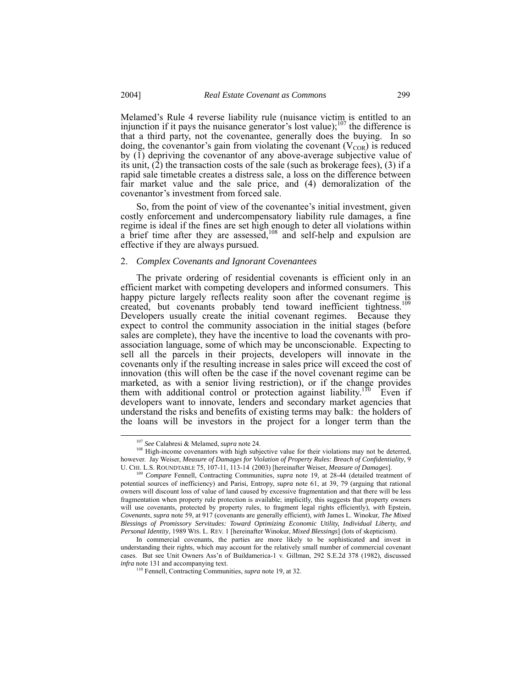Melamed's Rule 4 reverse liability rule (nuisance victim is entitled to an injunction if it pays the nuisance generator's lost value);<sup>107</sup> the difference is that a third party, not the covenantee, generally does the buying. In so doing, the covenantor's gain from violating the covenant  $(V_{COR})$  is reduced by (1) depriving the covenantor of any above-average subjective value of its unit, (2) the transaction costs of the sale (such as brokerage fees), (3) if a rapid sale timetable creates a distress sale, a loss on the difference between fair market value and the sale price, and (4) demoralization of the covenantor's investment from forced sale.

So, from the point of view of the covenantee's initial investment, given costly enforcement and undercompensatory liability rule damages, a fine regime is ideal if the fines are set high enough to deter all violations within a brief time after they are assessed,<sup>108</sup> and self-help and expulsion are effective if they are always pursued.

#### 2. *Complex Covenants and Ignorant Covenantees*

The private ordering of residential covenants is efficient only in an efficient market with competing developers and informed consumers. This happy picture largely reflects reality soon after the covenant regime is created, but covenants probably tend toward inefficient tightness.<sup>109</sup> Developers usually create the initial covenant regimes. Because they expect to control the community association in the initial stages (before sales are complete), they have the incentive to load the covenants with proassociation language, some of which may be unconscionable. Expecting to sell all the parcels in their projects, developers will innovate in the covenants only if the resulting increase in sales price will exceed the cost of innovation (this will often be the case if the novel covenant regime can be marketed, as with a senior living restriction), or if the change provides them with additional control or protection against liability.<sup>110</sup> Even if developers want to innovate, lenders and secondary market agencies that understand the risks and benefits of existing terms may balk: the holders of the loans will be investors in the project for a longer term than the

<span id="page-30-1"></span><span id="page-30-0"></span> <sup>107</sup> *See* Calabresi & Melamed, *supra* note 24.

<sup>&</sup>lt;sup>108</sup> High-income covenantors with high subjective value for their violations may not be deterred, however. Jay Weiser, *Measure of Damages for Violation of Property Rules: Breach of Confidentiality*, 9 U. CHI. L.S. ROUNDTABLE 75, 107-11, 113-14 (2003) [hereinafter Weiser, *Measure of Damages*].<br><sup>109</sup> *Compare* Fennell, Contracting Communities, *supra* note 19, at 28-44 (detailed treatment of

<span id="page-30-2"></span>potential sources of inefficiency) and Parisi, Entropy, *supra* note 61, at 39, 79 (arguing that rational owners will discount loss of value of land caused by excessive fragmentation and that there will be less fragmentation when property rule protection is available; implicitly, this suggests that property owners will use covenants, protected by property rules, to fragment legal rights efficiently), *with* Epstein, *Covenants*, *supra* note 59, at 917 (covenants are generally efficient), *with* James L. Winokur, *The Mixed Blessings of Promissory Servitudes: Toward Optimizing Economic Utility, Individual Liberty, and Personal Identity*, 1989 WIS. L. REV. 1 [hereinafter Winokur, *Mixed Blessings*] (lots of skepticism).

In commercial covenants, the parties are more likely to be sophisticated and invest in understanding their rights, which may account for the relatively small number of commercial covenant cases. But see Unit Owners Ass'n of Buildamerica-1 v. Gillman, 292 S.E.2d 378 (1982), discussed *infra* note 131 and accompanying text.<br><sup>110</sup> Fennell, Contracting Communities, *supra* note 19, at 32.

<span id="page-30-3"></span>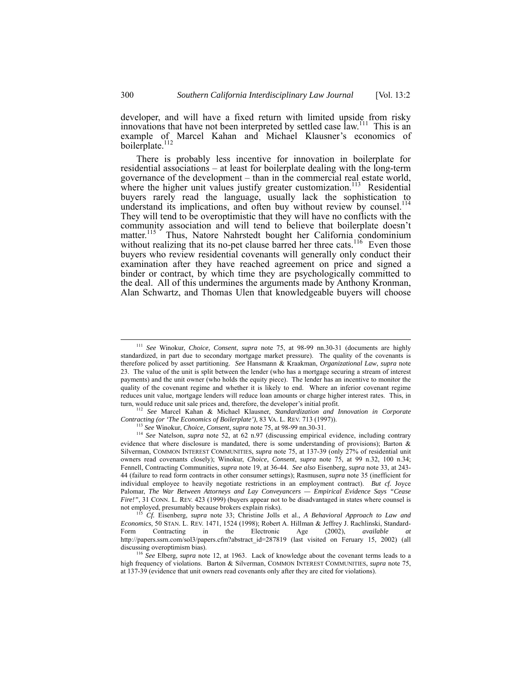developer, and will have a fixed return with limited upside from risky innovations that have not been interpreted by settled case law.<sup>111</sup> This is an example of Marcel Kahan and Michael Klausner's economics of boilerplate.<sup>112</sup>

There is probably less incentive for innovation in boilerplate for residential associations – at least for boilerplate dealing with the long-term governance of the development – than in the commercial real estate world, where the higher unit values justify greater customization.<sup>113</sup> Residential buyers rarely read the language, usually lack the sophistication to understand its implications, and often buy without review by counsel. [114](#page-31-3) They will tend to be overoptimistic that they will have no conflicts with the community association and will tend to believe that boilerplate doesn't matter.<sup>115</sup> Thus, Natore Nahrstedt bought her California condominium without realizing that its no-pet clause barred her three cats.<sup>116</sup> Even those buyers who review residential covenants will generally only conduct their examination after they have reached agreement on price and signed a binder or contract, by which time they are psychologically committed to the deal. All of this undermines the arguments made by Anthony Kronman, Alan Schwartz, and Thomas Ulen that knowledgeable buyers will choose

*Contracting (or 'The Economics of Boilerplate')*, 83 VA. L. REV. 713 (1997)).

<span id="page-31-0"></span> <sup>111</sup> *See* Winokur, *Choice, Consent*, *supra* note 75, at 98-99 nn.30-31 (documents are highly standardized, in part due to secondary mortgage market pressure). The quality of the covenants is therefore policed by asset partitioning. *See* Hansmann & Kraakman, *Organizational Law*, *supra* note 23. The value of the unit is split between the lender (who has a mortgage securing a stream of interest payments) and the unit owner (who holds the equity piece). The lender has an incentive to monitor the quality of the covenant regime and whether it is likely to end. Where an inferior covenant regime reduces unit value, mortgage lenders will reduce loan amounts or charge higher interest rates. This, in turn, would reduce unit sale prices and, therefore, the developer's initial profit. 112 *See* Marcel Kahan & Michael Klausner, *Standardization and Innovation in Corporate*

<span id="page-31-3"></span><span id="page-31-2"></span><span id="page-31-1"></span><sup>113</sup> *See* Winokur, *Choice, Consent*, *supra* note 75, at 98-99 nn.30-31.

<sup>&</sup>lt;sup>114</sup> *See* Natelson, *supra* note 52, at 62 n.97 (discussing empirical evidence, including contrary evidence that where disclosure is mandated, there is some understanding of provisions); Barton  $\&$ Silverman, COMMON INTEREST COMMUNITIES, *supra* note 75, at 137-39 (only 27% of residential unit owners read covenants closely); Winokur, *Choice, Consent*, *supra* note 75, at 99 n.32, 100 n.34; Fennell, Contracting Communities, *supra* note 19, at 36-44. *See also* Eisenberg, *supra* note 33, at 243- 44 (failure to read form contracts in other consumer settings); Rasmusen, *supra* note 35 (inefficient for individual employee to heavily negotiate restrictions in an employment contract). *But cf.* Joyce Palomar, *The War Between Attorneys and Lay Conveyancers — Empirical Evidence Says "Cease Fire!"*, 31 CONN. L. REV. 423 (1999) (buyers appear not to be disadvantaged in states where counsel is not employed, presumably because brokers explain risks).

<span id="page-31-4"></span><sup>&</sup>lt;sup>5</sup> Cf. Eisenberg, *supra* note 33; Christine Jolls et al., *A Behavioral Approach to Law and Economics*, 50 STAN. L. REV. 1471, 1524 (1998); Robert A. Hillman & Jeffrey J. Rachlinski, Standard-Form Contracting in the Electronic Age (2002), *available at* http://papers.ssrn.com/sol3/papers.cfm?abstract\_id=287819 (last visited on Feruary 15, 2002) (all discussing overoptimism bias).

<span id="page-31-5"></span><sup>116</sup> *See* Elberg, *supra* note 12, at 1963. Lack of knowledge about the covenant terms leads to a high frequency of violations. Barton & Silverman, COMMON INTEREST COMMUNITIES, *supra* note 75, at 137-39 (evidence that unit owners read covenants only after they are cited for violations).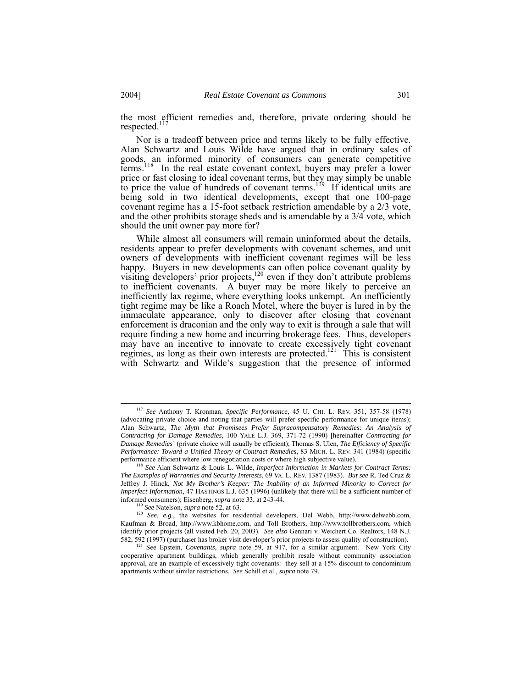the most efficient remedies and, therefore, private ordering should be respected.<sup>[117](#page-32-0)</sup>

Nor is a tradeoff between price and terms likely to be fully effective. Alan Schwartz and Louis Wilde have argued that in ordinary sales of goods, an informed minority of consumers can generate competitive terms.<sup>118</sup> In the real estate covenant context, buyers may prefer a lower price or fast closing to ideal covenant terms, but they may simply be unable to price the value of hundreds of covenant terms.<sup>119</sup> If identical units are being sold in two identical developments, except that one 100-page covenant regime has a 15-foot setback restriction amendable by a 2/3 vote, and the other prohibits storage sheds and is amendable by a 3/4 vote, which should the unit owner pay more for?

While almost all consumers will remain uninformed about the details, residents appear to prefer developments with covenant schemes, and unit owners of developments with inefficient covenant regimes will be less happy. Buyers in new developments can often police covenant quality by visiting developers' prior projects, $120$  even if they don't attribute problems to inefficient covenants. A buyer may be more likely to perceive an inefficiently lax regime, where everything looks unkempt. An inefficiently tight regime may be like a Roach Motel, where the buyer is lured in by the immaculate appearance, only to discover after closing that covenant enforcement is draconian and the only way to exit is through a sale that will require finding a new home and incurring brokerage fees. Thus, developers may have an incentive to innovate to create excessively tight covenant regimes, as long as their own interests are protected.<sup>121</sup> This is consistent with Schwartz and Wilde's suggestion that the presence of informed

<span id="page-32-0"></span> <sup>117</sup> *See* Anthony T. Kronman, *Specific Performance*, 45 U. CHI. L. REV. 351, 357-58 (1978) (advocating private choice and noting that parties will prefer specific performance for unique items); Alan Schwartz, *The Myth that Promisees Prefer Supracompensatory Remedies: An Analysis of Contracting for Damage Remedies*, 100 YALE L.J. 369, 371-72 (1990) [hereinafter *Contracting for Damage Remedies*] (private choice will usually be efficient); Thomas S. Ulen, *The Efficiency of Specific Performance: Toward a Unified Theory of Contract Remedies*, 83 MICH. L. REV. 341 (1984) (specific performance efficient where low renegotiation costs or where high subjective value).

<span id="page-32-1"></span><sup>118</sup> *See* Alan Schwartz & Louis L. Wilde, *Imperfect Information in Markets for Contract Terms: The Examples of Warranties and Security Interests*, 69 VA. L. REV. 1387 (1983). *But see* R. Ted Cruz & Jeffrey J. Hinck, *Not My Brother's Keeper: The Inability of an Informed Minority to Correct for Imperfect Information*, 47 HASTINGS L.J. 635 (1996) (unlikely that there will be a sufficient number of informed consumers); Eisenberg, *supra* note 33, at 243-44.

<span id="page-32-3"></span><span id="page-32-2"></span><sup>119</sup> *See* Natelson, *supra* note 52, at 63.

<sup>&</sup>lt;sup>120</sup> *See, e.g.*, the websites for residential developers, Del Webb, http://www.delwebb.com, Kaufman & Broad, http://www.kbhome.com, and Toll Brothers, http://www.tollbrothers.com, which identify prior projects (all visited Feb. 20, 2003). *See also* Gennari v. Weichert Co. Realtors, 148 N.J. 582, 592 (1997) (purchaser has broker visit developer's prior projects to assess quality of construction).

<span id="page-32-4"></span><sup>&</sup>lt;sup>121</sup> See Epstein, *Covenants*, *supra* note 59, at 917, for a similar argument. New York City cooperative apartment buildings, which generally prohibit resale without community association approval, are an example of excessively tight covenants: they sell at a 15% discount to condominium apartments without similar restrictions. *See* Schill et al., *supra* note 79.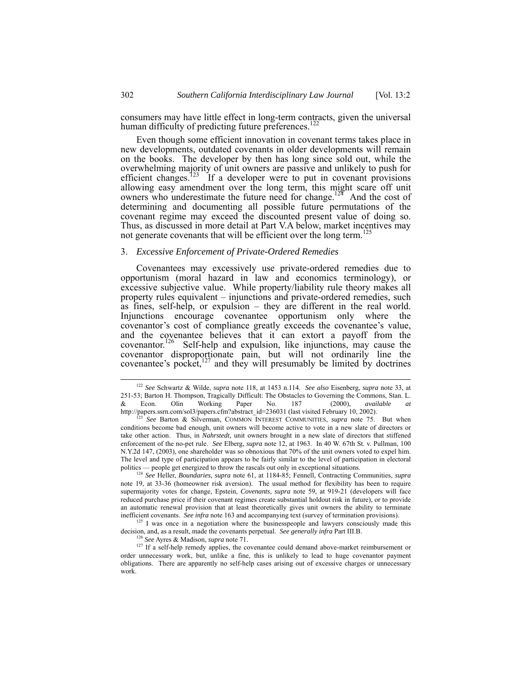consumers may have little effect in long-term contracts, given the universal human difficulty of predicting future preferences.<sup>[122](#page-33-0)</sup>

Even though some efficient innovation in covenant terms takes place in new developments, outdated covenants in older developments will remain on the books. The developer by then has long since sold out, while the overwhelming majority of unit owners are passive and unlikely to push for efficient changes.<sup>123</sup> If a developer were to put in covenant provisions allowing easy amendment over the long term, this might scare off unit owners who underestimate the future need for change.<sup>124</sup> And the cost of determining and documenting all possible future permutations of the covenant regime may exceed the discounted present value of doing so. Thus, as discussed in more detail at Part V.A below, market incentives may not generate covenants that will be efficient over the long term. [125](#page-33-3)

#### 3. *Excessive Enforcement of Private-Ordered Remedies*

Covenantees may excessively use private-ordered remedies due to opportunism (moral hazard in law and economics terminology), or excessive subjective value. While property/liability rule theory makes all property rules equivalent – injunctions and private-ordered remedies, such as fines, self-help, or expulsion – they are different in the real world. Injunctions encourage covenantee opportunism only where the covenantor's cost of compliance greatly exceeds the covenantee's value, and the covenantee believes that it can extort a payoff from the covenantor.<sup>126</sup> Self-help and expulsion, like injunctions, may cause the covenantor disproportionate pain, but will not ordinarily line the covenantee's pocket, $127$  and they will presumably be limited by doctrines

<span id="page-33-2"></span>note 19, at 33-36 (homeowner risk aversion). The usual method for flexibility has been to require supermajority votes for change, Epstein, *Covenants, supra* note 59, at 919-21 (developers will face reduced purchase price if their covenant regimes create substantial holdout risk in future), or to provide an automatic renewal provision that at least theoretically gives unit owners the ability to terminate inefficient covenants. *See infra* note 163 and accompanying text (survey of termination provisions). <sup>125</sup> I was once in a negotiation where the businesspeople and lawyers consciously made this

decision, and, as a result, made the covenants perpetual. *See generally infra* Part III.B.

<span id="page-33-0"></span> <sup>122</sup> *See* Schwartz & Wilde, *supra* note 118, at 1453 n.114. *See also* Eisenberg, *supra* note 33, at 251-53; Barton H. Thompson, Tragically Difficult: The Obstacles to Governing the Commons, Stan. L. & Econ. Olin Working Paper No. 187 (2000), *available at* http://papers.ssrn.com/sol3/papers.cfm?abstract\_id=236031 (last visited February 10, 2002). 123 *See* Barton & Silverman, COMMON INTEREST COMMUNITIES, *supra* note 75. But when

<span id="page-33-1"></span>conditions become bad enough, unit owners will become active to vote in a new slate of directors or take other action. Thus, in *Nahrstedt,* unit owners brought in a new slate of directors that stiffened enforcement of the no-pet rule. *See* Elberg, *supra* note 12, at 1963. In 40 W. 67th St. v. Pullman, 100 N.Y.2d 147, (2003), one shareholder was so obnoxious that 70% of the unit owners voted to expel him. The level and type of participation appears to be fairly similar to the level of participation in electoral politics — people get energized to throw the rascals out only in exceptional situations. 124 *See* Heller, *Boundaries, supra* note 61, at 1184-85; Fennell, Contracting Communities, *supra*

<span id="page-33-5"></span><span id="page-33-4"></span><span id="page-33-3"></span><sup>126</sup> *See* Ayres & Madison, *supra* note 71.

<sup>&</sup>lt;sup>127</sup> If a self-help remedy applies, the covenantee could demand above-market reimbursement or order unnecessary work, but, unlike a fine, this is unlikely to lead to huge covenantor payment obligations. There are apparently no self-help cases arising out of excessive charges or unnecessary work.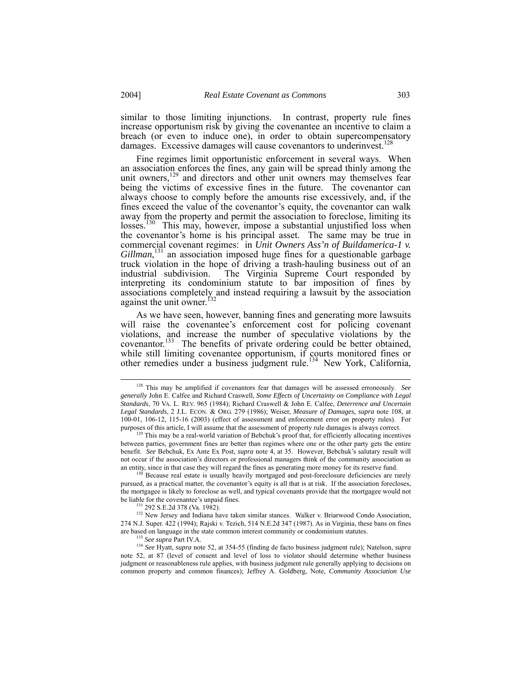<span id="page-34-6"></span>similar to those limiting injunctions. In contrast, property rule fines increase opportunism risk by giving the covenantee an incentive to claim a breach (or even to induce one), in order to obtain supercompensatory damages. Excessive damages will cause covenantors to underinvest.<sup>12</sup>

Fine regimes limit opportunistic enforcement in several ways. When an association enforces the fines, any gain will be spread thinly among the unit owners,<sup>129</sup> and directors and other unit owners may themselves fear being the victims of excessive fines in the future. The covenantor can always choose to comply before the amounts rise excessively, and, if the fines exceed the value of the covenantor's equity, the covenantor can walk away from the property and permit the association to foreclose, limiting its losses.<sup>130</sup> This may, however, impose a substantial unjustified loss when the covenantor's home is his principal asset. The same may be true in commercial covenant regimes: in *Unit Owners Ass'n of Buildamerica-1 v.* Gillman,<sup>131</sup> an association imposed huge fines for a questionable garbage truck violation in the hope of driving a trash-hauling business out of an industrial subdivision. The Virginia Supreme Court responded by interpreting its condominium statute to bar imposition of fines by associations completely and instead requiring a lawsuit by the association against the unit owner.<sup>[132](#page-34-4)</sup>

As we have seen, however, banning fines and generating more lawsuits will raise the covenantee's enforcement cost for policing covenant violations, and increase the number of speculative violations by the covenantor. [133](#page-34-5) The benefits of private ordering could be better obtained, while still limiting covenantee opportunism, if courts monitored fines or other remedies under a business judgment rule.<sup>134</sup> New York, California,

<span id="page-34-2"></span>pursued, as a practical matter, the covenantor's equity is all that is at risk. If the association forecloses, the mortgagee is likely to foreclose as well, and typical covenants provide that the mortgagee would not be liable for the covenantee's unpaid fines.

<span id="page-34-4"></span><span id="page-34-3"></span>131 292 S.E.2d 378 (Va. 1982).

<sup>132</sup> New Jersey and Indiana have taken similar stances. Walker v. Briarwood Condo Association, 274 N.J. Super. 422 (1994); Rajski v. Tezich, 514 N.E.2d 347 (1987). As in Virginia, these bans on fines are based on language in the state common interest community or condominium statutes.<br><sup>133</sup> See supra Part IV.A.

<sup>134</sup> See Hyatt, *supra* note 52, at 354-55 (finding de facto business judgment rule); Natelson, *supra* note 52, at 87 (level of consent and level of loss to violator should determine whether business judgment or reasonableness rule applies, with business judgment rule generally applying to decisions on common property and common finances); Jeffrey A. Goldberg, Note, *Community Association Use*

<span id="page-34-0"></span> <sup>128</sup> This may be amplified if covenantors fear that damages will be assessed erroneously. *See generally* John E. Calfee and Richard Craswell, *Some Effects of Uncertainty on Compliance with Legal Standards*, 70 VA. L. REV. 965 (1984); Richard Craswell & John E. Calfee, *Deterrence and Uncertain Legal Standards*, 2 J.L. ECON. & ORG. 279 (1986); Weiser, *Measure of Damages*, *supra* note 108, at 100-01, 106-12, 115-16 (2003) (effect of assessment and enforcement error on property rules). For purposes of this article, I will assume that the assessment of property rule damages is always correct.

<span id="page-34-1"></span><sup>&</sup>lt;sup>129</sup> This may be a real-world variation of Bebchuk's proof that, for efficiently allocating incentives between parties, government fines are better than regimes where one or the other party gets the entire benefit. *See* Bebchuk, Ex Ante Ex Post, *supra* note 4, at 35. However, Bebchuk's salutary result will not occur if the association's directors or professional managers think of the community association as an entity, since in that case they will regard the fines as generating more money for its reserve fund.<br><sup>130</sup> Because real estate is usually heavily mortgaged and post-foreclosure deficiencies are rarely

<span id="page-34-5"></span>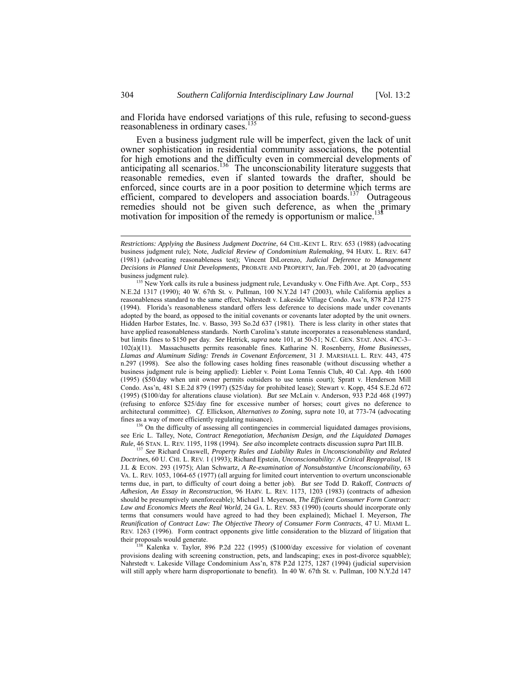<span id="page-35-3"></span>and Florida have endorsed variations of this rule, refusing to second-guess reasonableness in ordinary cases.<sup>[135](#page-35-0)</sup>

Even a business judgment rule will be imperfect, given the lack of unit owner sophistication in residential community associations, the potential for high emotions and the difficulty even in commercial developments of anticipating all scenarios.<sup>136</sup> The unconscionability literature suggests that reasonable remedies, even if slanted towards the drafter, should be enforced, since courts are in a poor position to determine which terms are efficient, compared to developers and association boards.<sup>137</sup> Outrageous remedies should not be given such deference, as when the primary motivation for imposition of the remedy is opportunism or malice.

<span id="page-35-1"></span><sup>136</sup> On the difficulty of assessing all contingencies in commercial liquidated damages provisions, see Eric L. Talley, Note, *Contract Renegotiation, Mechanism Design, and the Liquidated Damages Rule*, 46 STAN. L. REV. 1195, 1198 (1994). *See also* incomplete contracts discussion *supra* Part III.B.

<span id="page-35-2"></span><sup>137</sup> *See* Richard Craswell, *Property Rules and Liability Rules in Unconscionability and Related Doctrines*, 60 U. CHI. L. REV. 1 (1993); Richard Epstein, *Unconscionability: A Critical Reappraisal*, 18 J.L & ECON. 293 (1975); Alan Schwartz, *A Re-examination of Nonsubstantive Unconscionability*, 63 VA. L. REV. 1053, 1064-65 (1977) (all arguing for limited court intervention to overturn unconscionable terms due, in part, to difficulty of court doing a better job). *But see* Todd D. Rakoff, *Contracts of Adhesion, An Essay in Reconstruction*, 96 HARV. L. REV. 1173, 1203 (1983) (contracts of adhesion should be presumptively unenforceable); Michael I. Meyerson, *The Efficient Consumer Form Contract: Law and Economics Meets the Real World*, 24 GA. L. REV. 583 (1990) (courts should incorporate only terms that consumers would have agreed to had they been explained); Michael I. Meyerson, *The Reunification of Contract Law: The Objective Theory of Consumer Form Contracts*, 47 U. MIAMI L. REV. 1263 (1996). Form contract opponents give little consideration to the blizzard of litigation that their proposals would generate.

138 Kalenka v. Taylor, 896 P.2d 222 (1995) (\$1000/day excessive for violation of covenant provisions dealing with screening construction, pets, and landscaping; exes in post-divorce squabble); Nahrstedt v. Lakeside Village Condominium Ass'n, 878 P.2d 1275, 1287 (1994) (judicial supervision will still apply where harm disproportionate to benefit). In 40 W. 67th St. v. Pullman, 100 N.Y.2d 147

l

*Restrictions: Applying the Business Judgment Doctrine*, 64 CHI.-KENT L. REV. 653 (1988) (advocating business judgment rule); Note, *Judicial Review of Condominium Rulemaking*, 94 HARV. L. REV. 647 (1981) (advocating reasonableness test); Vincent DiLorenzo, *Judicial Deference to Management Decisions in Planned Unit Developments,* PROBATE AND PROPERTY, Jan./Feb. 2001, at 20 (advocating

<span id="page-35-0"></span>business judgment rule).<br><sup>135</sup> New York calls its rule a business judgment rule, Levandusky v. One Fifth Ave. Apt. Corp., 553 N.E.2d 1317 (1990); 40 W. 67th St. v. Pullman, 100 N.Y.2d 147 (2003), while California applies a reasonableness standard to the same effect, Nahrstedt v. Lakeside Village Condo. Ass'n, 878 P.2d 1275 (1994). Florida's reasonableness standard offers less deference to decisions made under covenants adopted by the board, as opposed to the initial covenants or covenants later adopted by the unit owners. Hidden Harbor Estates, Inc. v. Basso, 393 So.2d 637 (1981). There is less clarity in other states that have applied reasonableness standards. North Carolina's statute incorporates a reasonableness standard, but limits fines to \$150 per day. *See* Hetrick, *supra* note 101, at 50-51; N.C. GEN. STAT. ANN. 47C-3– 102(a)(11). Massachusetts permits reasonable fines. Katharine N. Rosenberry, *Home Businesses, Llamas and Aluminum Siding: Trends in Covenant Enforcement*, 31 J. MARSHALL L. REV. 443, 475 n.297 (1998). See also the following cases holding fines reasonable (without discussing whether a business judgment rule is being applied): Liebler v. Point Loma Tennis Club, 40 Cal. App. 4th 1600 (1995) (\$50/day when unit owner permits outsiders to use tennis court); Spratt v. Henderson Mill Condo. Ass'n, 481 S.E.2d 879 (1997) (\$25/day for prohibited lease); Stewart v. Kopp, 454 S.E.2d 672 (1995) (\$100/day for alterations clause violation). *But see* McLain v. Anderson, 933 P.2d 468 (1997) (refusing to enforce \$25/day fine for excessive number of horses; court gives no deference to architectural committee). *Cf.* Ellickson, *Alternatives to Zoning, supra* note 10, at 773-74 (advocating fines as a way of more efficiently regulating nuisance).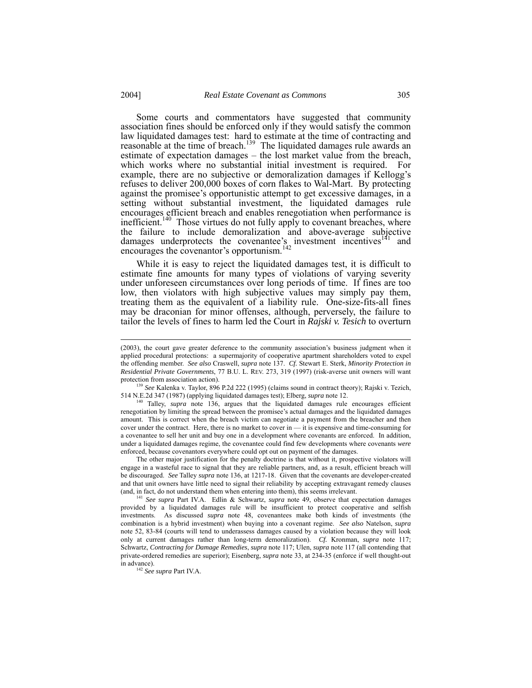Some courts and commentators have suggested that community association fines should be enforced only if they would satisfy the common law liquidated damages test: hard to estimate at the time of contracting and reasonable at the time of breach.<sup>139</sup> The liquidated damages rule awards an estimate of expectation damages – the lost market value from the breach, which works where no substantial initial investment is required. For example, there are no subjective or demoralization damages if Kellogg's refuses to deliver 200,000 boxes of corn flakes to Wal-Mart. By protecting against the promisee's opportunistic attempt to get excessive damages, in a setting without substantial investment, the liquidated damages rule encourages efficient breach and enables renegotiation when performance is inefficient.<sup>140</sup> Those virtues do not fully apply to covenant breaches, where the failure to include demoralization and above-average subjective damages underprotects the covenantee's investment incentives $141$  and encourages the covenantor's opportunism. [142](#page-36-3)

While it is easy to reject the liquidated damages test, it is difficult to estimate fine amounts for many types of violations of varying severity under unforeseen circumstances over long periods of time. If fines are too low, then violators with high subjective values may simply pay them, treating them as the equivalent of a liability rule. One-size-fits-all fines may be draconian for minor offenses, although, perversely, the failure to tailor the levels of fines to harm led the Court in *Rajski v. Tesich* to overturn

<span id="page-36-0"></span><sup>139</sup> *See* Kalenka v. Taylor, 896 P.2d 222 (1995) (claims sound in contract theory); Rajski v. Tezich, 514 N.E.2d 347 (1987) (applying liquidated damages test); Elberg, *supra* note 12.

<span id="page-36-1"></span>140 Talley, *supra* note 136, argues that the liquidated damages rule encourages efficient renegotiation by limiting the spread between the promisee's actual damages and the liquidated damages amount. This is correct when the breach victim can negotiate a payment from the breacher and then cover under the contract. Here, there is no market to cover in  $-$  it is expensive and time-consuming for a covenantee to sell her unit and buy one in a development where covenants are enforced. In addition, under a liquidated damages regime, the covenantee could find few developments where covenants *were* enforced, because covenantors everywhere could opt out on payment of the damages.

The other major justification for the penalty doctrine is that without it, prospective violators will engage in a wasteful race to signal that they are reliable partners, and, as a result, efficient breach will be discouraged. *See* Talley *supra* note 136, at 1217-18. Given that the covenants are developer-created and that unit owners have little need to signal their reliability by accepting extravagant remedy clauses (and, in fact, do not understand them when entering into them), this seems irrelevant.

<span id="page-36-2"></span><sup>141</sup> *See supra* Part IV.A. Edlin & Schwartz, *supra* note 49, observe that expectation damages provided by a liquidated damages rule will be insufficient to protect cooperative and selfish investments. As discussed *supra* note 48, covenantees make both kinds of investments (the combination is a hybrid investment) when buying into a covenant regime. *See also* Natelson, *supra* note 52, 83-84 (courts will tend to underassess damages caused by a violation because they will look only at current damages rather than long-term demoralization). *Cf.* Kronman, *supra* note 117; Schwartz, *Contracting for Damage Remedies*, *supra* note 117; Ulen, *supra* note 117 (all contending that private-ordered remedies are superior); Eisenberg, *supra* note 33, at 234-35 (enforce if well thought-out in advance).

<span id="page-36-3"></span><sup>142</sup> *See supra* Part IV.A.

 <sup>(2003),</sup> the court gave greater deference to the community association's business judgment when it applied procedural protections: a supermajority of cooperative apartment shareholders voted to expel the offending member. *See also* Craswell, *supra* note 137. *Cf.* Stewart E. Sterk, *Minority Protection in Residential Private Governments*, 77 B.U. L. REV. 273, 319 (1997) (risk-averse unit owners will want protection from association action).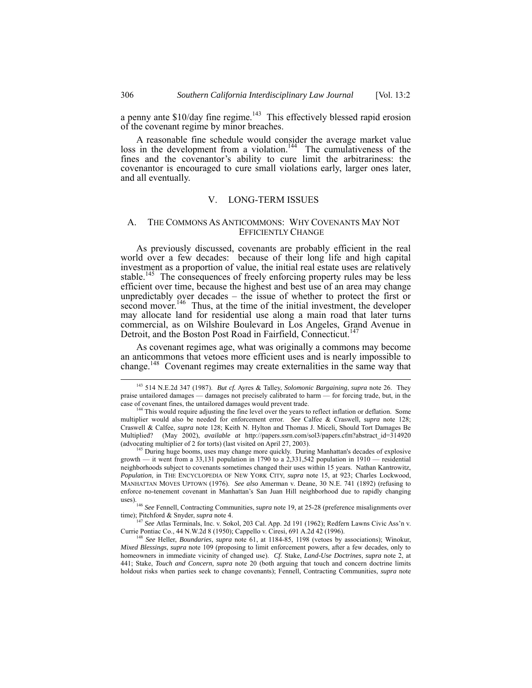a penny ante \$10/day fine regime.<sup>143</sup> This effectively blessed rapid erosion of the covenant regime by minor breaches.

A reasonable fine schedule would consider the average market value loss in the development from a violation.<sup>144</sup> The cumulativeness of the fines and the covenantor's ability to cure limit the arbitrariness: the covenantor is encouraged to cure small violations early, larger ones later, and all eventually.

## V. LONG-TERM ISSUES

## <span id="page-37-0"></span>A. THE COMMONS AS ANTICOMMONS: WHY COVENANTS MAY NOT EFFICIENTLY CHANGE

As previously discussed, covenants are probably efficient in the real world over a few decades: because of their long life and high capital investment as a proportion of value, the initial real estate uses are relatively stable.<sup>145</sup> The consequences of freely enforcing property rules may be less efficient over time, because the highest and best use of an area may change unpredictably over decades – the issue of whether to protect the first or second mover.<sup>146</sup> Thus, at the time of the initial investment, the developer may allocate land for residential use along a main road that later turns commercial, as on Wilshire Boulevard in Los Angeles, Grand Avenue in Detroit, and the Boston Post Road in Fairfield, Connecticut.<sup>1</sup>

As covenant regimes age, what was originally a commons may become an anticommons that vetoes more efficient uses and is nearly impossible to change.<sup>148</sup> Covenant regimes may create externalities in the same way that

<span id="page-37-3"></span><sup>145</sup> During huge booms, uses may change more quickly. During Manhattan's decades of explosive growth — it went from a 33,131 population in 1790 to a 2,331,542 population in 1910 — residential neighborhoods subject to covenants sometimes changed their uses within 15 years. Nathan Kantrowitz, *Population*, in THE ENCYCLOPEDIA OF NEW YORK CITY, *supra* note 15, at 923; Charles Lockwood, MANHATTAN MOVES UPTOWN (1976). *See also* Amerman v. Deane, 30 N.E. 741 (1892) (refusing to enforce no-tenement covenant in Manhattan's San Juan Hill neighborhood due to rapidly changing uses).

<span id="page-37-4"></span><sup>146</sup> *See* Fennell, Contracting Communities, *supra* note 19, at 25-28 (preference misalignments over time); Pitchford & Snyder, *supra* note 4.

<span id="page-37-5"></span><sup>147</sup> *See* Atlas Terminals, Inc. v. Sokol, 203 Cal. App. 2d 191 (1962); Redfern Lawns Civic Ass'n v. Currie Pontiac Co., 44 N.W.2d 8 (1950); Cappello v. Ciresi, 691 A.2d 42 (1996).

<sup>148</sup> *See* Heller, *Boundaries*, *supra* note 61, at 1184-85, 1198 (vetoes by associations); Winokur, *Mixed Blessings*, *supra* note 109 (proposing to limit enforcement powers, after a few decades, only to homeowners in immediate vicinity of changed use). *Cf.* Stake, *Land-Use Doctrines*, *supra* note 2, at 441; Stake, *Touch and Concern*, *supra* note 20 (both arguing that touch and concern doctrine limits holdout risks when parties seek to change covenants); Fennell, Contracting Communities, *supra* note

<span id="page-37-6"></span>

<span id="page-37-1"></span> <sup>143 514</sup> N.E.2d 347 (1987). *But cf.* Ayres & Talley, *Solomonic Bargaining*, *supra* note 26. They praise untailored damages — damages not precisely calibrated to harm — for forcing trade, but, in the case of covenant fines, the untailored damages would prevent trade.

<span id="page-37-2"></span><sup>&</sup>lt;sup>144</sup> This would require adjusting the fine level over the years to reflect inflation or deflation. Some multiplier would also be needed for enforcement error. *See* Calfee & Craswell, *supra* note 128; Craswell & Calfee, *supra* note 128; Keith N. Hylton and Thomas J. Miceli, Should Tort Damages Be Multiplied? (May 2002), *available at* http://papers.ssrn.com/sol3/papers.cfm?abstract\_id=314920 (advocating multiplier of 2 for torts) (last visited on April 27, 2003).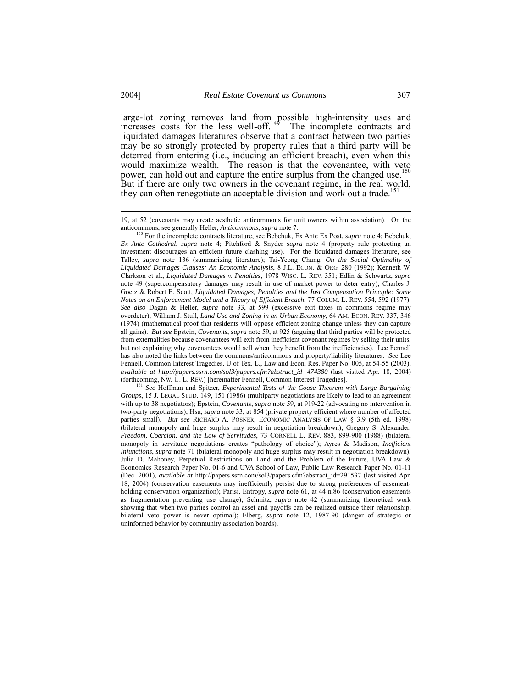large-lot zoning removes land from possible high-intensity uses and increases costs for the less well-off. $149$  The incomplete contracts and liquidated damages literatures observe that a contract between two parties may be so strongly protected by property rules that a third party will be deterred from entering (i.e., inducing an efficient breach), even when this would maximize wealth. The reason is that the covenantee, with veto power, can hold out and capture the entire surplus from the changed use. But if there are only two owners in the covenant regime, in the real world, they can often renegotiate an acceptable division and work out a trade.<sup>1</sup>

<span id="page-38-2"></span>*Groups*, 15 J. LEGAL STUD. 149, 151 (1986) (multiparty negotiations are likely to lead to an agreement with up to 38 negotiators); Epstein, *Covenants*, *supra* note 59, at 919-22 (advocating no intervention in two-party negotiations); Hsu, *supra* note 33, at 854 (private property efficient where number of affected parties small). *But see* RICHARD A. POSNER, ECONOMIC ANALYSIS OF LAW § 3.9 (5th ed. 1998) (bilateral monopoly and huge surplus may result in negotiation breakdown); Gregory S. Alexander, *Freedom, Coercion, and the Law of Servitudes*, 73 CORNELL L. REV. 883, 899-900 (1988) (bilateral monopoly in servitude negotiations creates "pathology of choice"); Ayres & Madison, *Inefficient Injunctions*, *supra* note 71 (bilateral monopoly and huge surplus may result in negotiation breakdown); Julia D. Mahoney, Perpetual Restrictions on Land and the Problem of the Future, UVA Law & Economics Research Paper No. 01-6 and UVA School of Law, Public Law Research Paper No. 01-11 (Dec. 2001), *available at* http://papers.ssrn.com/sol3/papers.cfm?abstract\_id=291537 (last visited Apr. 18, 2004) (conservation easements may inefficiently persist due to strong preferences of easementholding conservation organization); Parisi, Entropy, *supra* note 61, at 44 n.86 (conservation easements as fragmentation preventing use change); Schmitz, *supra* note 42 (summarizing theoretical work showing that when two parties control an asset and payoffs can be realized outside their relationship, bilateral veto power is never optimal); Elberg, *supra* note 12, 1987-90 (danger of strategic or uninformed behavior by community association boards).

 <sup>19,</sup> at 52 (covenants may create aesthetic anticommons for unit owners within association). On the anticommons, see generally Heller, *Anticommons*, *supra* note 7.

<span id="page-38-1"></span><span id="page-38-0"></span><sup>150</sup> For the incomplete contracts literature, see Bebchuk, Ex Ante Ex Post, *supra* note 4; Bebchuk, *Ex Ante Cathedral*, *supra* note 4; Pitchford & Snyder *supra* note 4 (property rule protecting an investment discourages an efficient future clashing use). For the liquidated damages literature, see Talley, *supra* note 136 (summarizing literature); Tai-Yeong Chung, *On the Social Optimality of Liquidated Damages Clauses: An Economic Analysis*, 8 J.L. ECON. & ORG. 280 (1992); Kenneth W. Clarkson et al., *Liquidated Damages v. Penalties*, 1978 WISC. L. REV. 351; Edlin & Schwartz, *supra* note 49 (supercompensatory damages may result in use of market power to deter entry); Charles J. Goetz & Robert E. Scott, *Liquidated Damages, Penalties and the Just Compensation Principle: Some Notes on an Enforcement Model and a Theory of Efficient Breach*, 77 COLUM. L. REV. 554, 592 (1977). *See also* Dagan & Heller, *supra* note 33, at 599 (excessive exit taxes in commons regime may overdeter); William J. Stull, *Land Use and Zoning in an Urban Economy*, 64 AM. ECON. REV. 337, 346 (1974) (mathematical proof that residents will oppose efficient zoning change unless they can capture all gains). *But see* Epstein, *Covenants*, *supra* note 59, at 925 (arguing that third parties will be protected from externalities because covenantees will exit from inefficient covenant regimes by selling their units, but not explaining why covenantees would sell when they benefit from the inefficiencies). Lee Fennell has also noted the links between the commons/anticommons and property/liability literatures. *See* Lee Fennell, Common Interest Tragedies, U of Tex. L., Law and Econ. Res. Paper No. 005, at 54-55 (2003), *available at http://papers.ssrn.com/sol3/papers.cfm?abstract\_id=474380* (last visited Apr. 18, 2004) (forthcoming, NW. U. L. REV.) [hereinafter Fennell, Common Interest Tragedies]. 151 *See* Hoffman and Spitzer, *Experimental Tests of the Coase Theorem with Large Bargaining*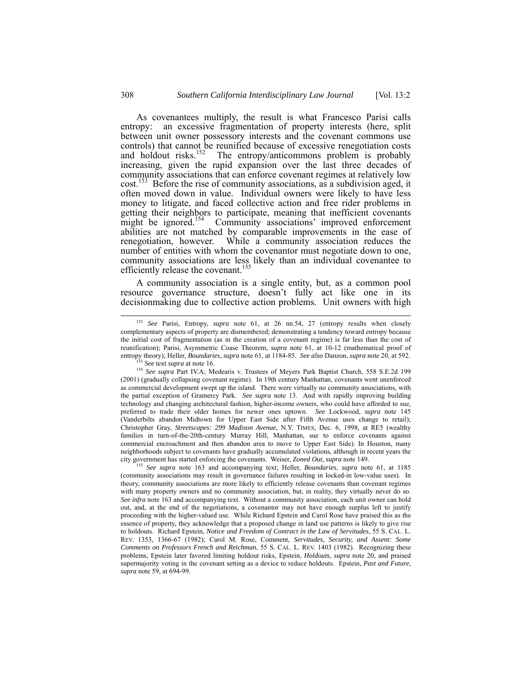As covenantees multiply, the result is what Francesco Parisi calls entropy: an excessive fragmentation of property interests (here, split between unit owner possessory interests and the covenant commons use controls) that cannot be reunified because of excessive renegotiation costs and holdout risks.<sup>152</sup> The entropy/anticommons problem is probably increasing, given the rapid expansion over the last three decades of community associations that can enforce covenant regimes at relatively low cost.<sup>153</sup> Before the rise of community associations, as a subdivision aged, it often moved down in value. Individual owners were likely to have less money to litigate, and faced collective action and free rider problems in getting their neighbors to participate, meaning that inefficient covenants might be ignored.<sup>154</sup> Community associations' improved enforcement Community associations' improved enforcement abilities are not matched by comparable improvements in the ease of renegotiation, however. While a community association reduces the number of entities with whom the covenantor must negotiate down to one, community associations are less likely than an individual covenantee to efficiently release the covenant.<sup>155</sup>

A community association is a single entity, but, as a common pool resource governance structure, doesn't fully act like one in its decisionmaking due to collective action problems. Unit owners with high

<span id="page-39-2"></span><span id="page-39-1"></span><sup>153</sup> *See* text *supra* at note 16.

<span id="page-39-0"></span> <sup>152</sup> *See* Parisi, Entropy, *supra* note 61, at 26 nn.54, 27 (entropy results when closely complementary aspects of property are dismembered; demonstrating a tendency toward entropy because the initial cost of fragmentation (as in the creation of a covenant regime) is far less than the cost of reunification); Parisi, Asymmetric Coase Theorem, *supra* note 61, at 10-12 (mathematical proof of entropy theory); Heller, *Boundaries, supra* note 61, at 1184-85. *See also* Danzon, *supra* note 20, at 592.

<sup>154</sup> *See supra* Part IV.A; Medearis v. Trustees of Meyers Park Baptist Church, 558 S.E.2d 199 (2001) (gradually collapsing covenant regime). In 19th century Manhattan, covenants went unenforced as commercial development swept up the island. There were virtually no community associations, with the partial exception of Gramercy Park. *See supra* note 13. And with rapidly improving building technology and changing architectural fashion, higher-income owners, who could have afforded to sue, preferred to trade their older homes for newer ones uptown. *See* Lockwood, *supra* note 145 (Vanderbilts abandon Midtown for Upper East Side after Fifth Avenue uses change to retail); Christopher Gray, *Streetscapes: 299 Madison Avenue*, N.Y. TIMES, Dec. 6, 1998, at RE5 (wealthy families in turn-of-the-20th-century Murray Hill, Manhattan, sue to enforce covenants against commercial encroachment and then abandon area to move to Upper East Side). In Houston, many neighborhoods subject to covenants have gradually accumulated violations, although in recent years the city government has started enforcing the covenants. Weiser, *Zoned Out*, *supra* note 149.

<span id="page-39-3"></span><sup>155</sup> *See supra* note 163 and accompanying text; Heller, *Boundaries*, *supra* note 61, at 1185 (community associations may result in governance failures resulting in locked-in low-value uses). In theory, community associations are more likely to efficiently release covenants than covenant regimes with many property owners and no community association, but, in reality, they virtually never do so. *See infra* note 163 and accompanying text. Without a community association, each unit owner can hold out, and, at the end of the negotiations, a covenantor may not have enough surplus left to justify proceeding with the higher-valued use. While Richard Epstein and Carol Rose have praised this as the essence of property, they acknowledge that a proposed change in land use patterns is likely to give rise to holdouts. Richard Epstein, *Notice and Freedom of Contract in the Law of Servitudes*, 55 S. CAL. L. REV. 1353, 1366-67 (1982); Carol M. Rose, Comment, *Servitudes, Security, and Assent: Some Comments on Professors French and Reichman*, 55 S. CAL. L. REV. 1403 (1982). Recognizing these problems, Epstein later favored limiting holdout risks, Epstein, *Holdouts, supra* note 20, and praised supermajority voting in the covenant setting as a device to reduce holdouts. Epstein, *Past and Future*, *supra* note 59, at 694-99.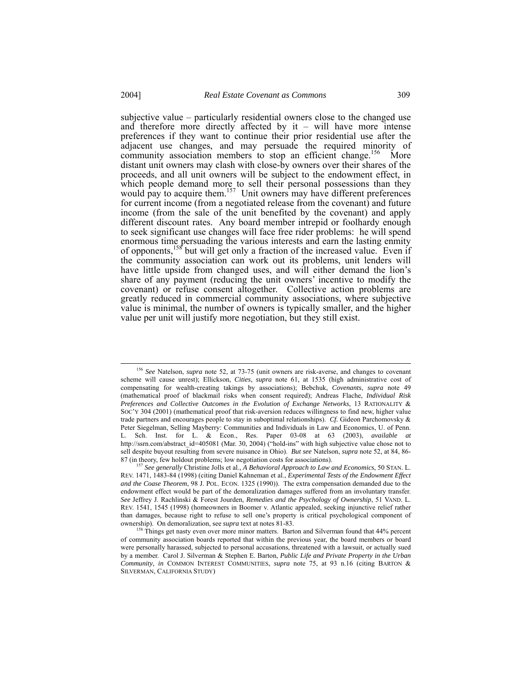subjective value – particularly residential owners close to the changed use and therefore more directly affected by  $it -$  will have more intense preferences if they want to continue their prior residential use after the adjacent use changes, and may persuade the required minority of community association members to stop an efficient change.<sup>156</sup> More distant unit owners may clash with close-by owners over their shares of the proceeds, and all unit owners will be subject to the endowment effect, in which people demand more to sell their personal possessions than they would pay to acquire them.<sup>157</sup> Unit owners may have different preferences for current income (from a negotiated release from the covenant) and future income (from the sale of the unit benefited by the covenant) and apply different discount rates. Any board member intrepid or foolhardy enough to seek significant use changes will face free rider problems: he will spend enormous time persuading the various interests and earn the lasting enmity of opponents,<sup>158</sup> but will get only a fraction of the increased value. Even if the community association can work out its problems, unit lenders will have little upside from changed uses, and will either demand the lion's share of any payment (reducing the unit owners' incentive to modify the covenant) or refuse consent altogether. Collective action problems are greatly reduced in commercial community associations, where subjective value is minimal, the number of owners is typically smaller, and the higher value per unit will justify more negotiation, but they still exist.

<span id="page-40-0"></span> <sup>156</sup> *See* Natelson, *supra* note 52, at 73-75 (unit owners are risk-averse, and changes to covenant scheme will cause unrest); Ellickson, *Cities*, *supra* note 61, at 1535 (high administrative cost of compensating for wealth-creating takings by associations); Bebchuk, *Covenants*, *supra* note 49 (mathematical proof of blackmail risks when consent required); Andreas Flache, *Individual Risk Preferences and Collective Outcomes in the Evolution of Exchange Networks*, 13 RATIONALITY & SOC'Y 304 (2001) (mathematical proof that risk-aversion reduces willingness to find new, higher value trade partners and encourages people to stay in suboptimal relationships). *Cf.* Gideon Parchomovsky & Peter Siegelman, Selling Mayberry: Communities and Individuals in Law and Economics, U. of Penn. L. Sch. Inst. for L. & Econ., Res. Paper 03-08 at 63 (2003), *available at* http://ssrn.com/abstract\_id=405081 (Mar. 30, 2004) ("hold-ins" with high subjective value chose not to sell despite buyout resulting from severe nuisance in Ohio). *But see* Natelson, *supra* note 52, at 84, 86- 87 (in theory, few holdout problems; low negotiation costs for associations).

<span id="page-40-1"></span><sup>157</sup> *See generally* Christine Jolls et al., *A Behavioral Approach to Law and Economics*, 50 STAN. L. REV. 1471, 1483-84 (1998) (citing Daniel Kahneman et al., *Experimental Tests of the Endowment Effect and the Coase Theorem*, 98 J. POL. ECON. 1325 (1990)). The extra compensation demanded due to the endowment effect would be part of the demoralization damages suffered from an involuntary transfer. *See* Jeffrey J. Rachlinski & Forest Jourden, *Remedies and the Psychology of Ownership*, 51 VAND. L. REV. 1541, 1545 (1998) (homeowners in Boomer v. Atlantic appealed, seeking injunctive relief rather than damages, because right to refuse to sell one's property is critical psychological component of ownership). On demoralization, see *supra* text at notes 81-83.

<span id="page-40-2"></span><sup>&</sup>lt;sup>158</sup> Things get nasty even over more minor matters. Barton and Silverman found that 44% percent of community association boards reported that within the previous year, the board members or board were personally harassed, subjected to personal accusations, threatened with a lawsuit, or actually sued by a member. Carol J. Silverman & Stephen E. Barton, *Public Life and Private Property in the Urban Community*, *in* COMMON INTEREST COMMUNITIES, *supra* note 75, at 93 n.16 (citing BARTON & SILVERMAN, CALIFORNIA STUDY)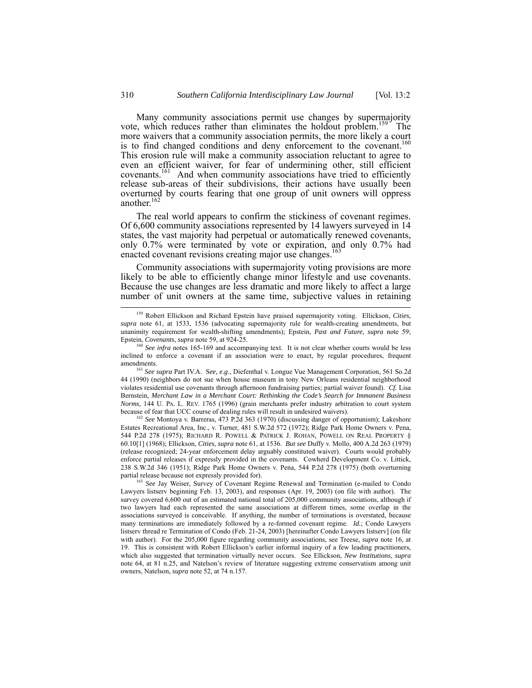Many community associations permit use changes by supermajority vote, which reduces rather than eliminates the holdout problem.<sup>159</sup> The more waivers that a community association permits, the more likely a court is to find changed conditions and deny enforcement to the covenant.<sup>160</sup> This erosion rule will make a community association reluctant to agree to even an efficient waiver, for fear of undermining other, still efficient covenants.<sup>161</sup> And when community associations have tried to efficiently release sub-areas of their subdivisions, their actions have usually been overturned by courts fearing that one group of unit owners will oppress another. [162](#page-41-3)

The real world appears to confirm the stickiness of covenant regimes. Of 6,600 community associations represented by 14 lawyers surveyed in 14 states, the vast majority had perpetual or automatically renewed covenants, only 0.7% were terminated by vote or expiration, and only 0.7% had enacted covenant revisions creating major use changes.<sup>16</sup>

Community associations with supermajority voting provisions are more likely to be able to efficiently change minor lifestyle and use covenants. Because the use changes are less dramatic and more likely to affect a large number of unit owners at the same time, subjective values in retaining

<span id="page-41-3"></span><sup>162</sup> See Montoya v. Barreras, 473 P.2d 363 (1970) (discussing danger of opportunism); Lakeshore Estates Recreational Area, Inc., v. Turner, 481 S.W.2d 572 (1972); Ridge Park Home Owners v. Pena, 544 P.2d 278 (1975); RICHARD R. POWELL & PATRICK J. ROHAN, POWELL ON REAL PROPERTY § 60.10[1] (1968); Ellickson, *Cities*, *supra* note 61, at 1536. *But see* Duffy v. Mollo, 400 A.2d 263 (1979) (release recognized; 24-year enforcement delay arguably constituted waiver). Courts would probably enforce partial releases if expressly provided in the covenants. Cowherd Development Co. v. Littick, 238 S.W.2d 346 (1951); Ridge Park Home Owners v. Pena, 544 P.2d 278 (1975) (both overturning partial release because not expressly provided for).

<span id="page-41-0"></span> <sup>159</sup> Robert Ellickson and Richard Epstein have praised supermajority voting. Ellickson, *Cities*, *supra* note 61, at 1533, 1536 (advocating supermajority rule for wealth-creating amendments, but unanimity requirement for wealth-shifting amendments); Epstein, *Past and Future*, *supra* note 59; Epstein, *Covenants*, *supra* note 59, at 924-25.

<span id="page-41-1"></span><sup>&</sup>lt;sup>160</sup> See infra notes 165-169 and accompanying text. It is not clear whether courts would be less inclined to enforce a covenant if an association were to enact, by regular procedures, frequent amendments. 161 *See supra* Part IV.A. S*ee, e.g*., Diefenthal v. Longue Vue Management Corporation, 561 So.2d

<span id="page-41-2"></span><sup>44 (1990) (</sup>neighbors do not sue when house museum in tony New Orleans residential neighborhood violates residential use covenants through afternoon fundraising parties; partial waiver found). *Cf.* Lisa Bernstein, *Merchant Law in a Merchant Court: Rethinking the Code's Search for Immanent Business Norms*, 144 U. PA. L. REV. 1765 (1996) (grain merchants prefer industry arbitration to court system because of fear that UCC course of dealing rules will result in undesired waivers).

<span id="page-41-4"></span><sup>&</sup>lt;sup>163</sup> See Jay Weiser, Survey of Covenant Regime Renewal and Termination (e-mailed to Condo Lawyers listserv beginning Feb. 13, 2003), and responses (Apr. 19, 2003) (on file with author). The survey covered 6,600 out of an estimated national total of 205,000 community associations, although if two lawyers had each represented the same associations at different times, some overlap in the associations surveyed is conceivable. If anything, the number of terminations is overstated, because many terminations are immediately followed by a re-formed covenant regime. *Id.*; Condo Lawyers listserv thread re Termination of Condo (Feb. 21-24, 2003) [hereinafter Condo Lawyers listserv] (on file with author). For the 205,000 figure regarding community associations, see Treese, *supra* note 16, at 19. This is consistent with Robert Ellickson's earlier informal inquiry of a few leading practitioners, which also suggested that termination virtually never occurs. See Ellickson, *New Institutions*, *supra* note 64, at 81 n.25, and Natelson's review of literature suggesting extreme conservatism among unit owners, Natelson, *supra* note 52, at 74 n.157.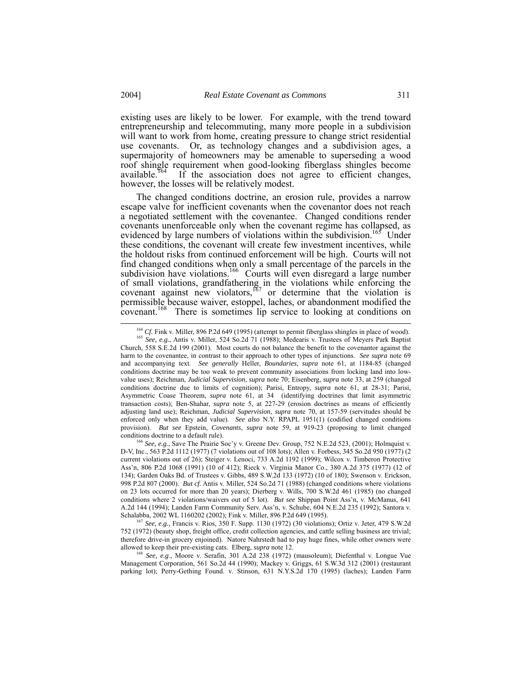<span id="page-42-4"></span>existing uses are likely to be lower. For example, with the trend toward entrepreneurship and telecommuting, many more people in a subdivision will want to work from home, creating pressure to change strict residential use covenants. Or, as technology changes and a subdivision ages, a supermajority of homeowners may be amenable to superseding a wood roof shingle requirement when good-looking fiberglass shingles become available.<sup>164</sup> If the association does not agree to efficient changes, however, the losses will be relatively modest.

The changed conditions doctrine, an erosion rule, provides a narrow escape valve for inefficient covenants when the covenantor does not reach a negotiated settlement with the covenantee. Changed conditions render covenants unenforceable only when the covenant regime has collapsed, as evidenced by large numbers of violations within the subdivision.<sup>165</sup> Under these conditions, the covenant will create few investment incentives, while the holdout risks from continued enforcement will be high. Courts will not find changed conditions when only a small percentage of the parcels in the subdivision have violations.<sup>166</sup> Courts will even disregard a large number of small violations, grandfathering in the violations while enforcing the covenant against new violators, $167$  or determine that the violation is permissible because waiver, estoppel, laches, or abandonment modified the covenant.<sup>168</sup> There is sometimes lip service to looking at conditions on

<span id="page-42-1"></span><span id="page-42-0"></span>

<sup>&</sup>lt;sup>164</sup> *Cf.* Fink v. Miller, 896 P.2d 649 (1995) (attempt to permit fiberglass shingles in place of wood). <sup>165</sup> *See, e.g.*, Antis v. Miller, 524 So.2d 71 (1988); Medearis v. Trustees of Meyers Park Baptist Church, 558 S.E.2d 199 (2001). Most courts do not balance the benefit to the covenantor against the harm to the covenantee, in contrast to their approach to other types of injunctions. *See supra* note 69 and accompanying text. *See generally* Heller, *Boundaries*, *supra* note 61, at 1184-85 (changed conditions doctrine may be too weak to prevent community associations from locking land into lowvalue uses); Reichman, *Judicial Supervision*, *supra* note 70; Eisenberg, *supra* note 33, at 259 (changed conditions doctrine due to limits of cognition); Parisi, Entropy, *supra* note 61, at 28-31; Parisi, Asymmetric Coase Theorem, *supra* note 61, at 34 (identifying doctrines that limit asymmetric transaction costs); Ben-Shahar, *supra* note 5, at 227-29 (erosion doctrines as means of efficiently adjusting land use); Reichman, *Judicial Supervision*, *supra* note 70, at 157-59 (servitudes should be enforced only when they add value). *See also* N.Y. RPAPL 1951(1) (codified changed conditions provision). *But see* Epstein, *Covenants*, *supra* note 59, at 919-23 (proposing to limit changed conditions doctrine to a default rule).

<span id="page-42-2"></span><sup>166</sup> *See, e.g*., Save The Prairie Soc'y v. Greene Dev. Group, 752 N.E.2d 523, (2001); Holmquist v. D-V, Inc., 563 P.2d 1112 (1977) (7 violations out of 108 lots); Allen v. Forbess, 345 So.2d 950 (1977) (2 current violations out of 26); Steiger v. Lenoci, 733 A.2d 1192 (1999); Wilcox v. Timberon Protective Ass'n, 806 P.2d 1068 (1991) (10 of 412); Rieck v. Virginia Manor Co., 380 A.2d 375 (1977) (12 of 134); Garden Oaks Bd. of Trustees v. Gibbs, 489 S.W.2d 133 (1972) (10 of 180); Swenson v. Erickson, 998 P.2d 807 (2000). *But cf.* Antis v. Miller, 524 So.2d 71 (1988) (changed conditions where violations on 23 lots occurred for more than 20 years); Dierberg v. Wills, 700 S.W.2d 461 (1985) (no changed conditions where 2 violations/waivers out of 5 lot). *But see* Shippan Point Ass'n, v. McManus, 641 A.2d 144 (1994); Landen Farm Community Serv. Ass'n, v. Schube, 604 N.E.2d 235 (1992); Santora v. Schalabba, 2002 WL 1160202 (2002); Fink v. Miller, 896 P.2d 649 (1995). 167 *See, e.g.*, Francis v. Rios, 350 F. Supp. 1130 (1972) (30 violations); Ortiz v. Jeter, 479 S.W.2d

<span id="page-42-3"></span><sup>752 (1972) (</sup>beauty shop, freight office, credit collection agencies, and cattle selling business are trivial; therefore drive-in grocery enjoined). Natore Nahrstedt had to pay huge fines, while other owners were allowed to keep their pre-existing cats. Elberg, *supra* note 12.

<sup>168</sup> *See, e.g*., Moore v. Serafin, 301 A.2d 238 (1972) (mausoleum); Diefenthal v. Longue Vue Management Corporation, 561 So.2d 44 (1990); Mackey v. Griggs, 61 S.W.3d 312 (2001) (restaurant parking lot); Perry-Gething Found. v. Stinson, 631 N.Y.S.2d 170 (1995) (laches); Landen Farm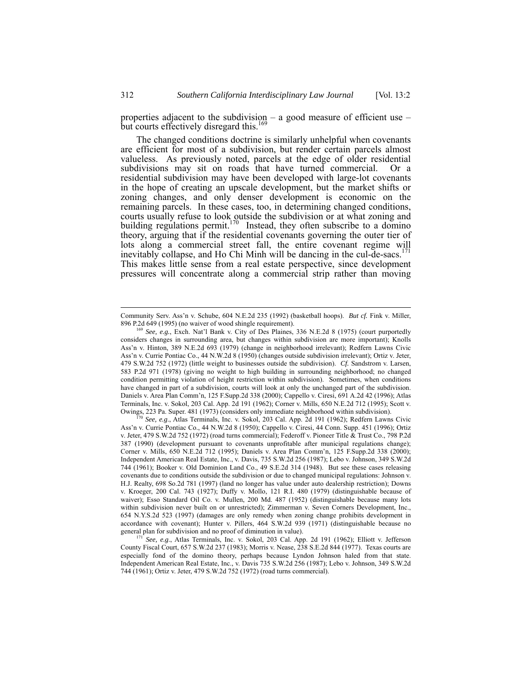properties adjacent to the subdivision  $-$  a good measure of efficient use  $$ but courts effectively disregard this.<sup>16</sup>

The changed conditions doctrine is similarly unhelpful when covenants are efficient for most of a subdivision, but render certain parcels almost valueless. As previously noted, parcels at the edge of older residential subdivisions may sit on roads that have turned commercial. Or a residential subdivision may have been developed with large-lot covenants in the hope of creating an upscale development, but the market shifts or zoning changes, and only denser development is economic on the remaining parcels. In these cases, too, in determining changed conditions, courts usually refuse to look outside the subdivision or at what zoning and building regulations permit.<sup>170</sup> Instead, they often subscribe to a domino theory, arguing that if the residential covenants governing the outer tier of lots along a commercial street fall, the entire covenant regime will inevitably collapse, and Ho Chi Minh will be dancing in the cul-de-sacs.<sup> $171$ </sup> This makes little sense from a real estate perspective, since development pressures will concentrate along a commercial strip rather than moving

<span id="page-43-1"></span>See, e.g., Atlas Terminals, Inc. v. Sokol, 203 Cal. App. 2d 191 (1962); Redfern Lawns Civic Ass'n v. Currie Pontiac Co., 44 N.W.2d 8 (1950); Cappello v. Ciresi, 44 Conn. Supp. 451 (1996); Ortiz v. Jeter, 479 S.W.2d 752 (1972) (road turns commercial); Federoff v. Pioneer Title & Trust Co., 798 P.2d 387 (1990) (development pursuant to covenants unprofitable after municipal regulations change); Corner v. Mills, 650 N.E.2d 712 (1995); Daniels v. Area Plan Comm'n, 125 F.Supp.2d 338 (2000); Independent American Real Estate, Inc., v. Davis, 735 S.W.2d 256 (1987); Lebo v. Johnson, 349 S.W.2d 744 (1961); Booker v. Old Dominion Land Co., 49 S.E.2d 314 (1948). But see these cases releasing covenants due to conditions outside the subdivision or due to changed municipal regulations: Johnson v. H.J. Realty, 698 So.2d 781 (1997) (land no longer has value under auto dealership restriction); Downs v. Kroeger, 200 Cal. 743 (1927); Duffy v. Mollo, 121 R.I. 480 (1979) (distinguishable because of waiver); Esso Standard Oil Co. v. Mullen, 200 Md. 487 (1952) (distinguishable because many lots within subdivision never built on or unrestricted); Zimmerman v. Seven Corners Development, Inc., 654 N.Y.S.2d 523 (1997) (damages are only remedy when zoning change prohibits development in accordance with covenant); Hunter v. Pillers, 464 S.W.2d 939 (1971) (distinguishable because no general plan for subdivision and no proof of diminution in value).

<span id="page-43-2"></span><sup>171</sup> See, e.g., Atlas Terminals, Inc. v. Sokol, 203 Cal. App. 2d 191 (1962); Elliott v. Jefferson County Fiscal Court, 657 S.W.2d 237 (1983); Morris v. Nease, 238 S.E.2d 844 (1977). Texas courts are especially fond of the domino theory, perhaps because Lyndon Johnson haled from that state. Independent American Real Estate, Inc., v. Davis 735 S.W.2d 256 (1987); Lebo v. Johnson, 349 S.W.2d 744 (1961); Ortiz v. Jeter, 479 S.W.2d 752 (1972) (road turns commercial).

Community Serv. Ass'n v. Schube, 604 N.E.2d 235 (1992) (basketball hoops). *But cf.* Fink v. Miller, 896 P.2d 649 (1995) (no waiver of wood shingle requirement).

<span id="page-43-0"></span><sup>169</sup> *See, e.g.*, Exch. Nat'l Bank v. City of Des Plaines, 336 N.E.2d 8 (1975) (court purportedly considers changes in surrounding area, but changes within subdivision are more important); Knolls Ass'n v. Hinton, 389 N.E.2d 693 (1979) (change in neighborhood irrelevant); Redfern Lawns Civic Ass'n v. Currie Pontiac Co., 44 N.W.2d 8 (1950) (changes outside subdivision irrelevant); Ortiz v. Jeter, 479 S.W.2d 752 (1972) (little weight to businesses outside the subdivision). *Cf.* Sandstrom v. Larsen, 583 P.2d 971 (1978) (giving no weight to high building in surrounding neighborhood; no changed condition permitting violation of height restriction within subdivision). Sometimes, when conditions have changed in part of a subdivision, courts will look at only the unchanged part of the subdivision. Daniels v. Area Plan Comm'n, 125 F.Supp.2d 338 (2000); Cappello v. Ciresi, 691 A.2d 42 (1996); Atlas Terminals, Inc. v. Sokol, 203 Cal. App. 2d 191 (1962); Corner v. Mills, 650 N.E.2d 712 (1995); Scott v. Owings, 223 Pa. Super. 481 (1973) (considers only immediate neighborhood within subdivision).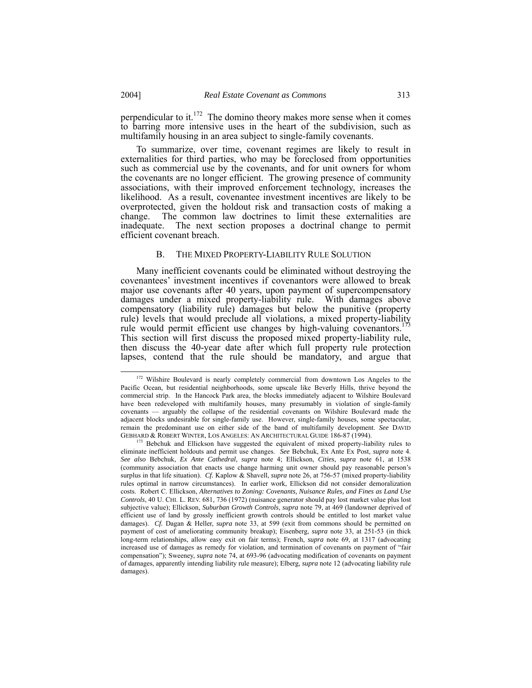perpendicular to it.[172](#page-44-0) The domino theory makes more sense when it comes to barring more intensive uses in the heart of the subdivision, such as multifamily housing in an area subject to single-family covenants.

To summarize, over time, covenant regimes are likely to result in externalities for third parties, who may be foreclosed from opportunities such as commercial use by the covenants, and for unit owners for whom the covenants are no longer efficient. The growing presence of community associations, with their improved enforcement technology, increases the likelihood. As a result, covenantee investment incentives are likely to be overprotected, given the holdout risk and transaction costs of making a change. The common law doctrines to limit these externalities are inadequate. The next section proposes a doctrinal change to permit The next section proposes a doctrinal change to permit efficient covenant breach.

## B. THE MIXED PROPERTY-LIABILITY RULE SOLUTION

Many inefficient covenants could be eliminated without destroying the covenantees' investment incentives if covenantors were allowed to break major use covenants after 40 years, upon payment of supercompensatory damages under a mixed property-liability rule. With damages above compensatory (liability rule) damages but below the punitive (property rule) levels that would preclude all violations, a mixed property-liability rule would permit efficient use changes by high-valuing covenantors.<sup>173</sup> This section will first discuss the proposed mixed property-liability rule, then discuss the 40-year date after which full property rule protection lapses, contend that the rule should be mandatory, and argue that

<span id="page-44-0"></span><sup>&</sup>lt;sup>172</sup> Wilshire Boulevard is nearly completely commercial from downtown Los Angeles to the Pacific Ocean, but residential neighborhoods, some upscale like Beverly Hills, thrive beyond the commercial strip. In the Hancock Park area, the blocks immediately adjacent to Wilshire Boulevard have been redeveloped with multifamily houses, many presumably in violation of single-family covenants — arguably the collapse of the residential covenants on Wilshire Boulevard made the adjacent blocks undesirable for single-family use. However, single-family houses, some spectacular, remain the predominant use on either side of the band of multifamily development. *See* DAVID GEBHARD & ROBERT WINTER, LOS ANGELES: AN ARCHITECTURAL GUIDE 186-87 (1994).

<span id="page-44-1"></span><sup>&</sup>lt;sup>173</sup> Bebchuk and Ellickson have suggested the equivalent of mixed property-liability rules to eliminate inefficient holdouts and permit use changes. *See* Bebchuk, Ex Ante Ex Post, *supra* note 4. *See also* Bebchuk, *Ex Ante Cathedral*, *supra* note 4; Ellickson, *Cities*, *supra* note 61, at 1538 (community association that enacts use change harming unit owner should pay reasonable person's surplus in that life situation). *Cf.* Kaplow & Shavell, *supra* note 26, at 756-57 (mixed property-liability rules optimal in narrow circumstances). In earlier work, Ellickson did not consider demoralization costs. Robert C. Ellickson, *Alternatives to Zoning: Covenants, Nuisance Rules, and Fines as Land Use Controls*, 40 U. CHI. L. REV. 681, 736 (1972) (nuisance generator should pay lost market value plus lost subjective value); Ellickson, *Suburban Growth Controls*, *supra* note 79, at 469 (landowner deprived of efficient use of land by grossly inefficient growth controls should be entitled to lost market value damages). *Cf.* Dagan & Heller, *supra* note 33, at 599 (exit from commons should be permitted on payment of cost of ameliorating community breakup); Eisenberg, *supra* note 33, at 251-53 (in thick long-term relationships, allow easy exit on fair terms); French, *supra* note 69, at 1317 (advocating increased use of damages as remedy for violation, and termination of covenants on payment of "fair compensation"); Sweeney, *supra* note 74, at 693-96 (advocating modification of covenants on payment of damages, apparently intending liability rule measure); Elberg, *supra* note 12 (advocating liability rule damages).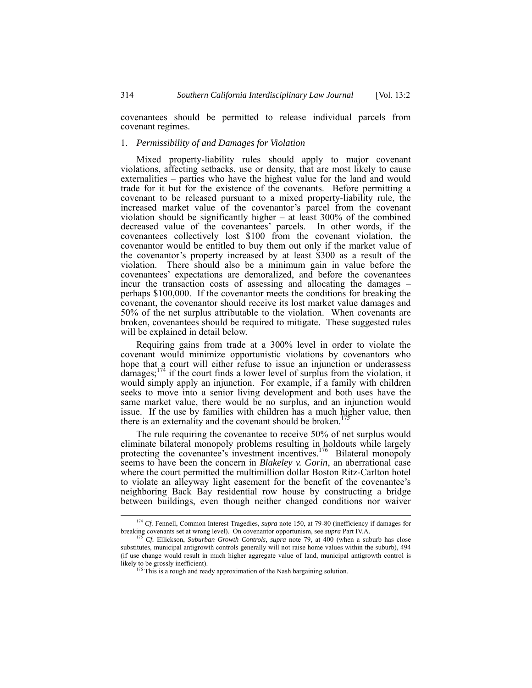covenantees should be permitted to release individual parcels from covenant regimes.

# <span id="page-45-0"></span>1. *Permissibility of and Damages for Violation*

Mixed property-liability rules should apply to major covenant violations, affecting setbacks, use or density, that are most likely to cause externalities – parties who have the highest value for the land and would trade for it but for the existence of the covenants. Before permitting a covenant to be released pursuant to a mixed property-liability rule, the increased market value of the covenantor's parcel from the covenant violation should be significantly higher – at least 300% of the combined decreased value of the covenantees' parcels. In other words, if the covenantees collectively lost \$100 from the covenant violation, the covenantor would be entitled to buy them out only if the market value of the covenantor's property increased by at least \$300 as a result of the violation. There should also be a minimum gain in value before the covenantees' expectations are demoralized, and before the covenantees incur the transaction costs of assessing and allocating the damages – perhaps \$100,000. If the covenantor meets the conditions for breaking the covenant, the covenantor should receive its lost market value damages and 50% of the net surplus attributable to the violation. When covenants are broken, covenantees should be required to mitigate. These suggested rules will be explained in detail below.

Requiring gains from trade at a 300% level in order to violate the covenant would minimize opportunistic violations by covenantors who hope that a court will either refuse to issue an injunction or underassess damages;<sup>174</sup> if the court finds a lower level of surplus from the violation, it would simply apply an injunction. For example, if a family with children seeks to move into a senior living development and both uses have the same market value, there would be no surplus, and an injunction would issue. If the use by families with children has a much higher value, then there is an externality and the covenant should be broken.<sup>17</sup>

The rule requiring the covenantee to receive 50% of net surplus would eliminate bilateral monopoly problems resulting in holdouts while largely protecting the covenantee's investment incentives.<sup>176</sup> Bilateral monopoly seems to have been the concern in *Blakeley v. Gorin*, an aberrational case where the court permitted the multimillion dollar Boston Ritz-Carlton hotel to violate an alleyway light easement for the benefit of the covenantee's neighboring Back Bay residential row house by constructing a bridge between buildings, even though neither changed conditions nor waiver

<span id="page-45-1"></span> <sup>174</sup> *Cf.* Fennell, Common Interest Tragedies, *supra* note 150, at 79-80 (inefficiency if damages for breaking covenants set at wrong level). On covenantor opportunism, see *supra* Part IV.A. 175 *Cf.* Ellickson, *Suburban Growth Controls*, *supra* note 79, at 400 (when a suburb has close

<span id="page-45-2"></span>substitutes, municipal antigrowth controls generally will not raise home values within the suburb), 494 (if use change would result in much higher aggregate value of land, municipal antigrowth control is likely to be grossly inefficient).<br><sup>176</sup> This is a rough and ready approximation of the Nash bargaining solution.

<span id="page-45-3"></span>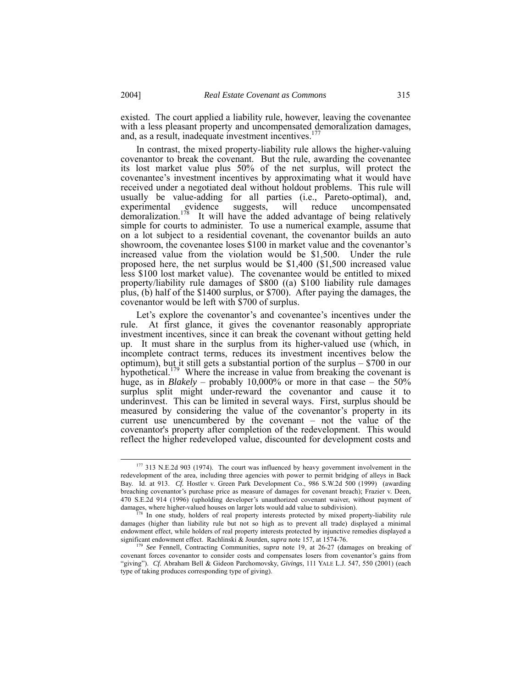existed. The court applied a liability rule, however, leaving the covenantee with a less pleasant property and uncompensated demoralization damages, and, as a result, inadequate investment incentives.<sup>17</sup>

In contrast, the mixed property-liability rule allows the higher-valuing covenantor to break the covenant. But the rule, awarding the covenantee its lost market value plus 50% of the net surplus, will protect the covenantee's investment incentives by approximating what it would have received under a negotiated deal without holdout problems. This rule will usually be value-adding for all parties (i.e., Pareto-optimal), and, experimental evidence suggests, will reduce uncompensated experimental evidence suggests, will reduce uncompensated demoralization.<sup>178</sup> It will have the added advantage of being relatively simple for courts to administer. To use a numerical example, assume that on a lot subject to a residential covenant, the covenantor builds an auto showroom, the covenantee loses \$100 in market value and the covenantor's increased value from the violation would be \$1,500. Under the rule proposed here, the net surplus would be \$1,400 (\$1,500 increased value less \$100 lost market value). The covenantee would be entitled to mixed property/liability rule damages of \$800 ((a) \$100 liability rule damages plus, (b) half of the \$1400 surplus, or \$700). After paying the damages, the covenantor would be left with \$700 of surplus.

Let's explore the covenantor's and covenantee's incentives under the rule. At first glance, it gives the covenantor reasonably appropriate investment incentives, since it can break the covenant without getting held up. It must share in the surplus from its higher-valued use (which, in incomplete contract terms, reduces its investment incentives below the optimum), but it still gets a substantial portion of the surplus – \$700 in our hypothetical.<sup>179</sup> Where the increase in value from breaking the covenant is huge, as in *Blakely* – probably 10,000% or more in that case – the 50% surplus split might under-reward the covenantor and cause it to underinvest. This can be limited in several ways. First, surplus should be measured by considering the value of the covenantor's property in its current use unencumbered by the covenant – not the value of the covenantor's property after completion of the redevelopment. This would reflect the higher redeveloped value, discounted for development costs and

<span id="page-46-0"></span><sup>&</sup>lt;sup>177</sup> 313 N.E.2d 903 (1974). The court was influenced by heavy government involvement in the redevelopment of the area, including three agencies with power to permit bridging of alleys in Back Bay. Id. at 913. *Cf.* Hostler v. Green Park Development Co., 986 S.W.2d 500 (1999) (awarding breaching covenantor's purchase price as measure of damages for covenant breach); Frazier v. Deen, 470 S.E.2d 914 (1996) (upholding developer's unauthorized covenant waiver, without payment of damages, where higher-valued houses on larger lots would add value to subdivision).

<span id="page-46-1"></span><sup>&</sup>lt;sup>3</sup> In one study, holders of real property interests protected by mixed property-liability rule damages (higher than liability rule but not so high as to prevent all trade) displayed a minimal endowment effect, while holders of real property interests protected by injunctive remedies displayed a significant endowment effect. Rachlinski & Jourden, *supra* note 157, at 1574-76.

<span id="page-46-2"></span>*See* Fennell, Contracting Communities, *supra* note 19, at 26-27 (damages on breaking of covenant forces covenantor to consider costs and compensates losers from covenantor's gains from "giving"). *Cf.* Abraham Bell & Gideon Parchomovsky, *Givings*, 111 YALE L.J. 547, 550 (2001) (each type of taking produces corresponding type of giving).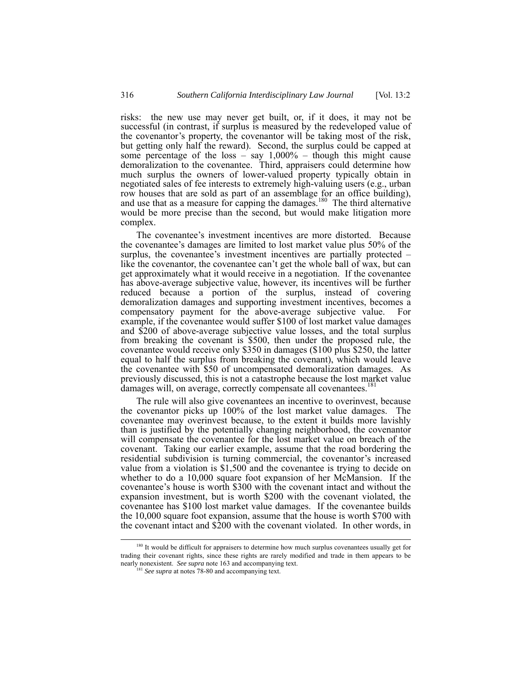risks: the new use may never get built, or, if it does, it may not be successful (in contrast, if surplus is measured by the redeveloped value of the covenantor's property, the covenantor will be taking most of the risk, but getting only half the reward). Second, the surplus could be capped at some percentage of the loss – say  $1,000\%$  – though this might cause demoralization to the covenantee. Third, appraisers could determine how much surplus the owners of lower-valued property typically obtain in negotiated sales of fee interests to extremely high-valuing users (e.g., urban row houses that are sold as part of an assemblage for an office building), and use that as a measure for capping the damages.<sup>180</sup> The third alternative would be more precise than the second, but would make litigation more complex.

The covenantee's investment incentives are more distorted. Because the covenantee's damages are limited to lost market value plus 50% of the surplus, the covenantee's investment incentives are partially protected – like the covenantor, the covenantee can't get the whole ball of wax, but can get approximately what it would receive in a negotiation. If the covenantee has above-average subjective value, however, its incentives will be further reduced because a portion of the surplus, instead of covering demoralization damages and supporting investment incentives, becomes a compensatory payment for the above-average subjective value. For example, if the covenantee would suffer \$100 of lost market value damages and \$200 of above-average subjective value losses, and the total surplus from breaking the covenant is \$500, then under the proposed rule, the covenantee would receive only \$350 in damages (\$100 plus \$250, the latter equal to half the surplus from breaking the covenant), which would leave the covenantee with \$50 of uncompensated demoralization damages. As previously discussed, this is not a catastrophe because the lost market value damages will, on average, correctly compensate all covenantees.<sup>[181](#page-47-1)</sup>

The rule will also give covenantees an incentive to overinvest, because the covenantor picks up 100% of the lost market value damages. The covenantee may overinvest because, to the extent it builds more lavishly than is justified by the potentially changing neighborhood, the covenantor will compensate the covenantee for the lost market value on breach of the covenant. Taking our earlier example, assume that the road bordering the residential subdivision is turning commercial, the covenantor's increased value from a violation is \$1,500 and the covenantee is trying to decide on whether to do a 10,000 square foot expansion of her McMansion. If the covenantee's house is worth \$300 with the covenant intact and without the expansion investment, but is worth \$200 with the covenant violated, the covenantee has \$100 lost market value damages. If the covenantee builds the 10,000 square foot expansion, assume that the house is worth \$700 with the covenant intact and \$200 with the covenant violated. In other words, in

<span id="page-47-0"></span><sup>&</sup>lt;sup>180</sup> It would be difficult for appraisers to determine how much surplus covenantees usually get for trading their covenant rights, since these rights are rarely modified and trade in them appears to be nearly nonexistent. *See supra* note 163 and accompanying text. 181 *See supra* at notes 78-80 and accompanying text.

<span id="page-47-1"></span>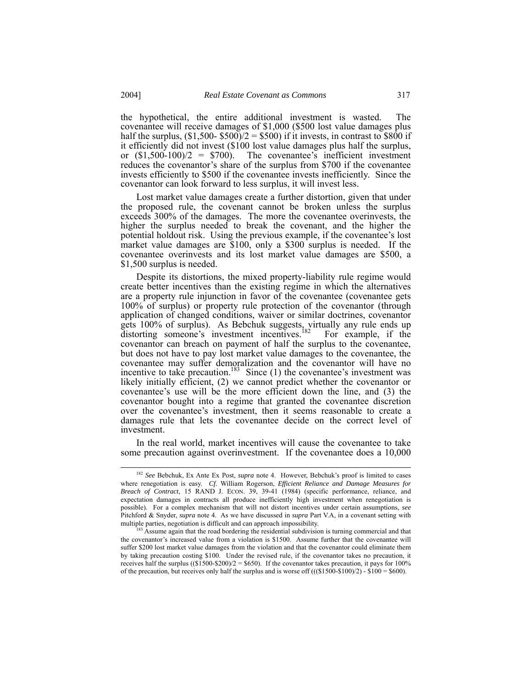the hypothetical, the entire additional investment is wasted. The covenantee will receive damages of \$1,000 (\$500 lost value damages plus half the surplus,  $(\$1,500 - \$500)/2 = \$500$  if it invests, in contrast to \$800 if it efficiently did not invest (\$100 lost value damages plus half the surplus, or  $(\$1,500-100)/2 = \$700$ . The covenantee's inefficient investment reduces the covenantor's share of the surplus from \$700 if the covenantee invests efficiently to \$500 if the covenantee invests inefficiently. Since the covenantor can look forward to less surplus, it will invest less.

Lost market value damages create a further distortion, given that under the proposed rule, the covenant cannot be broken unless the surplus exceeds 300% of the damages. The more the covenantee overinvests, the higher the surplus needed to break the covenant, and the higher the potential holdout risk. Using the previous example, if the covenantee's lost market value damages are \$100, only a \$300 surplus is needed. If the covenantee overinvests and its lost market value damages are \$500, a \$1,500 surplus is needed.

Despite its distortions, the mixed property-liability rule regime would create better incentives than the existing regime in which the alternatives are a property rule injunction in favor of the covenantee (covenantee gets 100% of surplus) or property rule protection of the covenantor (through application of changed conditions, waiver or similar doctrines, covenantor gets 100% of surplus). As Bebchuk suggests, virtually any rule ends up distorting someone's investment incentives.<sup>182</sup> For example, if the covenantor can breach on payment of half the surplus to the covenantee, but does not have to pay lost market value damages to the covenantee, the covenantee may suffer demoralization and the covenantor will have no incentive to take precaution.<sup>183</sup> Since  $(1)$  the covenantee's investment was likely initially efficient, (2) we cannot predict whether the covenantor or covenantee's use will be the more efficient down the line, and (3) the covenantor bought into a regime that granted the covenantee discretion over the covenantee's investment, then it seems reasonable to create a damages rule that lets the covenantee decide on the correct level of investment.

In the real world, market incentives will cause the covenantee to take some precaution against overinvestment. If the covenantee does a 10,000

<span id="page-48-0"></span> <sup>182</sup> *See* Bebchuk, Ex Ante Ex Post, *supra* note 4. However, Bebchuk's proof is limited to cases where renegotiation is easy. *Cf.* William Rogerson, *Efficient Reliance and Damage Measures for Breach of Contract*, 15 RAND J. ECON. 39, 39-41 (1984) (specific performance, reliance, and expectation damages in contracts all produce inefficiently high investment when renegotiation is possible). For a complex mechanism that will not distort incentives under certain assumptions, *see* Pitchford & Snyder, *supra* note 4. As we have discussed in *supra* Part V.A, in a covenant setting with multiple parties, negotiation is difficult and can approach impossibility.<br><sup>183</sup> Assume again that the road bordering the residential subdivision is turning commercial and that

<span id="page-48-1"></span>the covenantor's increased value from a violation is \$1500. Assume further that the covenantee will suffer \$200 lost market value damages from the violation and that the covenantor could eliminate them by taking precaution costing \$100. Under the revised rule, if the covenantor takes no precaution, it receives half the surplus  $((\$1500-\$200)/2 = \$650)$ . If the covenantor takes precaution, it pays for 100% of the precaution, but receives only half the surplus and is worse off  $(((\$1500-\$100)/2) - \$100 = \$600)$ .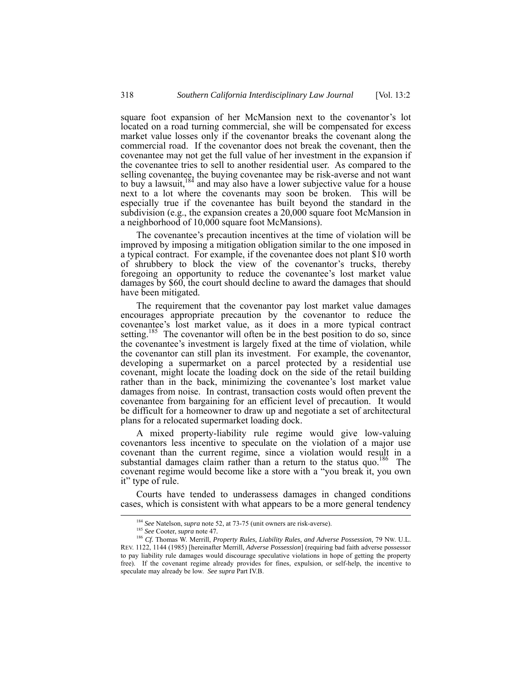square foot expansion of her McMansion next to the covenantor's lot located on a road turning commercial, she will be compensated for excess market value losses only if the covenantor breaks the covenant along the commercial road. If the covenantor does not break the covenant, then the covenantee may not get the full value of her investment in the expansion if the covenantee tries to sell to another residential user. As compared to the selling covenantee, the buying covenantee may be risk-averse and not want to buy a lawsuit,  $184$  and may also have a lower subjective value for a house next to a lot where the covenants may soon be broken. This will be especially true if the covenantee has built beyond the standard in the subdivision (e.g., the expansion creates a 20,000 square foot McMansion in a neighborhood of 10,000 square foot McMansions).

The covenantee's precaution incentives at the time of violation will be improved by imposing a mitigation obligation similar to the one imposed in a typical contract. For example, if the covenantee does not plant \$10 worth of shrubbery to block the view of the covenantor's trucks, thereby foregoing an opportunity to reduce the covenantee's lost market value damages by \$60, the court should decline to award the damages that should have been mitigated.

The requirement that the covenantor pay lost market value damages encourages appropriate precaution by the covenantor to reduce the covenantee's lost market value, as it does in a more typical contract setting.<sup>185</sup> The covenantor will often be in the best position to do so, since the covenantee's investment is largely fixed at the time of violation, while the covenantor can still plan its investment. For example, the covenantor, developing a supermarket on a parcel protected by a residential use covenant, might locate the loading dock on the side of the retail building rather than in the back, minimizing the covenantee's lost market value damages from noise. In contrast, transaction costs would often prevent the covenantee from bargaining for an efficient level of precaution. It would be difficult for a homeowner to draw up and negotiate a set of architectural plans for a relocated supermarket loading dock.

A mixed property-liability rule regime would give low-valuing covenantors less incentive to speculate on the violation of a major use covenant than the current regime, since a violation would result in a substantial damages claim rather than a return to the status quo.<sup>186</sup> The covenant regime would become like a store with a "you break it, you own it" type of rule.

Courts have tended to underassess damages in changed conditions cases, which is consistent with what appears to be a more general tendency

<span id="page-49-0"></span> <sup>184</sup> *See* Natelson, *supra* note 52, at 73-75 (unit owners are risk-averse).

<span id="page-49-2"></span><span id="page-49-1"></span><sup>185</sup> *See* Cooter, *supra* note 47*.*

<sup>186</sup> *Cf.* Thomas W. Merrill, *Property Rules, Liability Rules, and Adverse Possession*, 79 NW. U.L. REV. 1122, 1144 (1985) [hereinafter Merrill, *Adverse Possession*] (requiring bad faith adverse possessor to pay liability rule damages would discourage speculative violations in hope of getting the property free). If the covenant regime already provides for fines, expulsion, or self-help, the incentive to speculate may already be low. *See supra* Part IV.B.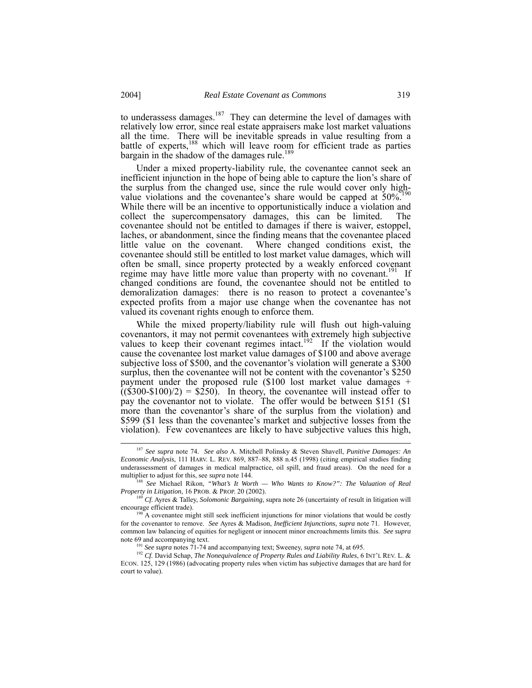to underassess damages.[187](#page-50-0) They can determine the level of damages with relatively low error, since real estate appraisers make lost market valuations all the time. There will be inevitable spreads in value resulting from a battle of experts,<sup>188</sup> which will leave room for efficient trade as parties bargain in the shadow of the damages rule.<sup>[189](#page-50-2)</sup>

Under a mixed property-liability rule, the covenantee cannot seek an inefficient injunction in the hope of being able to capture the lion's share of the surplus from the changed use, since the rule would cover only highvalue violations and the covenantee's share would be capped at  $50\%^{190}$ While there will be an incentive to opportunistically induce a violation and collect the supercompensatory damages, this can be limited. The covenantee should not be entitled to damages if there is waiver, estoppel, laches, or abandonment, since the finding means that the covenantee placed little value on the covenant. Where changed conditions exist, the covenantee should still be entitled to lost market value damages, which will often be small, since property protected by a weakly enforced covenant regime may have little more value than property with no covenant.<sup>191</sup> If changed conditions are found, the covenantee should not be entitled to demoralization damages: there is no reason to protect a covenantee's expected profits from a major use change when the covenantee has not valued its covenant rights enough to enforce them.

While the mixed property/liability rule will flush out high-valuing covenantors, it may not permit covenantees with extremely high subjective values to keep their covenant regimes intact.<sup>192</sup> If the violation would cause the covenantee lost market value damages of \$100 and above average subjective loss of \$500, and the covenantor's violation will generate a \$300 surplus, then the covenantee will not be content with the covenantor's \$250 payment under the proposed rule (\$100 lost market value damages +  $\hat{f}(\hat{F}300-\hat{F}100)/2$  =  $\hat{F}250$ . In theory, the covenantee will instead offer to pay the covenantor not to violate. The offer would be between \$151 (\$1 more than the covenantor's share of the surplus from the violation) and \$599 (\$1 less than the covenantee's market and subjective losses from the violation). Few covenantees are likely to have subjective values this high,

<span id="page-50-0"></span> <sup>187</sup> *See supra* note 74. *See also* A. Mitchell Polinsky & Steven Shavell, *Punitive Damages: An Economic Analysis*, 111 HARV. L. REV. 869, 887–88, 888 n.45 (1998) (citing empirical studies finding underassessment of damages in medical malpractice, oil spill, and fraud areas). On the need for a multiplier to adjust for this, see *supra* note 144.

<span id="page-50-1"></span><sup>188</sup> *See* Michael Rikon, *"What's It Worth — Who Wants to Know?": The Valuation of Real Property in Litigation*, 16 PROB. & PROP. 20 (2002).

<span id="page-50-2"></span><sup>&</sup>lt;sup>189</sup> *Cf.* Ayres & Talley, *Solomonic Bargaining*, supra note 26 (uncertainty of result in litigation will encourage efficient trade).

<span id="page-50-3"></span> $^{190}$  A covenantee might still seek inefficient injunctions for minor violations that would be costly for the covenantor to remove. *See* Ayres & Madison, *Inefficient Injunctions*, *supra* note 71. However, common law balancing of equities for negligent or innocent minor encroachments limits this. *See supra*

<span id="page-50-5"></span><span id="page-50-4"></span>See *supra* notes 71-74 and accompanying text; Sweeney, *supra* note 74, at 695.

<sup>192</sup> *Cf.* David Schap, *The Nonequivalence of Property Rules and Liability Rules*, 6 INT'L REV. L. & ECON. 125, 129 (1986) (advocating property rules when victim has subjective damages that are hard for court to value).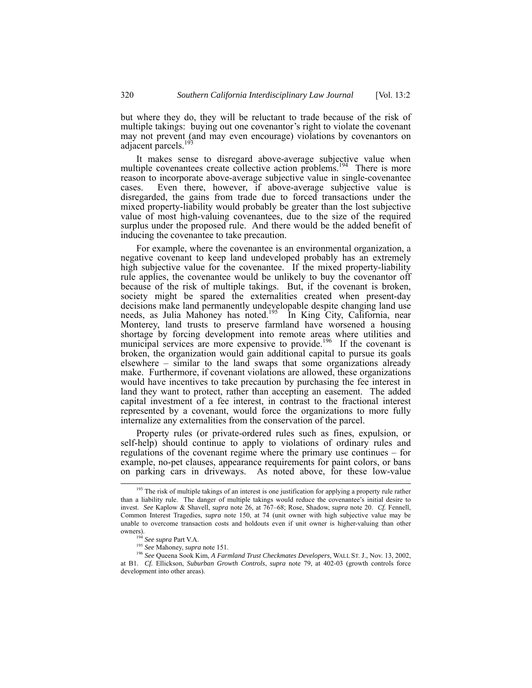but where they do, they will be reluctant to trade because of the risk of multiple takings: buying out one covenantor's right to violate the covenant may not prevent (and may even encourage) violations by covenantors on adjacent parcels. $<sup>1</sup>$ </sup>

It makes sense to disregard above-average subjective value when multiple covenantees create collective action problems.<sup>194</sup> There is more reason to incorporate above-average subjective value in single-covenantee cases. Even there, however, if above-average subjective value is disregarded, the gains from trade due to forced transactions under the mixed property-liability would probably be greater than the lost subjective value of most high-valuing covenantees, due to the size of the required surplus under the proposed rule. And there would be the added benefit of inducing the covenantee to take precaution.

For example, where the covenantee is an environmental organization, a negative covenant to keep land undeveloped probably has an extremely high subjective value for the covenantee. If the mixed property-liability rule applies, the covenantee would be unlikely to buy the covenantor off because of the risk of multiple takings. But, if the covenant is broken, society might be spared the externalities created when present-day decisions make land permanently undevelopable despite changing land use needs, as Julia Mahoney has noted.<sup>195</sup> In King City, California, near Monterey, land trusts to preserve farmland have worsened a housing shortage by forcing development into remote areas where utilities and municipal services are more expensive to provide.<sup>196</sup> If the covenant is broken, the organization would gain additional capital to pursue its goals elsewhere – similar to the land swaps that some organizations already make. Furthermore, if covenant violations are allowed, these organizations would have incentives to take precaution by purchasing the fee interest in land they want to protect, rather than accepting an easement. The added capital investment of a fee interest, in contrast to the fractional interest represented by a covenant, would force the organizations to more fully internalize any externalities from the conservation of the parcel.

Property rules (or private-ordered rules such as fines, expulsion, or self-help) should continue to apply to violations of ordinary rules and regulations of the covenant regime where the primary use continues – for example, no-pet clauses, appearance requirements for paint colors, or bans on parking cars in driveways. As noted above, for these low-value

<span id="page-51-0"></span><sup>&</sup>lt;sup>193</sup> The risk of multiple takings of an interest is one justification for applying a property rule rather than a liability rule. The danger of multiple takings would reduce the covenantee's initial desire to invest. *See* Kaplow & Shavell, *supra* note 26, at 767–68; Rose, Shadow, *supra* note 20. *Cf.* Fennell, Common Interest Tragedies, *supra* note 150, at 74 (unit owner with high subjective value may be unable to overcome transaction costs and holdouts even if unit owner is higher-valuing than other owners).<br><sup>194</sup> See supra Part V.A.

<span id="page-51-1"></span>

<span id="page-51-3"></span><span id="page-51-2"></span><sup>&</sup>lt;sup>195</sup> See Mahoney, *supra* note 151.

<sup>196</sup> *See* Queena Sook Kim, *A Farmland Trust Checkmates Developers*, WALL ST. J., Nov. 13, 2002, at B1. *Cf.* Ellickson, *Suburban Growth Controls*, *supra* note 79, at 402-03 (growth controls force development into other areas).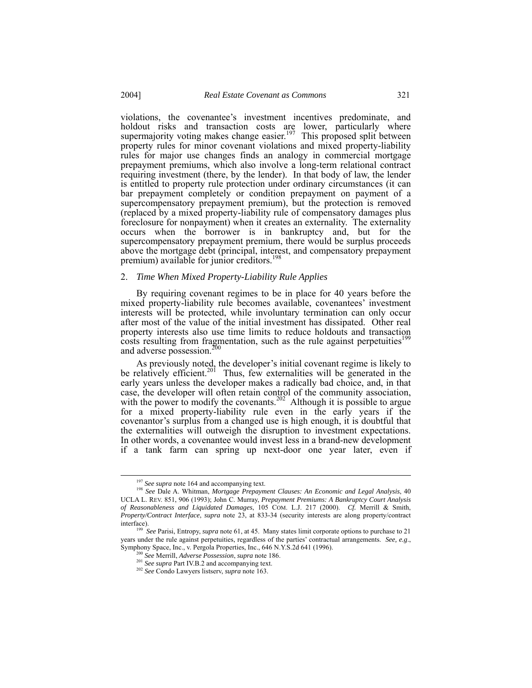violations, the covenantee's investment incentives predominate, and holdout risks and transaction costs are lower, particularly where supermajority voting makes change easier.<sup>197</sup> This proposed split between property rules for minor covenant violations and mixed property-liability rules for major use changes finds an analogy in commercial mortgage prepayment premiums, which also involve a long-term relational contract requiring investment (there, by the lender). In that body of law, the lender is entitled to property rule protection under ordinary circumstances (it can bar prepayment completely or condition prepayment on payment of a supercompensatory prepayment premium), but the protection is removed (replaced by a mixed property-liability rule of compensatory damages plus foreclosure for nonpayment) when it creates an externality. The externality occurs when the borrower is in bankruptcy and, but for the supercompensatory prepayment premium, there would be surplus proceeds above the mortgage debt (principal, interest, and compensatory prepayment premium) available for junior creditors.<sup>[198](#page-52-1)</sup>

## 2. *Time When Mixed Property-Liability Rule Applies*

By requiring covenant regimes to be in place for 40 years before the mixed property-liability rule becomes available, covenantees' investment interests will be protected, while involuntary termination can only occur after most of the value of the initial investment has dissipated. Other real property interests also use time limits to reduce holdouts and transaction costs resulting from fragmentation, such as the rule against perpetuities<sup>199</sup> and adverse possession.<sup>[200](#page-52-3)</sup>

As previously noted, the developer's initial covenant regime is likely to be relatively efficient.<sup>201</sup> Thus, few externalities will be generated in the early years unless the developer makes a radically bad choice, and, in that case, the developer will often retain control of the community association, with the power to modify the covenants.<sup>202</sup> Although it is possible to argue for a mixed property-liability rule even in the early years if the covenantor's surplus from a changed use is high enough, it is doubtful that the externalities will outweigh the disruption to investment expectations. In other words, a covenantee would invest less in a brand-new development if a tank farm can spring up next-door one year later, even if

<span id="page-52-1"></span><span id="page-52-0"></span>

<sup>&</sup>lt;sup>197</sup> *See supra* note 164 and accompanying text.<br><sup>198</sup> *See Dale A. Whitman, Mortgage Prepayment Clauses: An Economic and Legal Analysis, 40* UCLA L. REV. 851, 906 (1993); John C. Murray, *Prepayment Premiums: A Bankruptcy Court Analysis of Reasonableness and Liquidated Damages*, 105 COM. L.J. 217 (2000). *Cf.* Merrill & Smith, *Property/Contract Interface*, *supra* note 23, at 833-34 (security interests are along property/contract interface).

<span id="page-52-2"></span><sup>199</sup> *See* Parisi, Entropy, *supra* note 61, at 45. Many states limit corporate options to purchase to 21 years under the rule against perpetuities, regardless of the parties' contractual arrangements. *See, e.g*., Symphony Space, Inc., v. Pergola Properties, Inc., 646 N.Y.S.2d 641 (1996).

<span id="page-52-3"></span><sup>200</sup> *See* Merrill, *Adverse Possession*, *supra* note 186.

<span id="page-52-4"></span><sup>201</sup> *See supra* Part IV.B.2 and accompanying text. 202 *See* Condo Lawyers listserv, *supra* note 163.

<span id="page-52-5"></span>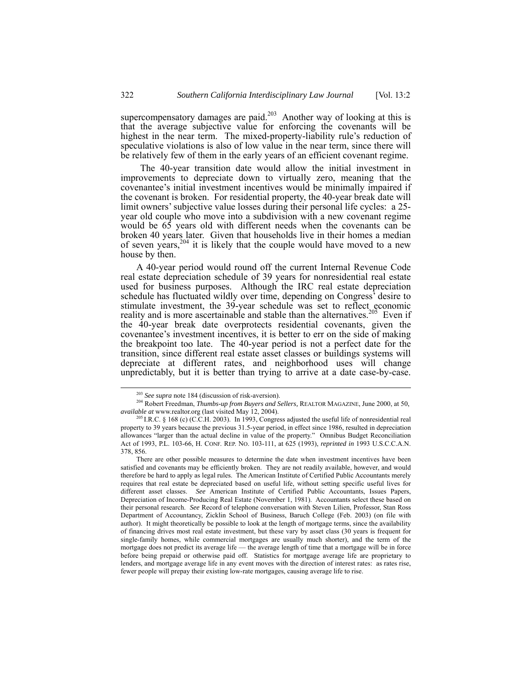supercompensatory damages are paid.<sup>203</sup> Another way of looking at this is that the average subjective value for enforcing the covenants will be highest in the near term. The mixed-property-liability rule's reduction of speculative violations is also of low value in the near term, since there will be relatively few of them in the early years of an efficient covenant regime.

The 40-year transition date would allow the initial investment in improvements to depreciate down to virtually zero, meaning that the covenantee's initial investment incentives would be minimally impaired if the covenant is broken. For residential property, the 40-year break date will limit owners' subjective value losses during their personal life cycles: a 25 year old couple who move into a subdivision with a new covenant regime would be 65 years old with different needs when the covenants can be broken 40 years later. Given that households live in their homes a median of seven years, $204$  it is likely that the couple would have moved to a new house by then.

A 40-year period would round off the current Internal Revenue Code real estate depreciation schedule of 39 years for nonresidential real estate used for business purposes. Although the IRC real estate depreciation schedule has fluctuated wildly over time, depending on Congress' desire to stimulate investment, the 39-year schedule was set to reflect economic reality and is more ascertainable and stable than the alternatives.<sup>205</sup> Even if the 40-year break date overprotects residential covenants, given the covenantee's investment incentives, it is better to err on the side of making the breakpoint too late. The 40-year period is not a perfect date for the transition, since different real estate asset classes or buildings systems will depreciate at different rates, and neighborhood uses will change unpredictably, but it is better than trying to arrive at a date case-by-case.

<span id="page-53-1"></span><span id="page-53-0"></span> <sup>203</sup> *See supra* note 184 (discussion of risk-aversion).

<sup>204</sup> Robert Freedman, *Thumbs-up from Buyers and Sellers,* REALTOR MAGAZINE, June 2000, at 50, *available at* [www.realtor.org](http://www.realtor.org/) (last visited May 12, 2004).

<span id="page-53-2"></span><sup>205</sup> I.R.C. § 168 (c) (C.C.H. 2003). In 1993, Congress adjusted the useful life of nonresidential real property to 39 years because the previous 31.5-year period, in effect since 1986, resulted in depreciation allowances "larger than the actual decline in value of the property." Omnibus Budget Reconciliation Act of 1993, P.L. 103-66, H. CONF. REP. NO. 103-111, at 625 (1993), *reprinted in* 1993 U.S.C.C.A.N. 378, 856.

There are other possible measures to determine the date when investment incentives have been satisfied and covenants may be efficiently broken. They are not readily available, however, and would therefore be hard to apply as legal rules. The American Institute of Certified Public Accountants merely requires that real estate be depreciated based on useful life, without setting specific useful lives for different asset classes. *See* American Institute of Certified Public Accountants, Issues Papers, Depreciation of Income-Producing Real Estate (November 1, 1981). Accountants select these based on their personal research. *See* Record of telephone conversation with Steven Lilien, Professor, Stan Ross Department of Accountancy, Zicklin School of Business, Baruch College (Feb. 2003) (on file with author). It might theoretically be possible to look at the length of mortgage terms, since the availability of financing drives most real estate investment, but these vary by asset class (30 years is frequent for single-family homes, while commercial mortgages are usually much shorter), and the term of the mortgage does not predict its average life — the average length of time that a mortgage will be in force before being prepaid or otherwise paid off. Statistics for mortgage average life are proprietary to lenders, and mortgage average life in any event moves with the direction of interest rates: as rates rise, fewer people will prepay their existing low-rate mortgages, causing average life to rise.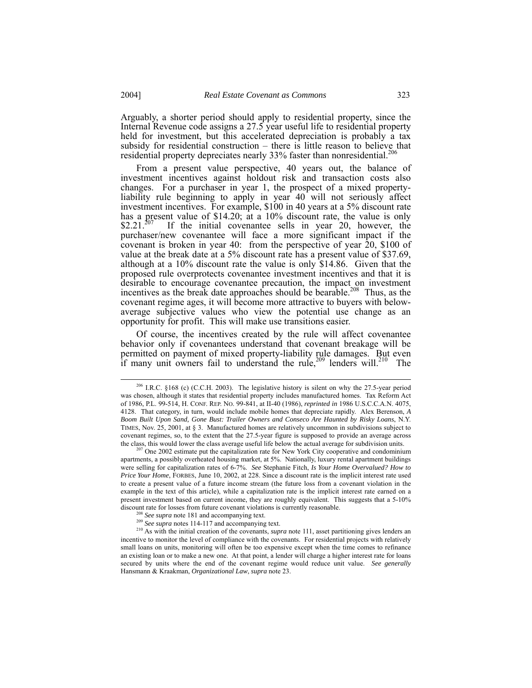Arguably, a shorter period should apply to residential property, since the Internal Revenue code assigns a 27.5 year useful life to residential property held for investment, but this accelerated depreciation is probably a tax subsidy for residential construction  $-$  there is little reason to believe that residential property depreciates nearly  $33\%$  faster than nonresidential.<sup>[206](#page-54-0)</sup>

From a present value perspective, 40 years out, the balance of investment incentives against holdout risk and transaction costs also changes. For a purchaser in year 1, the prospect of a mixed propertyliability rule beginning to apply in year 40 will not seriously affect investment incentives. For example, \$100 in 40 years at a 5% discount rate has a present value of \$14.20; at a 10% discount rate, the value is only \$2.21. $^{207}$  If the initial covenantee sells in year 20, however, the purchaser/new covenantee will face a more significant impact if the covenant is broken in year 40: from the perspective of year 20, \$100 of value at the break date at a 5% discount rate has a present value of \$37.69, although at a 10% discount rate the value is only \$14.86. Given that the proposed rule overprotects covenantee investment incentives and that it is desirable to encourage covenantee precaution, the impact on investment incentives as the break date approaches should be bearable.<sup>208</sup> Thus, as the covenant regime ages, it will become more attractive to buyers with belowaverage subjective values who view the potential use change as an opportunity for profit. This will make use transitions easier.

Of course, the incentives created by the rule will affect covenantee behavior only if covenantees understand that covenant breakage will be permitted on payment of mixed property-liability rule damages. But even if many unit owners fail to understand the rule,  $209$  lenders will.<sup>210</sup> The

<span id="page-54-0"></span> <sup>206</sup> I.R.C. §168 (c) (C.C.H. 2003). The legislative history is silent on why the 27.5-year period was chosen, although it states that residential property includes manufactured homes. Tax Reform Act of 1986, P.L. 99-514, H. CONF. REP. NO. 99-841, at II-40 (1986), *reprinted in* 1986 U.S.C.C.A.N. 4075, 4128. That category, in turn, would include mobile homes that depreciate rapidly. Alex Berenson, *A Boom Built Upon Sand, Gone Bust: Trailer Owners and Conseco Are Haunted by Risky Loans*, N.Y. TIMES, Nov. 25, 2001, at § 3. Manufactured homes are relatively uncommon in subdivisions subject to covenant regimes, so, to the extent that the 27.5-year figure is supposed to provide an average across the class, this would lower the class average useful life below the actual average for subdivision units.

<span id="page-54-1"></span> $207$  One 2002 estimate put the capitalization rate for New York City cooperative and condominium apartments, a possibly overheated housing market, at 5%. Nationally, luxury rental apartment buildings were selling for capitalization rates of 6-7%. *See* Stephanie Fitch, *Is Your Home Overvalued? How to Price Your Home*, FORBES, June 10, 2002, at 228. Since a discount rate is the implicit interest rate used to create a present value of a future income stream (the future loss from a covenant violation in the example in the text of this article), while a capitalization rate is the implicit interest rate earned on a present investment based on current income, they are roughly equivalent. This suggests that a 5-10% discount rate for losses from future covenant violations is currently reasonable.

<span id="page-54-2"></span>

<span id="page-54-4"></span><span id="page-54-3"></span>

<sup>&</sup>lt;sup>208</sup> See supra note 181 and accompanying text.<br><sup>209</sup> See supra notes 114-117 and accompanying text.<br><sup>210</sup> As with the initial creation of the covenants, *supra* note 111, asset partitioning gives lenders an incentive to monitor the level of compliance with the covenants. For residential projects with relatively small loans on units, monitoring will often be too expensive except when the time comes to refinance an existing loan or to make a new one. At that point, a lender will charge a higher interest rate for loans secured by units where the end of the covenant regime would reduce unit value. *See generally* Hansmann & Kraakman, *Organizational Law*, *supra* note 23.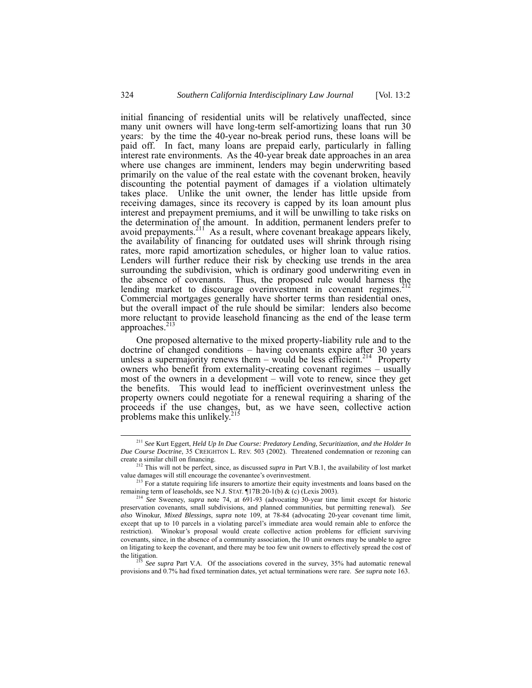initial financing of residential units will be relatively unaffected, since many unit owners will have long-term self-amortizing loans that run 30 years: by the time the 40-year no-break period runs, these loans will be paid off. In fact, many loans are prepaid early, particularly in falling interest rate environments. As the 40-year break date approaches in an area where use changes are imminent, lenders may begin underwriting based primarily on the value of the real estate with the covenant broken, heavily discounting the potential payment of damages if a violation ultimately takes place. Unlike the unit owner, the lender has little upside from receiving damages, since its recovery is capped by its loan amount plus interest and prepayment premiums, and it will be unwilling to take risks on the determination of the amount. In addition, permanent lenders prefer to avoid prepayments.<sup>211</sup> As a result, where covenant breakage appears likely, the availability of financing for outdated uses will shrink through rising rates, more rapid amortization schedules, or higher loan to value ratios. Lenders will further reduce their risk by checking use trends in the area surrounding the subdivision, which is ordinary good underwriting even in the absence of covenants. Thus, the proposed rule would harness the lending market to discourage overinvestment in covenant regimes.<sup>212</sup> Commercial mortgages generally have shorter terms than residential ones, but the overall impact of the rule should be similar: lenders also become more reluctant to provide leasehold financing as the end of the lease term approaches. $213$ 

One proposed alternative to the mixed property-liability rule and to the doctrine of changed conditions – having covenants expire after 30 years unless a supermajority renews them – would be less efficient.<sup>214</sup> Property owners who benefit from externality-creating covenant regimes – usually most of the owners in a development – will vote to renew, since they get the benefits. This would lead to inefficient overinvestment unless the property owners could negotiate for a renewal requiring a sharing of the proceeds if the use changes, but, as we have seen, collective action problems make this unlikely. $215$ 

<span id="page-55-0"></span> <sup>211</sup> *See* Kurt Eggert, *Held Up In Due Course: Predatory Lending, Securitization, and the Holder In Due Course Doctrine*, 35 CREIGHTON L. REV. 503 (2002). Threatened condemnation or rezoning can

<span id="page-55-1"></span>create a similar chill on financing.<br><sup>212</sup> This will not be perfect, since, as discussed *supra* in Part V.B.1, the availability of lost market value damages will still encourage the covenantee's overinvestment.

<span id="page-55-2"></span><sup>&</sup>lt;sup>213</sup> For a statute requiring life insurers to amortize their equity investments and loans based on the remaining term of leaseholds, see N.J. STAT.  $\P$ 17B:20-1(b) & (c) (Lexis 2003).

<span id="page-55-3"></span><sup>214</sup> *See* Sweeney, *supra* note 74, at 691-93 (advocating 30-year time limit except for historic preservation covenants, small subdivisions, and planned communities, but permitting renewal)*. See also* Winokur, *Mixed Blessings*, *supra* note 109, at 78-84 (advocating 20-year covenant time limit, except that up to 10 parcels in a violating parcel's immediate area would remain able to enforce the restriction). Winokur's proposal would create collective action problems for efficient surviving covenants, since, in the absence of a community association, the 10 unit owners may be unable to agree on litigating to keep the covenant, and there may be too few unit owners to effectively spread the cost of the litigation. 215 *See supra* Part V.A. Of the associations covered in the survey, 35% had automatic renewal

<span id="page-55-4"></span>provisions and 0.7% had fixed termination dates, yet actual terminations were rare. *See supra* note 163.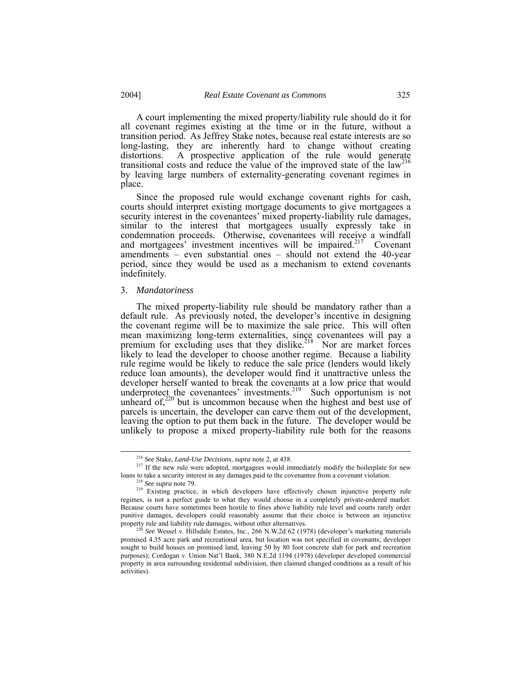A court implementing the mixed property/liability rule should do it for all covenant regimes existing at the time or in the future, without a transition period. As Jeffrey Stake notes, because real estate interests are so long-lasting, they are inherently hard to change without creating distortions. A prospective application of the rule would generate transitional costs and reduce the value of the improved state of the law<sup>[216](#page-56-1)</sup> by leaving large numbers of externality-generating covenant regimes in place.

Since the proposed rule would exchange covenant rights for cash, courts should interpret existing mortgage documents to give mortgagees a security interest in the covenantees' mixed property-liability rule damages, similar to the interest that mortgagees usually expressly take in condemnation proceeds. Otherwise, covenantees will receive a windfall and mortgagees' investment incentives will be impaired.<sup>217</sup> Covenant amendments – even substantial ones – should not extend the 40-year period, since they would be used as a mechanism to extend covenants indefinitely.

#### <span id="page-56-0"></span>3. *Mandatoriness*

The mixed property-liability rule should be mandatory rather than a default rule. As previously noted, the developer's incentive in designing the covenant regime will be to maximize the sale price. This will often mean maximizing long-term externalities, since covenantees will pay a premium for excluding uses that they dislike.<sup>218</sup> Nor are market forces likely to lead the developer to choose another regime. Because a liability rule regime would be likely to reduce the sale price (lenders would likely reduce loan amounts), the developer would find it unattractive unless the developer herself wanted to break the covenants at a low price that would underprotect the covenantees' investments.<sup>219</sup> Such opportunism is not unheard of, $220$  but is uncommon because when the highest and best use of parcels is uncertain, the developer can carve them out of the development, leaving the option to put them back in the future. The developer would be unlikely to propose a mixed property-liability rule both for the reasons

<span id="page-56-2"></span><span id="page-56-1"></span> <sup>216</sup> *See* Stake, *Land-Use Decisions*, *supra* note 2, at 438.

<sup>&</sup>lt;sup>217</sup> If the new rule were adopted, mortgagees would immediately modify the boilerplate for new loans to take a security interest in any damages paid to the covenantee from a covenant violation.

<span id="page-56-4"></span><span id="page-56-3"></span><sup>218</sup> *See supra* note 79.

<sup>&</sup>lt;sup>219</sup> Existing practice, in which developers have effectively chosen injunctive property rule regimes, is not a perfect guide to what they would choose in a completely private-ordered market. Because courts have sometimes been hostile to fines above liability rule level and courts rarely order punitive damages, developers could reasonably assume that their choice is between an injunctive

<span id="page-56-5"></span><sup>&</sup>lt;sup>220</sup> See Wessel v. Hillsdale Estates, Inc., 266 N.W.2d 62 (1978) (developer's marketing materials promised 4.35 acre park and recreational area, but location was not specified in covenants; developer sought to build houses on promised land, leaving 50 by 80 foot concrete slab for park and recreation purposes); Cordogan v. Union Nat'l Bank, 380 N.E.2d 1194 (1978) (developer developed commercial property in area surrounding residential subdivision, then claimed changed conditions as a result of his activities).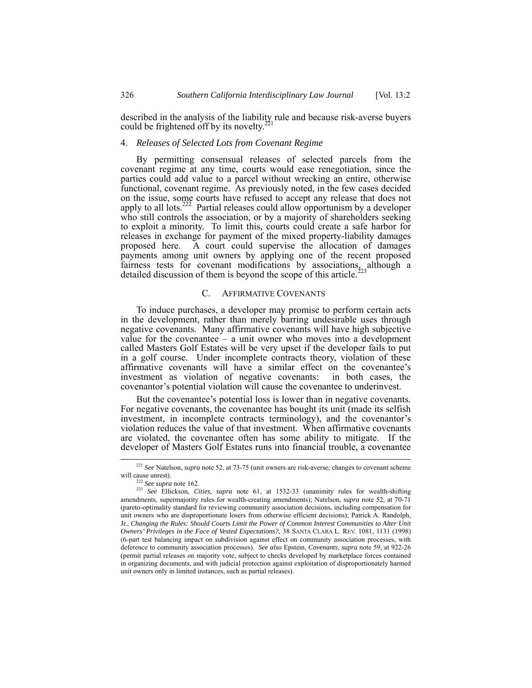described in the analysis of the liability rule and because risk-averse buyers could be frightened off by its novelty. $^{221}$  $^{221}$  $^{221}$ 

# <span id="page-57-0"></span>4. *Releases of Selected Lots from Covenant Regime*

By permitting consensual releases of selected parcels from the covenant regime at any time, courts would ease renegotiation, since the parties could add value to a parcel without wrecking an entire, otherwise functional, covenant regime. As previously noted, in the few cases decided on the issue, some courts have refused to accept any release that does not apply to all lots.<sup>222</sup> Partial releases could allow opportunism by a developer who still controls the association, or by a majority of shareholders seeking to exploit a minority. To limit this, courts could create a safe harbor for releases in exchange for payment of the mixed property-liability damages proposed here. A court could supervise the allocation of damages payments among unit owners by applying one of the recent proposed fairness tests for covenant modifications by associations, although a detailed discussion of them is beyond the scope of this article.<sup>2</sup>

## <span id="page-57-1"></span>C. AFFIRMATIVE COVENANTS

To induce purchases, a developer may promise to perform certain acts in the development, rather than merely barring undesirable uses through negative covenants. Many affirmative covenants will have high subjective value for the covenantee  $-$  a unit owner who moves into a development called Masters Golf Estates will be very upset if the developer fails to put in a golf course. Under incomplete contracts theory, violation of these affirmative covenants will have a similar effect on the covenantee's investment as violation of negative covenants: in both cases, the investment as violation of negative covenants: covenantor's potential violation will cause the covenantee to underinvest.

But the covenantee's potential loss is lower than in negative covenants. For negative covenants, the covenantee has bought its unit (made its selfish investment, in incomplete contracts terminology), and the covenantor's violation reduces the value of that investment. When affirmative covenants are violated, the covenantee often has some ability to mitigate. If the developer of Masters Golf Estates runs into financial trouble, a covenantee

 <sup>221</sup> *See* Natelson, *supra* note 52, at 73-75 (unit owners are risk-averse; changes to covenant scheme will cause unrest).

<span id="page-57-4"></span><span id="page-57-3"></span><span id="page-57-2"></span><sup>222</sup> *See supra* note 162.

<sup>223</sup> *See* Ellickson, *Cities*, *supra* note 61, at 1532-33 (unanimity rules for wealth-shifting amendments, supermajority rules for wealth-creating amendments); Natelson, *supra* note 52, at 70-71 (pareto-optimality standard for reviewing community association decisions, including compensation for unit owners who are disproportionate losers from otherwise efficient decisions); Patrick A. Randolph, Jr., *Changing the Rules: Should Courts Limit the Power of Common Interest Communities to Alter Unit Owners' Privileges in the Face of Vested Expectations?*, 38 SANTA CLARA L. REV. 1081, 1131 (1998) (6-part test balancing impact on subdivision against effect on community association processes, with deference to community association processes). *See also* Epstein, *Covenants*, *supra* note 59, at 922-26 (permit partial releases on majority vote, subject to checks developed by marketplace forces contained in organizing documents, and with judicial protection against exploitation of disproportionately harmed unit owners only in limited instances, such as partial releases).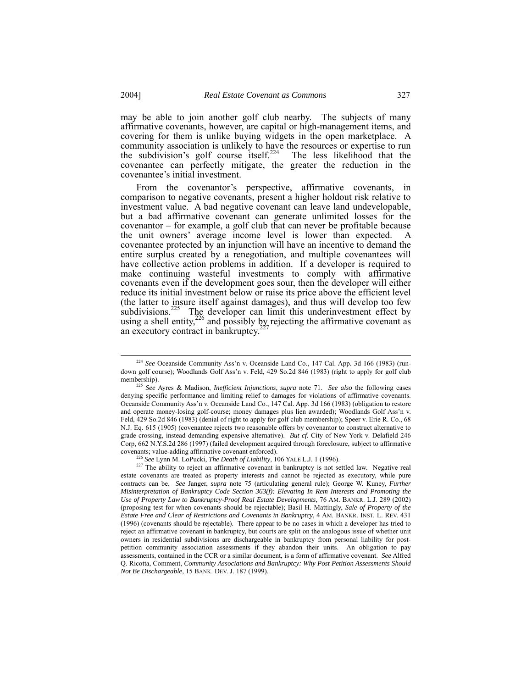<span id="page-58-3"></span>may be able to join another golf club nearby. The subjects of many affirmative covenants, however, are capital or high-management items, and covering for them is unlike buying widgets in the open marketplace. A community association is unlikely to have the resources or expertise to run the subdivision's golf course itself.<sup>224</sup> The less likelihood that the covenantee can perfectly mitigate, the greater the reduction in the covenantee's initial investment.

From the covenantor's perspective, affirmative covenants, in comparison to negative covenants, present a higher holdout risk relative to investment value. A bad negative covenant can leave land undevelopable, but a bad affirmative covenant can generate unlimited losses for the covenantor – for example, a golf club that can never be profitable because the unit owners' average income level is lower than expected. A covenantee protected by an injunction will have an incentive to demand the entire surplus created by a renegotiation, and multiple covenantees will have collective action problems in addition. If a developer is required to make continuing wasteful investments to comply with affirmative covenants even if the development goes sour, then the developer will either reduce its initial investment below or raise its price above the efficient level (the latter to insure itself against damages), and thus will develop too few subdivisions.<sup>225</sup> The developer can limit this underinvestment effect by using a shell entity,<sup>226</sup> and possibly by rejecting the affirmative covenant as an executory contract in bankruptcy.

<span id="page-58-0"></span> <sup>224</sup> *See* Oceanside Community Ass'n v. Oceanside Land Co., 147 Cal. App. 3d 166 (1983) (rundown golf course); Woodlands Golf Ass'n v. Feld, 429 So.2d 846 (1983) (right to apply for golf club membership).

<span id="page-58-1"></span><sup>225</sup> *See* Ayres & Madison, *Inefficient Injunctions*, *supra* note 71. *See also* the following cases denying specific performance and limiting relief to damages for violations of affirmative covenants. Oceanside Community Ass'n v. Oceanside Land Co., 147 Cal. App. 3d 166 (1983) (obligation to restore and operate money-losing golf-course; money damages plus lien awarded); Woodlands Golf Ass'n v. Feld, 429 So.2d 846 (1983) (denial of right to apply for golf club membership); Speer v. Erie R. Co., 68 N.J. Eq. 615 (1905) (covenantee rejects two reasonable offers by covenantor to construct alternative to grade crossing, instead demanding expensive alternative). *But cf.* City of New York v. Delafield 246 Corp, 662 N.Y.S.2d 286 (1997) (failed development acquired through foreclosure, subject to affirmative covenants; value-adding affirmative covenant enforced). 226 *See* Lynn M. LoPucki, *The Death of Liability*, 106 YALE L.J. 1 (1996).

<span id="page-58-2"></span>

<sup>&</sup>lt;sup>227</sup> The ability to reject an affirmative covenant in bankruptcy is not settled law. Negative real estate covenants are treated as property interests and cannot be rejected as executory, while pure contracts can be. *See* Janger, *supra* note 75 (articulating general rule); George W. Kuney, *Further Misinterpretation of Bankruptcy Code Section 363(f): Elevating In Rem Interests and Promoting the Use of Property Law to Bankruptcy-Proof Real Estate Developments*, 76 AM. BANKR. L.J. 289 (2002) (proposing test for when covenants should be rejectable); Basil H. Mattingly, *Sale of Property of the Estate Free and Clear of Restrictions and Covenants in Bankruptcy*, 4 AM. BANKR. INST. L. REV. 431 (1996) (covenants should be rejectable). There appear to be no cases in which a developer has tried to reject an affirmative covenant in bankruptcy, but courts are split on the analogous issue of whether unit owners in residential subdivisions are dischargeable in bankruptcy from personal liability for postpetition community association assessments if they abandon their units. An obligation to pay assessments, contained in the CCR or a similar document, is a form of affirmative covenant. *See* Alfred Q. Ricotta, Comment, *Community Associations and Bankruptcy: Why Post Petition Assessments Should Not Be Dischargeable*, 15 BANK. DEV. J. 187 (1999).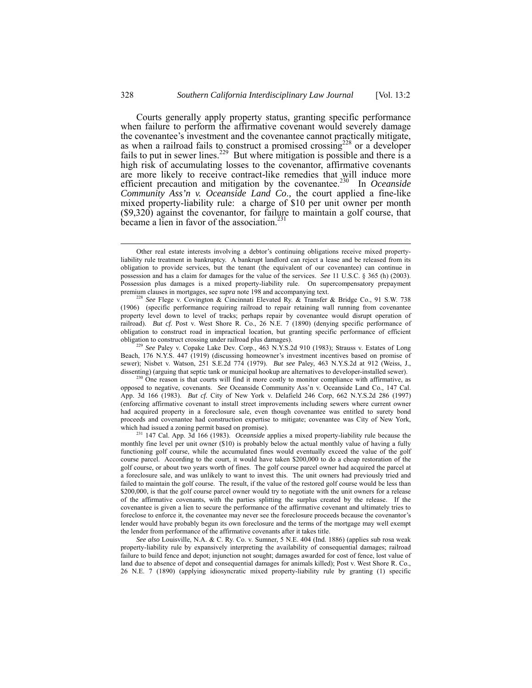<span id="page-59-3"></span>Courts generally apply property status, granting specific performance when failure to perform the affirmative covenant would severely damage the covenantee's investment and the covenantee cannot practically mitigate, as when a railroad fails to construct a promised crossing<sup>228</sup> or a developer fails to put in sewer lines.<sup>229</sup> But where mitigation is possible and there is a high risk of accumulating losses to the covenantor, affirmative covenants are more likely to receive contract-like remedies that will induce more efficient precaution and mitigation by the covenantee.<sup>230</sup> In *Oceanside Community Ass'n v. Oceanside Land Co*.*,* the court applied a fine-like mixed property-liability rule: a charge of \$10 per unit owner per month (\$9,320) against the covenantor, for failure to maintain a golf course, that became a lien in favor of the association.<sup>23</sup>

<span id="page-59-0"></span><sup>228</sup> See Flege v. Covington & Cincinnati Elevated Ry. & Transfer & Bridge Co., 91 S.W. 738 (1906) (specific performance requiring railroad to repair retaining wall running from covenantee property level down to level of tracks; perhaps repair by covenantee would disrupt operation of railroad). *But cf.* Post v. West Shore R. Co., 26 N.E. 7 (1890) (denying specific performance of obligation to construct road in impractical location, but granting specific performance of efficient obligation to construct crossing under railroad plus damages).

<span id="page-59-1"></span><sup>229</sup> *See* Paley v. Copake Lake Dev. Corp., 463 N.Y.S.2d 910 (1983); Strauss v. Estates of Long Beach, 176 N.Y.S. 447 (1919) (discussing homeowner's investment incentives based on promise of sewer); Nisbet v. Watson, 251 S.E.2d 774 (1979). *But see* Paley, 463 N.Y.S.2d at 912 (Weiss, J., dissenting) (arguing that septic tank or municipal hookup are alternatives to developer-installed sewer).

<span id="page-59-2"></span><sup>230</sup> One reason is that courts will find it more costly to monitor compliance with affirmative, as opposed to negative, covenants. *See* Oceanside Community Ass'n v. Oceanside Land Co., 147 Cal. App. 3d 166 (1983). *But cf.* City of New York v. Delafield 246 Corp, 662 N.Y.S.2d 286 (1997) (enforcing affirmative covenant to install street improvements including sewers where current owner had acquired property in a foreclosure sale, even though covenantee was entitled to surety bond proceeds and covenantee had construction expertise to mitigate; covenantee was City of New York, which had issued a zoning permit based on promise).

231 147 Cal. App. 3d 166 (1983). *Oceanside* applies a mixed property-liability rule because the monthly fine level per unit owner (\$10) is probably below the actual monthly value of having a fully functioning golf course, while the accumulated fines would eventually exceed the value of the golf course parcel. According to the court, it would have taken \$200,000 to do a cheap restoration of the golf course, or about two years worth of fines. The golf course parcel owner had acquired the parcel at a foreclosure sale, and was unlikely to want to invest this. The unit owners had previously tried and failed to maintain the golf course. The result, if the value of the restored golf course would be less than \$200,000, is that the golf course parcel owner would try to negotiate with the unit owners for a release of the affirmative covenants, with the parties splitting the surplus created by the release. If the covenantee is given a lien to secure the performance of the affirmative covenant and ultimately tries to foreclose to enforce it, the covenantee may never see the foreclosure proceeds because the covenantor's lender would have probably begun its own foreclosure and the terms of the mortgage may well exempt the lender from performance of the affirmative covenants after it takes title.

*See also* Louisville, N.A. & C. Ry. Co. v. Sumner, 5 N.E. 404 (Ind. 1886) (applies sub rosa weak property-liability rule by expansively interpreting the availability of consequential damages; railroad failure to build fence and depot; injunction not sought; damages awarded for cost of fence, lost value of land due to absence of depot and consequential damages for animals killed); Post v. West Shore R. Co., 26 N.E. 7 (1890) (applying idiosyncratic mixed property-liability rule by granting (1) specific

Other real estate interests involving a debtor's continuing obligations receive mixed propertyliability rule treatment in bankruptcy. A bankrupt landlord can reject a lease and be released from its obligation to provide services, but the tenant (the equivalent of our covenantee) can continue in possession and has a claim for damages for the value of the services. *See* 11 U.S.C. § 365 (h) (2003). Possession plus damages is a mixed property-liability rule. On supercompensatory prepayment premium clauses in mortgages, see *supra* note 198 and accompanying text.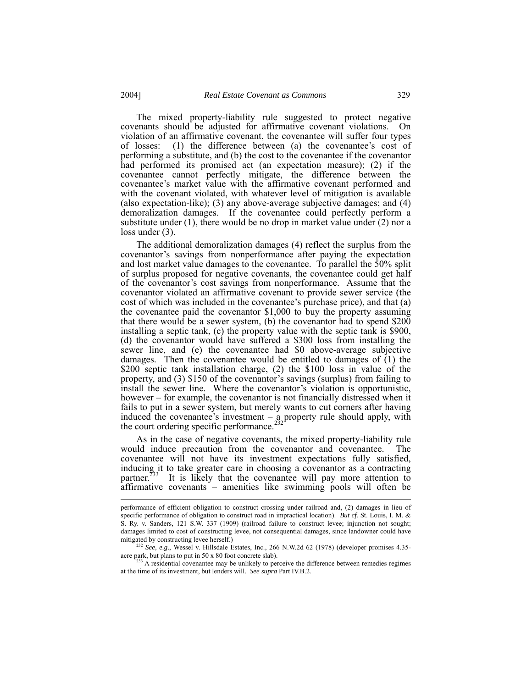The mixed property-liability rule suggested to protect negative covenants should be adjusted for affirmative covenant violations. On violation of an affirmative covenant, the covenantee will suffer four types of losses: (1) the difference between (a) the covenantee's cost of performing a substitute, and (b) the cost to the covenantee if the covenantor had performed its promised act (an expectation measure); (2) if the covenantee cannot perfectly mitigate, the difference between the covenantee's market value with the affirmative covenant performed and with the covenant violated, with whatever level of mitigation is available (also expectation-like); (3) any above-average subjective damages; and (4) demoralization damages. If the covenantee could perfectly perform a substitute under  $(1)$ , there would be no drop in market value under  $(2)$  nor a loss under (3).

The additional demoralization damages (4) reflect the surplus from the covenantor's savings from nonperformance after paying the expectation and lost market value damages to the covenantee. To parallel the 50% split of surplus proposed for negative covenants, the covenantee could get half of the covenantor's cost savings from nonperformance. Assume that the covenantor violated an affirmative covenant to provide sewer service (the cost of which was included in the covenantee's purchase price), and that (a) the covenantee paid the covenantor \$1,000 to buy the property assuming that there would be a sewer system, (b) the covenantor had to spend \$200 installing a septic tank, (c) the property value with the septic tank is \$900, (d) the covenantor would have suffered a \$300 loss from installing the sewer line, and (e) the covenantee had \$0 above-average subjective damages. Then the covenantee would be entitled to damages of (1) the \$200 septic tank installation charge, (2) the \$100 loss in value of the property, and (3) \$150 of the covenantor's savings (surplus) from failing to install the sewer line. Where the covenantor's violation is opportunistic, however – for example, the covenantor is not financially distressed when it fails to put in a sewer system, but merely wants to cut corners after having induced the covenantee's investment – a property rule should apply, with the court ordering specific performance.<sup>[232](#page-60-0)</sup>

As in the case of negative covenants, the mixed property-liability rule would induce precaution from the covenantor and covenantee. The covenantee will not have its investment expectations fully satisfied, inducing it to take greater care in choosing a covenantor as a contracting partner.<sup>233</sup> It is likely that the covenantee will pay more attention to affirmative covenants – amenities like swimming pools will often be

<span id="page-60-1"></span> $233$  A residential covenantee may be unlikely to perceive the difference between remedies regimes at the time of its investment, but lenders will. *See supra* Part IV.B.2.

performance of efficient obligation to construct crossing under railroad and, (2) damages in lieu of specific performance of obligation to construct road in impractical location). *But cf.* St. Louis, I. M. & S. Ry. v. Sanders, 121 S.W. 337 (1909) (railroad failure to construct levee; injunction not sought; damages limited to cost of constructing levee, not consequential damages, since landowner could have mitigated by constructing levee herself.)

<span id="page-60-0"></span><sup>&</sup>lt;sup>232</sup> See, e.g., Wessel v. Hillsdale Estates, Inc., 266 N.W.2d 62 (1978) (developer promises 4.35acre park, but plans to put in 50 x 80 foot concrete slab).